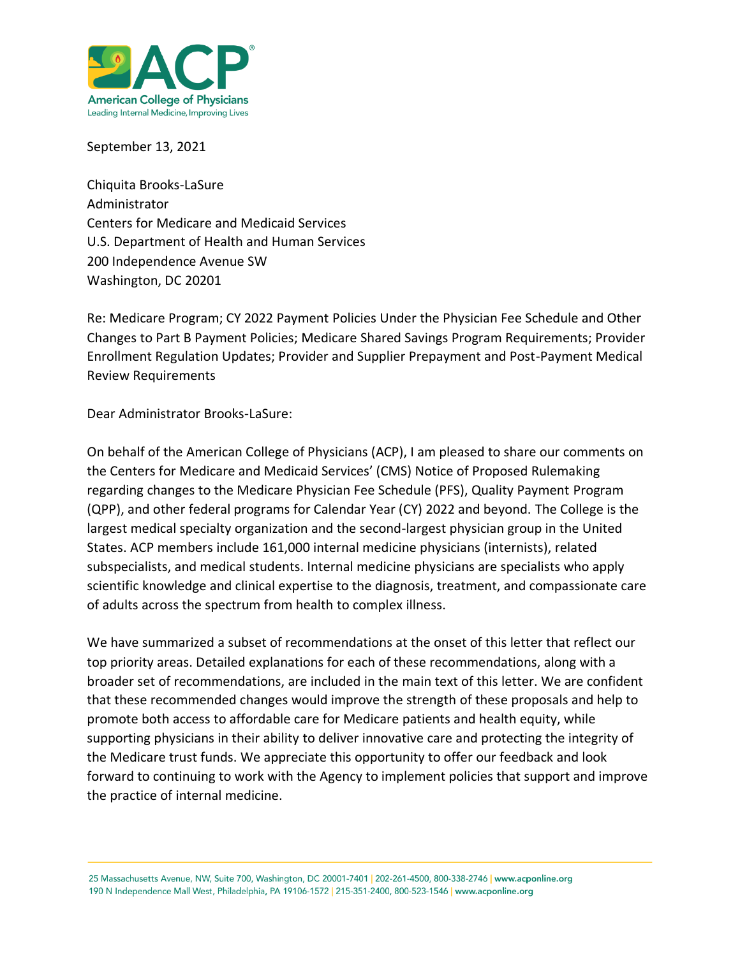

September 13, 2021

Chiquita Brooks-LaSure Administrator Centers for Medicare and Medicaid Services U.S. Department of Health and Human Services 200 Independence Avenue SW Washington, DC 20201

Re: Medicare Program; CY 2022 Payment Policies Under the Physician Fee Schedule and Other Changes to Part B Payment Policies; Medicare Shared Savings Program Requirements; Provider Enrollment Regulation Updates; Provider and Supplier Prepayment and Post-Payment Medical Review Requirements

Dear Administrator Brooks-LaSure:

On behalf of the American College of Physicians (ACP), I am pleased to share our comments on the Centers for Medicare and Medicaid Services' (CMS) Notice of Proposed Rulemaking regarding changes to the Medicare Physician Fee Schedule (PFS), Quality Payment Program (QPP), and other federal programs for Calendar Year (CY) 2022 and beyond. The College is the largest medical specialty organization and the second-largest physician group in the United States. ACP members include 161,000 internal medicine physicians (internists), related subspecialists, and medical students. Internal medicine physicians are specialists who apply scientific knowledge and clinical expertise to the diagnosis, treatment, and compassionate care of adults across the spectrum from health to complex illness.

We have summarized a subset of recommendations at the onset of this letter that reflect our top priority areas. Detailed explanations for each of these recommendations, along with a broader set of recommendations, are included in the main text of this letter. We are confident that these recommended changes would improve the strength of these proposals and help to promote both access to affordable care for Medicare patients and health equity, while supporting physicians in their ability to deliver innovative care and protecting the integrity of the Medicare trust funds. We appreciate this opportunity to offer our feedback and look forward to continuing to work with the Agency to implement policies that support and improve the practice of internal medicine.

25 Massachusetts Avenue, NW, Suite 700, Washington, DC 20001-7401 | 202-261-4500, 800-338-2746 | www.acponline.org 190 N Independence Mall West, Philadelphia, PA 19106-1572 | 215-351-2400, 800-523-1546 | www.acponline.org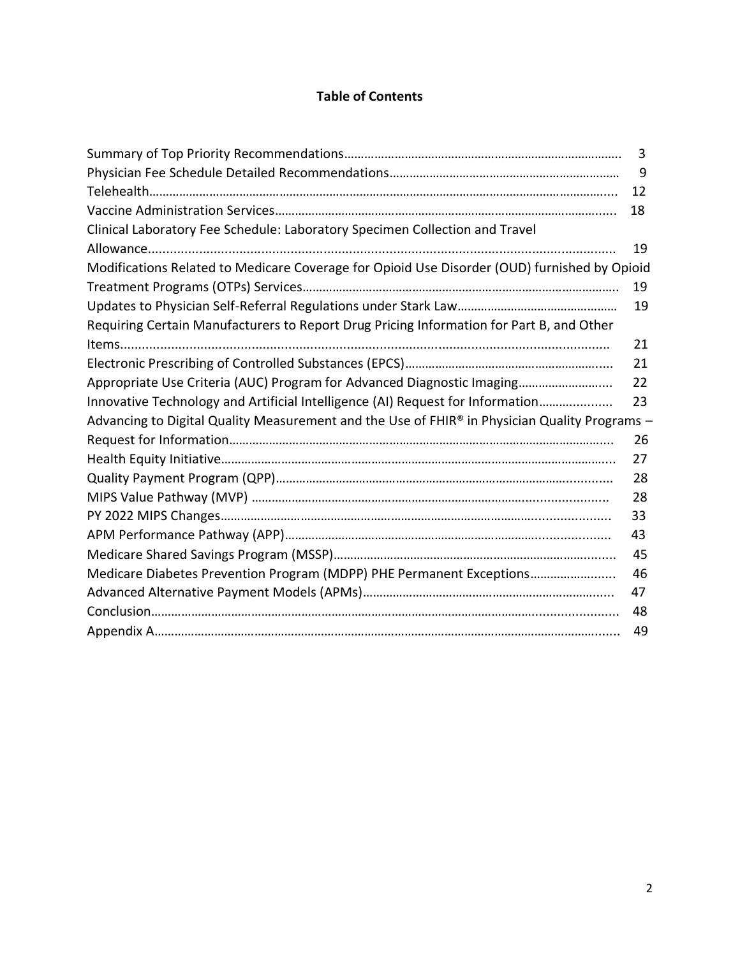# **Table of Contents**

|                                                                                               | 3  |
|-----------------------------------------------------------------------------------------------|----|
|                                                                                               | 9  |
|                                                                                               | 12 |
|                                                                                               | 18 |
| Clinical Laboratory Fee Schedule: Laboratory Specimen Collection and Travel                   |    |
|                                                                                               | 19 |
| Modifications Related to Medicare Coverage for Opioid Use Disorder (OUD) furnished by Opioid  |    |
|                                                                                               | 19 |
|                                                                                               | 19 |
| Requiring Certain Manufacturers to Report Drug Pricing Information for Part B, and Other      |    |
|                                                                                               | 21 |
|                                                                                               | 21 |
| Appropriate Use Criteria (AUC) Program for Advanced Diagnostic Imaging                        | 22 |
| Innovative Technology and Artificial Intelligence (AI) Request for Information                | 23 |
| Advancing to Digital Quality Measurement and the Use of FHIR® in Physician Quality Programs - |    |
|                                                                                               | 26 |
|                                                                                               | 27 |
|                                                                                               | 28 |
|                                                                                               | 28 |
|                                                                                               | 33 |
|                                                                                               | 43 |
|                                                                                               | 45 |
| Medicare Diabetes Prevention Program (MDPP) PHE Permanent Exceptions                          | 46 |
|                                                                                               | 47 |
|                                                                                               | 48 |
|                                                                                               | 49 |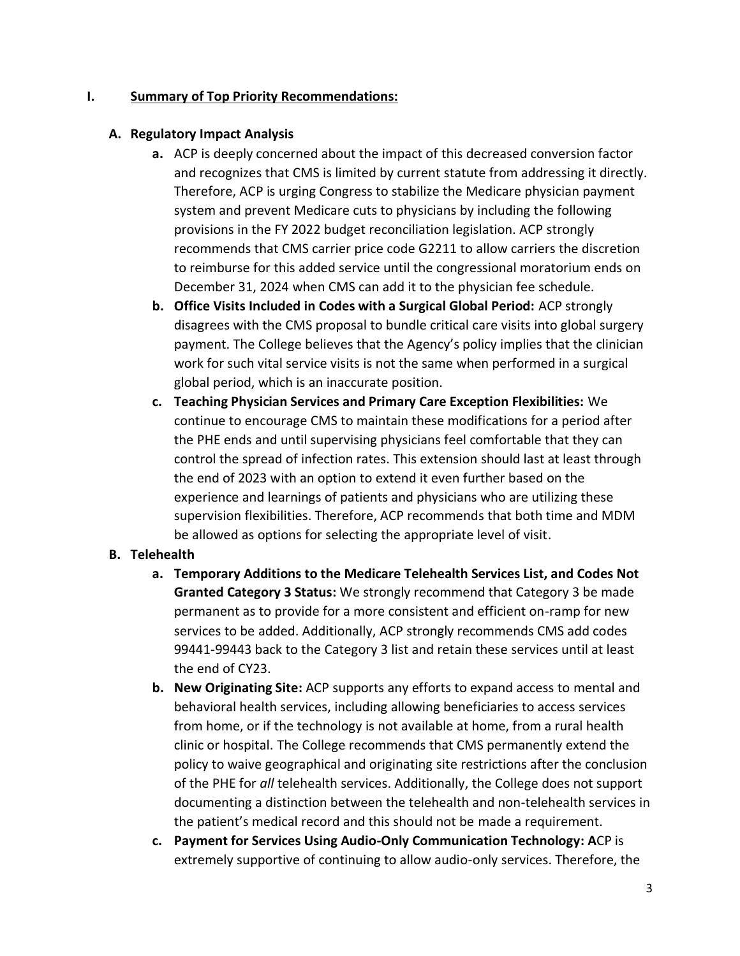#### **I. Summary of Top Priority Recommendations:**

#### **A. Regulatory Impact Analysis**

- **a.** ACP is deeply concerned about the impact of this decreased conversion factor and recognizes that CMS is limited by current statute from addressing it directly. Therefore, ACP is urging Congress to stabilize the Medicare physician payment system and prevent Medicare cuts to physicians by including the following provisions in the FY 2022 budget reconciliation legislation. ACP strongly recommends that CMS carrier price code G2211 to allow carriers the discretion to reimburse for this added service until the congressional moratorium ends on December 31, 2024 when CMS can add it to the physician fee schedule.
- **b. Office Visits Included in Codes with a Surgical Global Period:** ACP strongly disagrees with the CMS proposal to bundle critical care visits into global surgery payment. The College believes that the Agency's policy implies that the clinician work for such vital service visits is not the same when performed in a surgical global period, which is an inaccurate position.
- **c. Teaching Physician Services and Primary Care Exception Flexibilities:** We continue to encourage CMS to maintain these modifications for a period after the PHE ends and until supervising physicians feel comfortable that they can control the spread of infection rates. This extension should last at least through the end of 2023 with an option to extend it even further based on the experience and learnings of patients and physicians who are utilizing these supervision flexibilities. Therefore, ACP recommends that both time and MDM be allowed as options for selecting the appropriate level of visit.

### **B. Telehealth**

- **a. Temporary Additions to the Medicare Telehealth Services List, and Codes Not Granted Category 3 Status:** We strongly recommend that Category 3 be made permanent as to provide for a more consistent and efficient on-ramp for new services to be added. Additionally, ACP strongly recommends CMS add codes 99441-99443 back to the Category 3 list and retain these services until at least the end of CY23.
- **b. New Originating Site:** ACP supports any efforts to expand access to mental and behavioral health services, including allowing beneficiaries to access services from home, or if the technology is not available at home, from a rural health clinic or hospital. The College recommends that CMS permanently extend the policy to waive geographical and originating site restrictions after the conclusion of the PHE for *all* telehealth services. Additionally, the College does not support documenting a distinction between the telehealth and non-telehealth services in the patient's medical record and this should not be made a requirement.
- **c. Payment for Services Using Audio-Only Communication Technology: A**CP is extremely supportive of continuing to allow audio-only services. Therefore, the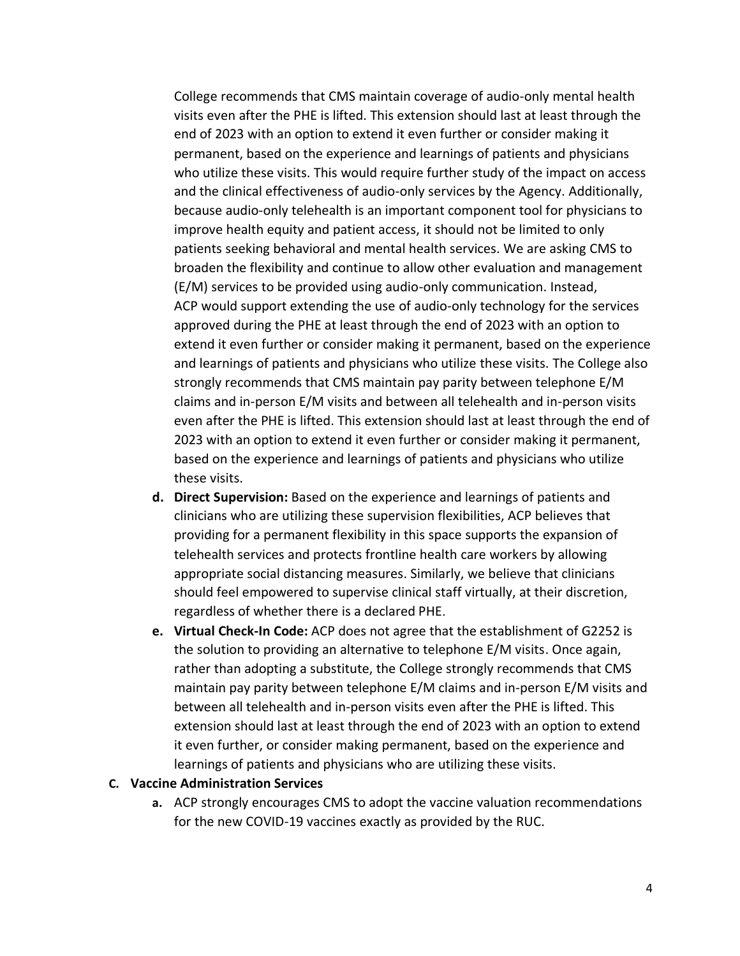College recommends that CMS maintain coverage of audio-only mental health visits even after the PHE is lifted. This extension should last at least through the end of 2023 with an option to extend it even further or consider making it permanent, based on the experience and learnings of patients and physicians who utilize these visits. This would require further study of the impact on access and the clinical effectiveness of audio-only services by the Agency. Additionally, because audio-only telehealth is an important component tool for physicians to improve health equity and patient access, it should not be limited to only patients seeking behavioral and mental health services. We are asking CMS to broaden the flexibility and continue to allow other evaluation and management (E/M) services to be provided using audio-only communication. Instead, ACP would support extending the use of audio-only technology for the services approved during the PHE at least through the end of 2023 with an option to extend it even further or consider making it permanent, based on the experience and learnings of patients and physicians who utilize these visits. The College also strongly recommends that CMS maintain pay parity between telephone E/M claims and in-person E/M visits and between all telehealth and in-person visits even after the PHE is lifted. This extension should last at least through the end of 2023 with an option to extend it even further or consider making it permanent, based on the experience and learnings of patients and physicians who utilize these visits.

- **d. Direct Supervision:** Based on the experience and learnings of patients and clinicians who are utilizing these supervision flexibilities, ACP believes that providing for a permanent flexibility in this space supports the expansion of telehealth services and protects frontline health care workers by allowing appropriate social distancing measures. Similarly, we believe that clinicians should feel empowered to supervise clinical staff virtually, at their discretion, regardless of whether there is a declared PHE.
- **e. Virtual Check-In Code:** ACP does not agree that the establishment of G2252 is the solution to providing an alternative to telephone E/M visits. Once again, rather than adopting a substitute, the College strongly recommends that CMS maintain pay parity between telephone E/M claims and in-person E/M visits and between all telehealth and in-person visits even after the PHE is lifted. This extension should last at least through the end of 2023 with an option to extend it even further, or consider making permanent, based on the experience and learnings of patients and physicians who are utilizing these visits.

#### **C. Vaccine Administration Services**

**a.** ACP strongly encourages CMS to adopt the vaccine valuation recommendations for the new COVID-19 vaccines exactly as provided by the RUC.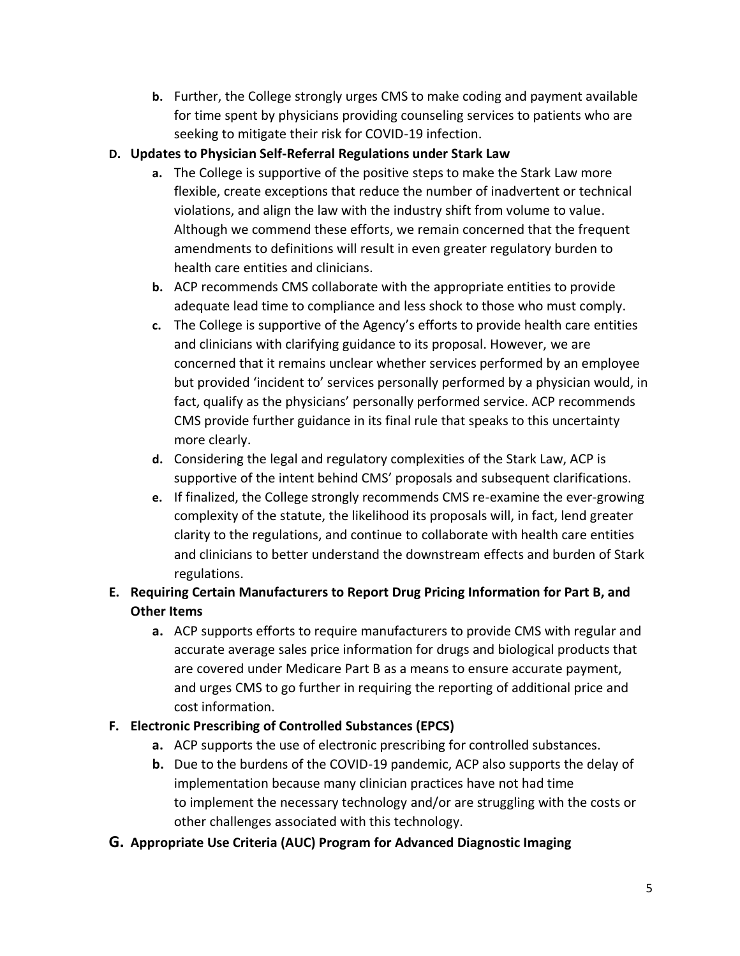**b.** Further, the College strongly urges CMS to make coding and payment available for time spent by physicians providing counseling services to patients who are seeking to mitigate their risk for COVID-19 infection.

### **D. Updates to Physician Self-Referral Regulations under Stark Law**

- **a.** The College is supportive of the positive steps to make the Stark Law more flexible, create exceptions that reduce the number of inadvertent or technical violations, and align the law with the industry shift from volume to value. Although we commend these efforts, we remain concerned that the frequent amendments to definitions will result in even greater regulatory burden to health care entities and clinicians.
- **b.** ACP recommends CMS collaborate with the appropriate entities to provide adequate lead time to compliance and less shock to those who must comply.
- **c.** The College is supportive of the Agency's efforts to provide health care entities and clinicians with clarifying guidance to its proposal. However, we are concerned that it remains unclear whether services performed by an employee but provided 'incident to' services personally performed by a physician would, in fact, qualify as the physicians' personally performed service. ACP recommends CMS provide further guidance in its final rule that speaks to this uncertainty more clearly.
- **d.** Considering the legal and regulatory complexities of the Stark Law, ACP is supportive of the intent behind CMS' proposals and subsequent clarifications.
- **e.** If finalized, the College strongly recommends CMS re-examine the ever-growing complexity of the statute, the likelihood its proposals will, in fact, lend greater clarity to the regulations, and continue to collaborate with health care entities and clinicians to better understand the downstream effects and burden of Stark regulations.

# **E. Requiring Certain Manufacturers to Report Drug Pricing Information for Part B, and Other Items**

**a.** ACP supports efforts to require manufacturers to provide CMS with regular and accurate average sales price information for drugs and biological products that are covered under Medicare Part B as a means to ensure accurate payment, and urges CMS to go further in requiring the reporting of additional price and cost information.

## **F. Electronic Prescribing of Controlled Substances (EPCS)**

- **a.** ACP supports the use of electronic prescribing for controlled substances.
- **b.** Due to the burdens of the COVID-19 pandemic, ACP also supports the delay of implementation because many clinician practices have not had time to implement the necessary technology and/or are struggling with the costs or other challenges associated with this technology.

## **G. Appropriate Use Criteria (AUC) Program for Advanced Diagnostic Imaging**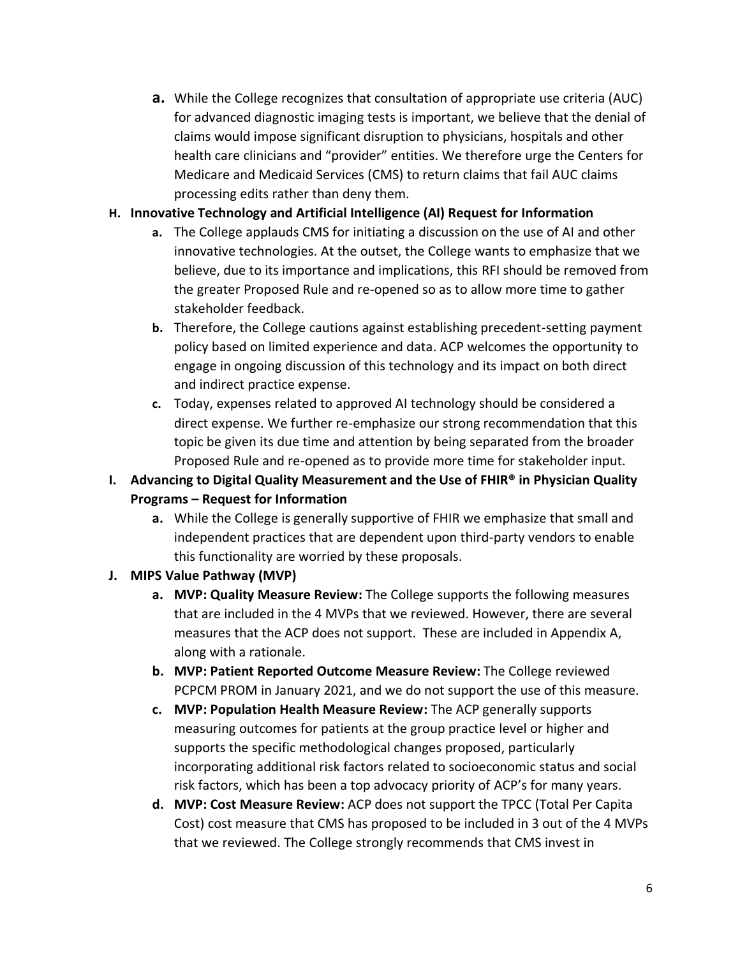**a.** While the College recognizes that consultation of appropriate use criteria (AUC) for advanced diagnostic imaging tests is important, we believe that the denial of claims would impose significant disruption to physicians, hospitals and other health care clinicians and "provider" entities. We therefore urge the Centers for Medicare and Medicaid Services (CMS) to return claims that fail AUC claims processing edits rather than deny them.

### **H. Innovative Technology and Artificial Intelligence (AI) Request for Information**

- **a.** The College applauds CMS for initiating a discussion on the use of AI and other innovative technologies. At the outset, the College wants to emphasize that we believe, due to its importance and implications, this RFI should be removed from the greater Proposed Rule and re-opened so as to allow more time to gather stakeholder feedback.
- **b.** Therefore, the College cautions against establishing precedent-setting payment policy based on limited experience and data. ACP welcomes the opportunity to engage in ongoing discussion of this technology and its impact on both direct and indirect practice expense.
- **c.** Today, expenses related to approved AI technology should be considered a direct expense. We further re-emphasize our strong recommendation that this topic be given its due time and attention by being separated from the broader Proposed Rule and re-opened as to provide more time for stakeholder input.
- **I. Advancing to Digital Quality Measurement and the Use of FHIR® in Physician Quality Programs – Request for Information**
	- **a.** While the College is generally supportive of FHIR we emphasize that small and independent practices that are dependent upon third-party vendors to enable this functionality are worried by these proposals.

## **J. MIPS Value Pathway (MVP)**

- **a. MVP: Quality Measure Review:** The College supports the following measures that are included in the 4 MVPs that we reviewed. However, there are several measures that the ACP does not support. These are included in Appendix A, along with a rationale.
- **b. MVP: Patient Reported Outcome Measure Review:** The College reviewed PCPCM PROM in January 2021, and we do not support the use of this measure.
- **c. MVP: Population Health Measure Review:** The ACP generally supports measuring outcomes for patients at the group practice level or higher and supports the specific methodological changes proposed, particularly incorporating additional risk factors related to socioeconomic status and social risk factors, which has been a top advocacy priority of ACP's for many years.
- **d. MVP: Cost Measure Review:** ACP does not support the TPCC (Total Per Capita Cost) cost measure that CMS has proposed to be included in 3 out of the 4 MVPs that we reviewed. The College strongly recommends that CMS invest in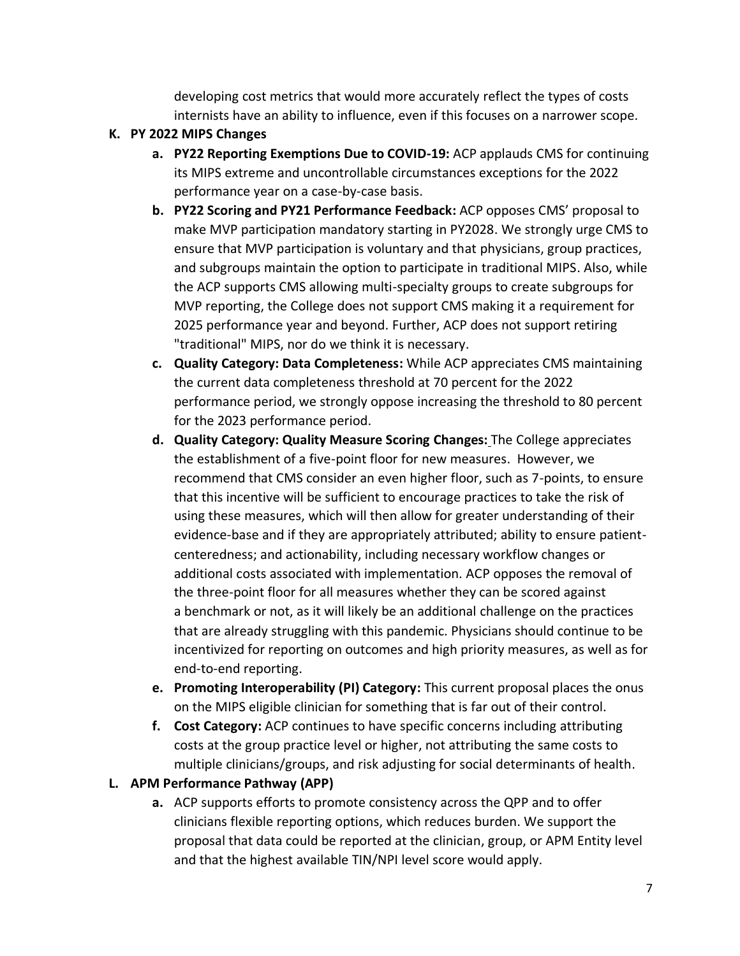developing cost metrics that would more accurately reflect the types of costs internists have an ability to influence, even if this focuses on a narrower scope.

### **K. PY 2022 MIPS Changes**

- **a. PY22 Reporting Exemptions Due to COVID-19:** ACP applauds CMS for continuing its MIPS extreme and uncontrollable circumstances exceptions for the 2022 performance year on a case-by-case basis.
- **b. PY22 Scoring and PY21 Performance Feedback:** ACP opposes CMS' proposal to make MVP participation mandatory starting in PY2028. We strongly urge CMS to ensure that MVP participation is voluntary and that physicians, group practices, and subgroups maintain the option to participate in traditional MIPS. Also, while the ACP supports CMS allowing multi-specialty groups to create subgroups for MVP reporting, the College does not support CMS making it a requirement for 2025 performance year and beyond. Further, ACP does not support retiring "traditional" MIPS, nor do we think it is necessary.
- **c. Quality Category: Data Completeness:** While ACP appreciates CMS maintaining the current data completeness threshold at 70 percent for the 2022 performance period, we strongly oppose increasing the threshold to 80 percent for the 2023 performance period.
- **d. Quality Category: Quality Measure Scoring Changes:** The College appreciates the establishment of a five-point floor for new measures. However, we recommend that CMS consider an even higher floor, such as 7-points, to ensure that this incentive will be sufficient to encourage practices to take the risk of using these measures, which will then allow for greater understanding of their evidence-base and if they are appropriately attributed; ability to ensure patientcenteredness; and actionability, including necessary workflow changes or additional costs associated with implementation. ACP opposes the removal of the three-point floor for all measures whether they can be scored against a benchmark or not, as it will likely be an additional challenge on the practices that are already struggling with this pandemic. Physicians should continue to be incentivized for reporting on outcomes and high priority measures, as well as for end-to-end reporting.
- **e. Promoting Interoperability (PI) Category:** This current proposal places the onus on the MIPS eligible clinician for something that is far out of their control.
- **f. Cost Category:** ACP continues to have specific concerns including attributing costs at the group practice level or higher, not attributing the same costs to multiple clinicians/groups, and risk adjusting for social determinants of health.

### **L. APM Performance Pathway (APP)**

**a.** ACP supports efforts to promote consistency across the QPP and to offer clinicians flexible reporting options, which reduces burden. We support the proposal that data could be reported at the clinician, group, or APM Entity level and that the highest available TIN/NPI level score would apply.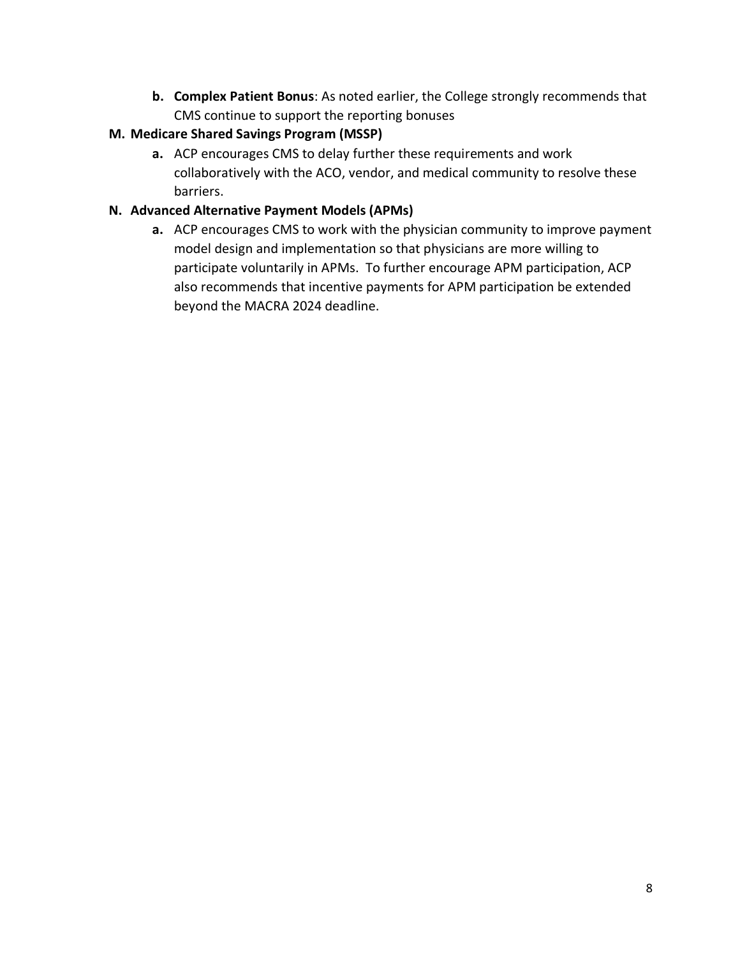**b. Complex Patient Bonus**: As noted earlier, the College strongly recommends that CMS continue to support the reporting bonuses

### **M. Medicare Shared Savings Program (MSSP)**

**a.** ACP encourages CMS to delay further these requirements and work collaboratively with the ACO, vendor, and medical community to resolve these barriers.

## **N. Advanced Alternative Payment Models (APMs)**

**a.** ACP encourages CMS to work with the physician community to improve payment model design and implementation so that physicians are more willing to participate voluntarily in APMs. To further encourage APM participation, ACP also recommends that incentive payments for APM participation be extended beyond the MACRA 2024 deadline.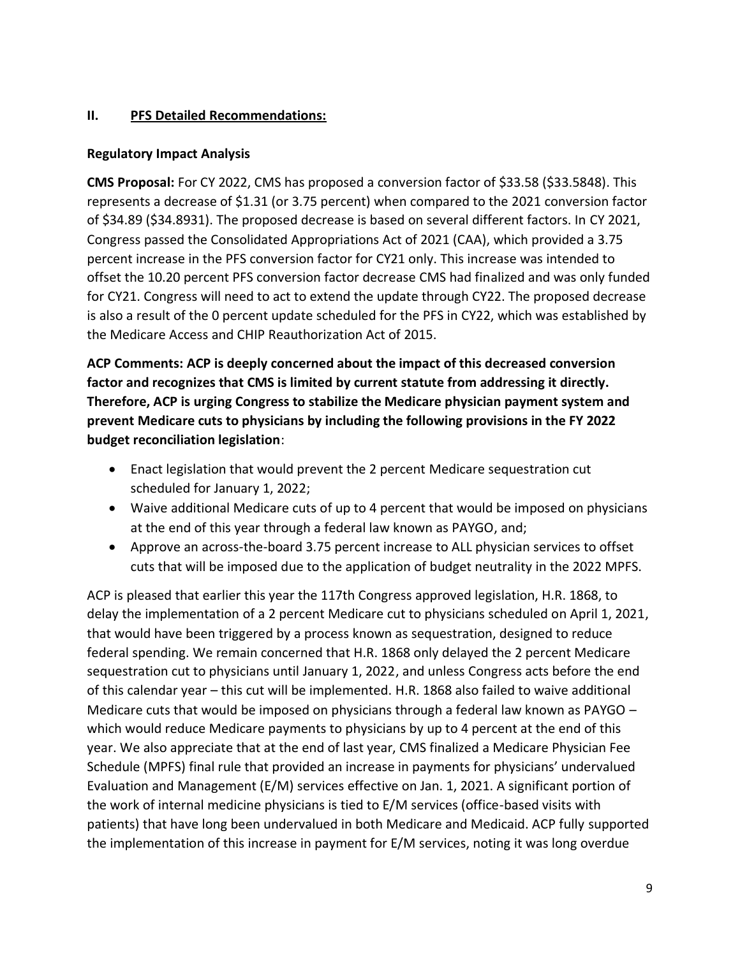### **II. PFS Detailed Recommendations:**

### **Regulatory Impact Analysis**

**CMS Proposal:** For CY 2022, CMS has proposed a conversion factor of \$33.58 (\$33.5848). This represents a decrease of \$1.31 (or 3.75 percent) when compared to the 2021 conversion factor of \$34.89 (\$34.8931). The proposed decrease is based on several different factors. In CY 2021, Congress passed the Consolidated Appropriations Act of 2021 (CAA), which provided a 3.75 percent increase in the PFS conversion factor for CY21 only. This increase was intended to offset the 10.20 percent PFS conversion factor decrease CMS had finalized and was only funded for CY21. Congress will need to act to extend the update through CY22. The proposed decrease is also a result of the 0 percent update scheduled for the PFS in CY22, which was established by the Medicare Access and CHIP Reauthorization Act of 2015.

**ACP Comments: ACP is deeply concerned about the impact of this decreased conversion factor and recognizes that CMS is limited by current statute from addressing it directly. Therefore, ACP is urging Congress to stabilize the Medicare physician payment system and prevent Medicare cuts to physicians by including the following provisions in the FY 2022 budget reconciliation legislation**:

- Enact legislation that would prevent the 2 percent Medicare sequestration cut scheduled for January 1, 2022;
- Waive additional Medicare cuts of up to 4 percent that would be imposed on physicians at the end of this year through a federal law known as PAYGO, and;
- Approve an across-the-board 3.75 percent increase to ALL physician services to offset cuts that will be imposed due to the application of budget neutrality in the 2022 MPFS.

ACP is pleased that earlier this year the 117th Congress approved legislation, H.R. 1868, to delay the implementation of a 2 percent Medicare cut to physicians scheduled on April 1, 2021, that would have been triggered by a process known as sequestration, designed to reduce federal spending. We remain concerned that H.R. 1868 only delayed the 2 percent Medicare sequestration cut to physicians until January 1, 2022, and unless Congress acts before the end of this calendar year – this cut will be implemented. H.R. 1868 also failed to waive additional Medicare cuts that would be imposed on physicians through a federal law known as PAYGO which would reduce Medicare payments to physicians by up to 4 percent at the end of this year. We also appreciate that at the end of last year, CMS finalized a Medicare Physician Fee Schedule (MPFS) final rule that provided an increase in payments for physicians' undervalued Evaluation and Management (E/M) services effective on Jan. 1, 2021. A significant portion of the work of internal medicine physicians is tied to E/M services (office-based visits with patients) that have long been undervalued in both Medicare and Medicaid. ACP fully supported the implementation of this increase in payment for E/M services, noting it was long overdue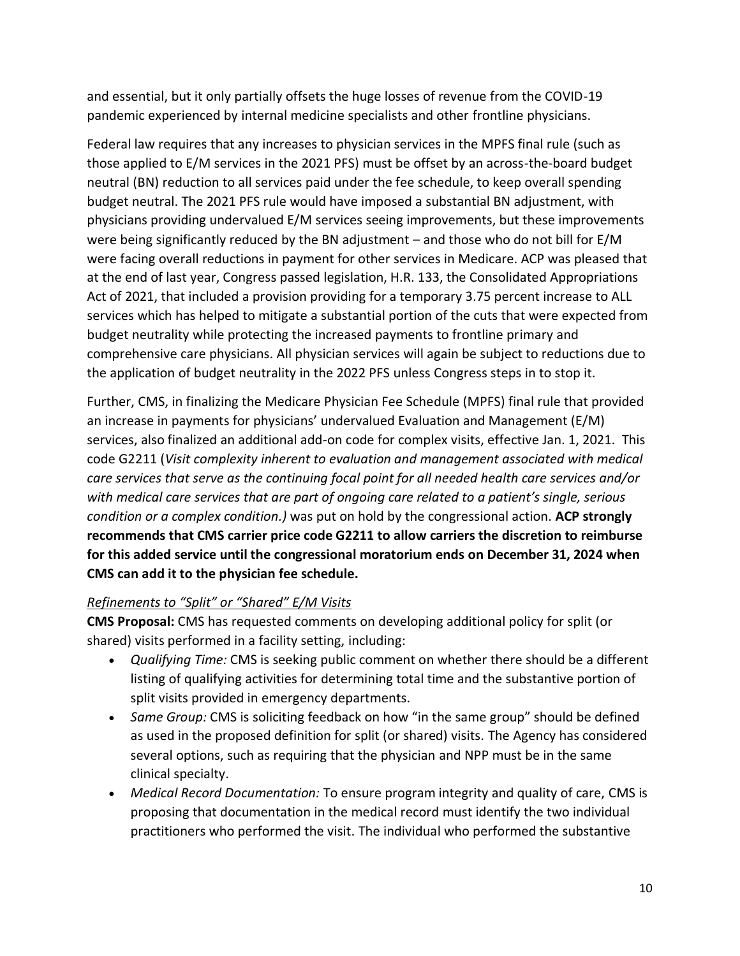and essential, but it only partially offsets the huge losses of revenue from the COVID-19 pandemic experienced by internal medicine specialists and other frontline physicians.

Federal law requires that any increases to physician services in the MPFS final rule (such as those applied to E/M services in the 2021 PFS) must be offset by an across-the-board budget neutral (BN) reduction to all services paid under the fee schedule, to keep overall spending budget neutral. The 2021 PFS rule would have imposed a substantial BN adjustment, with physicians providing undervalued E/M services seeing improvements, but these improvements were being significantly reduced by the BN adjustment – and those who do not bill for E/M were facing overall reductions in payment for other services in Medicare. ACP was pleased that at the end of last year, Congress passed legislation, H.R. 133, the Consolidated Appropriations Act of 2021, that included a provision providing for a temporary 3.75 percent increase to ALL services which has helped to mitigate a substantial portion of the cuts that were expected from budget neutrality while protecting the increased payments to frontline primary and comprehensive care physicians. All physician services will again be subject to reductions due to the application of budget neutrality in the 2022 PFS unless Congress steps in to stop it.

Further, CMS, in finalizing the Medicare Physician Fee Schedule (MPFS) final rule that provided an increase in payments for physicians' undervalued Evaluation and Management (E/M) services, also finalized an additional add-on code for complex visits, effective Jan. 1, 2021. This code G2211 (*Visit complexity inherent to evaluation and management associated with medical care services that serve as the continuing focal point for all needed health care services and/or with medical care services that are part of ongoing care related to a patient's single, serious condition or a complex condition.)* was put on hold by the congressional action. **ACP strongly recommends that CMS carrier price code G2211 to allow carriers the discretion to reimburse for this added service until the congressional moratorium ends on December 31, 2024 when CMS can add it to the physician fee schedule.** 

## *Refinements to "Split" or "Shared" E/M Visits*

**CMS Proposal:** CMS has requested comments on developing additional policy for split (or shared) visits performed in a facility setting, including:

- *Qualifying Time:* CMS is seeking public comment on whether there should be a different listing of qualifying activities for determining total time and the substantive portion of split visits provided in emergency departments.
- *Same Group:* CMS is soliciting feedback on how "in the same group" should be defined as used in the proposed definition for split (or shared) visits. The Agency has considered several options, such as requiring that the physician and NPP must be in the same clinical specialty.
- *Medical Record Documentation:* To ensure program integrity and quality of care, CMS is proposing that documentation in the medical record must identify the two individual practitioners who performed the visit. The individual who performed the substantive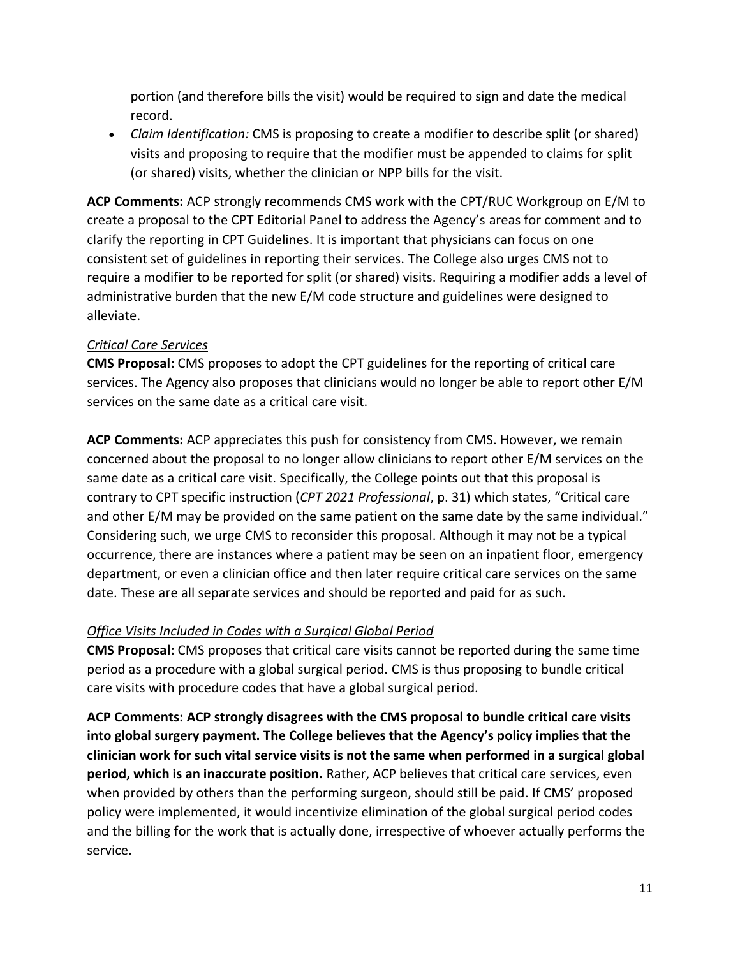portion (and therefore bills the visit) would be required to sign and date the medical record.

• *Claim Identification:* CMS is proposing to create a modifier to describe split (or shared) visits and proposing to require that the modifier must be appended to claims for split (or shared) visits, whether the clinician or NPP bills for the visit.

**ACP Comments:** ACP strongly recommends CMS work with the CPT/RUC Workgroup on E/M to create a proposal to the CPT Editorial Panel to address the Agency's areas for comment and to clarify the reporting in CPT Guidelines. It is important that physicians can focus on one consistent set of guidelines in reporting their services. The College also urges CMS not to require a modifier to be reported for split (or shared) visits. Requiring a modifier adds a level of administrative burden that the new E/M code structure and guidelines were designed to alleviate.

### *Critical Care Services*

**CMS Proposal:** CMS proposes to adopt the CPT guidelines for the reporting of critical care services. The Agency also proposes that clinicians would no longer be able to report other E/M services on the same date as a critical care visit.

**ACP Comments:** ACP appreciates this push for consistency from CMS. However, we remain concerned about the proposal to no longer allow clinicians to report other E/M services on the same date as a critical care visit. Specifically, the College points out that this proposal is contrary to CPT specific instruction (*CPT 2021 Professional*, p. 31) which states, "Critical care and other E/M may be provided on the same patient on the same date by the same individual." Considering such, we urge CMS to reconsider this proposal. Although it may not be a typical occurrence, there are instances where a patient may be seen on an inpatient floor, emergency department, or even a clinician office and then later require critical care services on the same date. These are all separate services and should be reported and paid for as such.

### *Office Visits Included in Codes with a Surgical Global Period*

**CMS Proposal:** CMS proposes that critical care visits cannot be reported during the same time period as a procedure with a global surgical period. CMS is thus proposing to bundle critical care visits with procedure codes that have a global surgical period.

**ACP Comments: ACP strongly disagrees with the CMS proposal to bundle critical care visits into global surgery payment. The College believes that the Agency's policy implies that the clinician work for such vital service visits is not the same when performed in a surgical global period, which is an inaccurate position.** Rather, ACP believes that critical care services, even when provided by others than the performing surgeon, should still be paid. If CMS' proposed policy were implemented, it would incentivize elimination of the global surgical period codes and the billing for the work that is actually done, irrespective of whoever actually performs the service.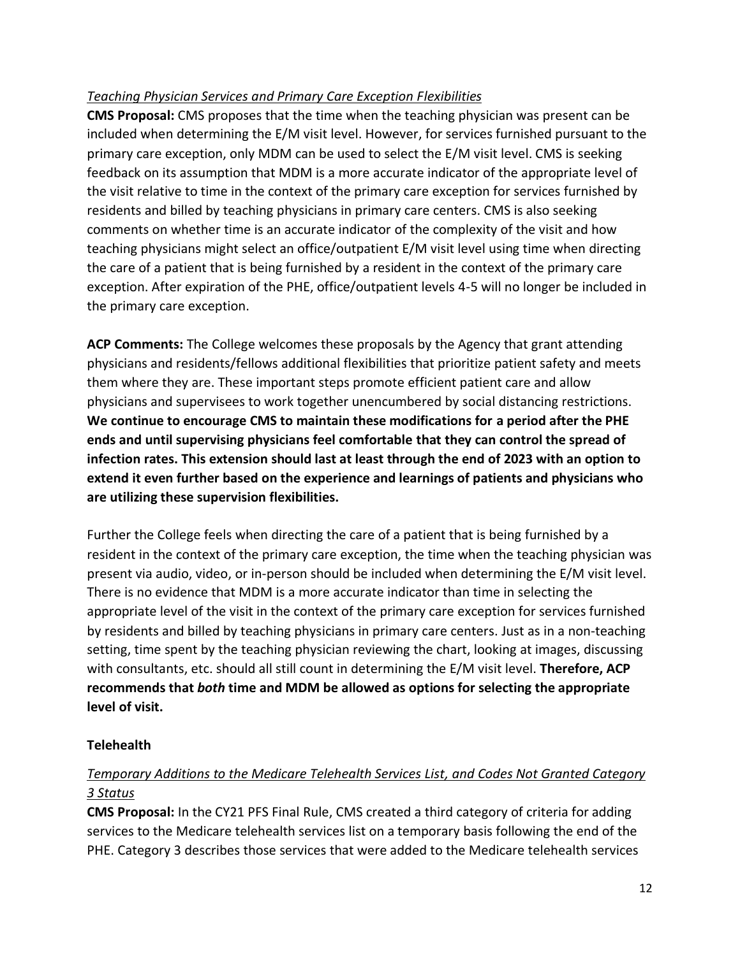## *Teaching Physician Services and Primary Care Exception Flexibilities*

**CMS Proposal:** CMS proposes that the time when the teaching physician was present can be included when determining the E/M visit level. However, for services furnished pursuant to the primary care exception, only MDM can be used to select the E/M visit level. CMS is seeking feedback on its assumption that MDM is a more accurate indicator of the appropriate level of the visit relative to time in the context of the primary care exception for services furnished by residents and billed by teaching physicians in primary care centers. CMS is also seeking comments on whether time is an accurate indicator of the complexity of the visit and how teaching physicians might select an office/outpatient E/M visit level using time when directing the care of a patient that is being furnished by a resident in the context of the primary care exception. After expiration of the PHE, office/outpatient levels 4-5 will no longer be included in the primary care exception.

**ACP Comments:** The College welcomes these proposals by the Agency that grant attending physicians and residents/fellows additional flexibilities that prioritize patient safety and meets them where they are. These important steps promote efficient patient care and allow physicians and supervisees to work together unencumbered by social distancing restrictions. **We continue to encourage CMS to maintain these modifications for a period after the PHE ends and until supervising physicians feel comfortable that they can control the spread of infection rates. This extension should last at least through the end of 2023 with an option to extend it even further based on the experience and learnings of patients and physicians who are utilizing these supervision flexibilities.**

Further the College feels when directing the care of a patient that is being furnished by a resident in the context of the primary care exception, the time when the teaching physician was present via audio, video, or in-person should be included when determining the E/M visit level. There is no evidence that MDM is a more accurate indicator than time in selecting the appropriate level of the visit in the context of the primary care exception for services furnished by residents and billed by teaching physicians in primary care centers. Just as in a non-teaching setting, time spent by the teaching physician reviewing the chart, looking at images, discussing with consultants, etc. should all still count in determining the E/M visit level. **Therefore, ACP recommends that** *both* **time and MDM be allowed as options for selecting the appropriate level of visit.**

## **Telehealth**

# *Temporary Additions to the Medicare Telehealth Services List, and Codes Not Granted Category 3 Status*

**CMS Proposal:** In the CY21 PFS Final Rule, CMS created a third category of criteria for adding services to the Medicare telehealth services list on a temporary basis following the end of the PHE. Category 3 describes those services that were added to the Medicare telehealth services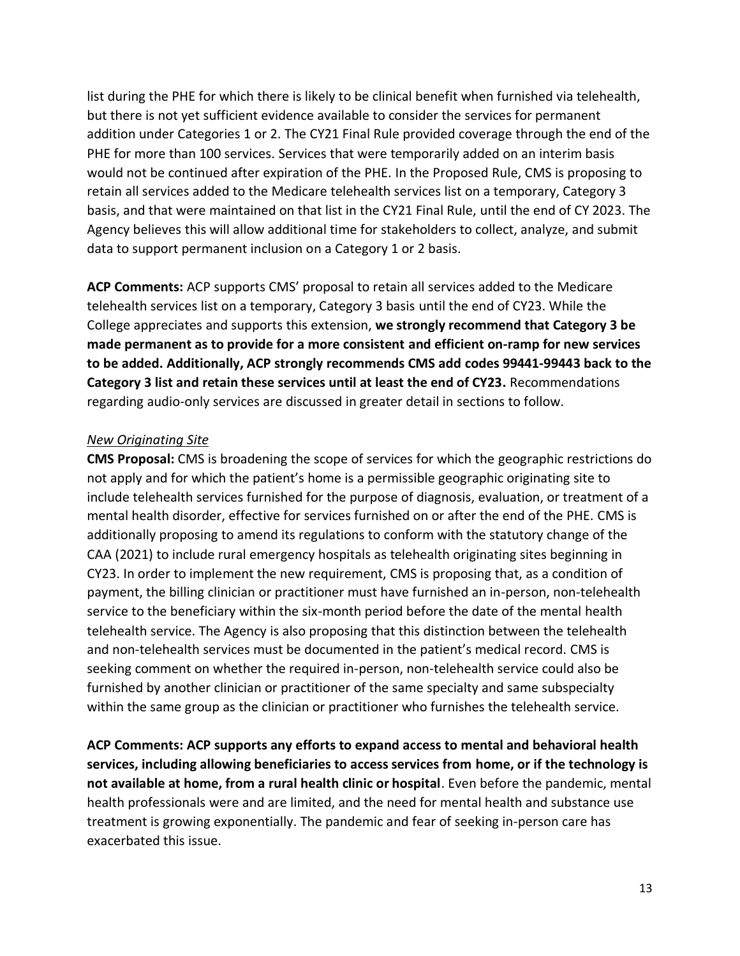list during the PHE for which there is likely to be clinical benefit when furnished via telehealth, but there is not yet sufficient evidence available to consider the services for permanent addition under Categories 1 or 2. The CY21 Final Rule provided coverage through the end of the PHE for more than 100 services. Services that were temporarily added on an interim basis would not be continued after expiration of the PHE. In the Proposed Rule, CMS is proposing to retain all services added to the Medicare telehealth services list on a temporary, Category 3 basis, and that were maintained on that list in the CY21 Final Rule, until the end of CY 2023. The Agency believes this will allow additional time for stakeholders to collect, analyze, and submit data to support permanent inclusion on a Category 1 or 2 basis.

**ACP Comments:** ACP supports CMS' proposal to retain all services added to the Medicare telehealth services list on a temporary, Category 3 basis until the end of CY23. While the College appreciates and supports this extension, **we strongly recommend that Category 3 be made permanent as to provide for a more consistent and efficient on-ramp for new services to be added. Additionally, ACP strongly recommends CMS add codes 99441-99443 back to the Category 3 list and retain these services until at least the end of CY23.** Recommendations regarding audio-only services are discussed in greater detail in sections to follow.

#### *New Originating Site*

**CMS Proposal:** CMS is broadening the scope of services for which the geographic restrictions do not apply and for which the patient's home is a permissible geographic originating site to include telehealth services furnished for the purpose of diagnosis, evaluation, or treatment of a mental health disorder, effective for services furnished on or after the end of the PHE. CMS is additionally proposing to amend its regulations to conform with the statutory change of the CAA (2021) to include rural emergency hospitals as telehealth originating sites beginning in CY23. In order to implement the new requirement, CMS is proposing that, as a condition of payment, the billing clinician or practitioner must have furnished an in-person, non-telehealth service to the beneficiary within the six-month period before the date of the mental health telehealth service. The Agency is also proposing that this distinction between the telehealth and non-telehealth services must be documented in the patient's medical record. CMS is seeking comment on whether the required in-person, non-telehealth service could also be furnished by another clinician or practitioner of the same specialty and same subspecialty within the same group as the clinician or practitioner who furnishes the telehealth service.

**ACP Comments: ACP supports any efforts to expand access to mental and behavioral health services, including allowing beneficiaries to access services from home, or if the technology is not available at home, from a rural health clinic or hospital**. Even before the pandemic, mental health professionals were and are limited, and the need for mental health and substance use treatment is growing exponentially. The pandemic and fear of seeking in-person care has exacerbated this issue.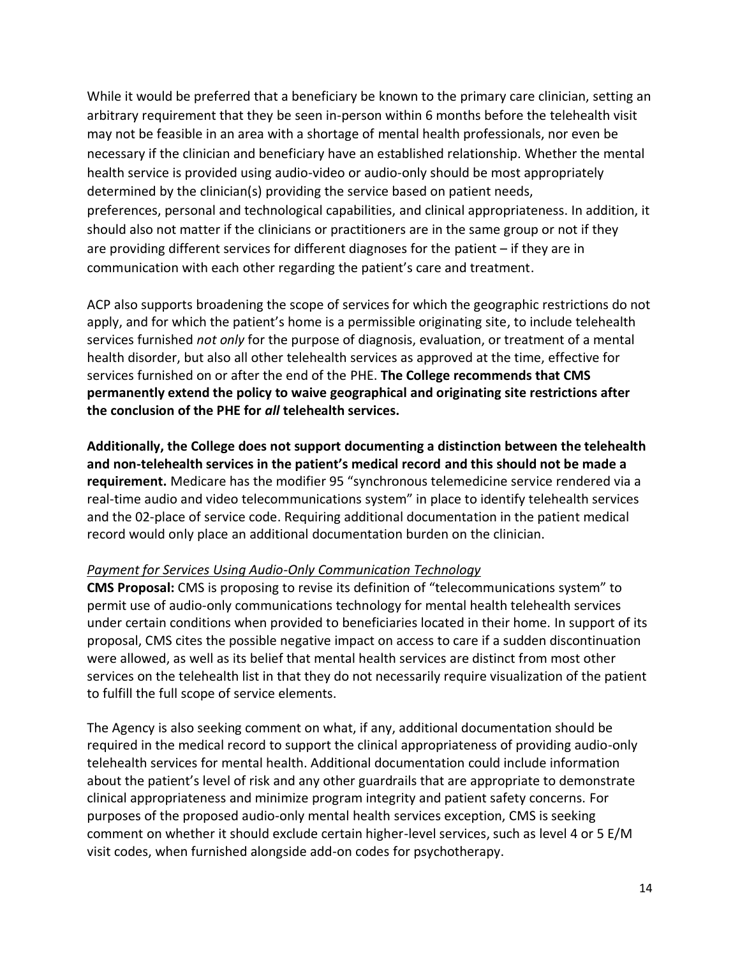While it would be preferred that a beneficiary be known to the primary care clinician, setting an arbitrary requirement that they be seen in-person within 6 months before the telehealth visit may not be feasible in an area with a shortage of mental health professionals, nor even be necessary if the clinician and beneficiary have an established relationship. Whether the mental health service is provided using audio-video or audio-only should be most appropriately determined by the clinician(s) providing the service based on patient needs, preferences, personal and technological capabilities, and clinical appropriateness. In addition, it should also not matter if the clinicians or practitioners are in the same group or not if they are providing different services for different diagnoses for the patient – if they are in communication with each other regarding the patient's care and treatment.

ACP also supports broadening the scope of services for which the geographic restrictions do not apply, and for which the patient's home is a permissible originating site, to include telehealth services furnished *not only* for the purpose of diagnosis, evaluation, or treatment of a mental health disorder, but also all other telehealth services as approved at the time, effective for services furnished on or after the end of the PHE. **The College recommends that CMS permanently extend the policy to waive geographical and originating site restrictions after the conclusion of the PHE for** *all* **telehealth services.** 

**Additionally, the College does not support documenting a distinction between the telehealth and non-telehealth services in the patient's medical record and this should not be made a requirement.** Medicare has the modifier 95 "synchronous telemedicine service rendered via a real-time audio and video telecommunications system" in place to identify telehealth services and the 02-place of service code. Requiring additional documentation in the patient medical record would only place an additional documentation burden on the clinician.

#### *Payment for Services Using Audio-Only Communication Technology*

**CMS Proposal:** CMS is proposing to revise its definition of "telecommunications system" to permit use of audio-only communications technology for mental health telehealth services under certain conditions when provided to beneficiaries located in their home. In support of its proposal, CMS cites the possible negative impact on access to care if a sudden discontinuation were allowed, as well as its belief that mental health services are distinct from most other services on the telehealth list in that they do not necessarily require visualization of the patient to fulfill the full scope of service elements.

The Agency is also seeking comment on what, if any, additional documentation should be required in the medical record to support the clinical appropriateness of providing audio-only telehealth services for mental health. Additional documentation could include information about the patient's level of risk and any other guardrails that are appropriate to demonstrate clinical appropriateness and minimize program integrity and patient safety concerns. For purposes of the proposed audio-only mental health services exception, CMS is seeking comment on whether it should exclude certain higher-level services, such as level 4 or 5 E/M visit codes, when furnished alongside add-on codes for psychotherapy.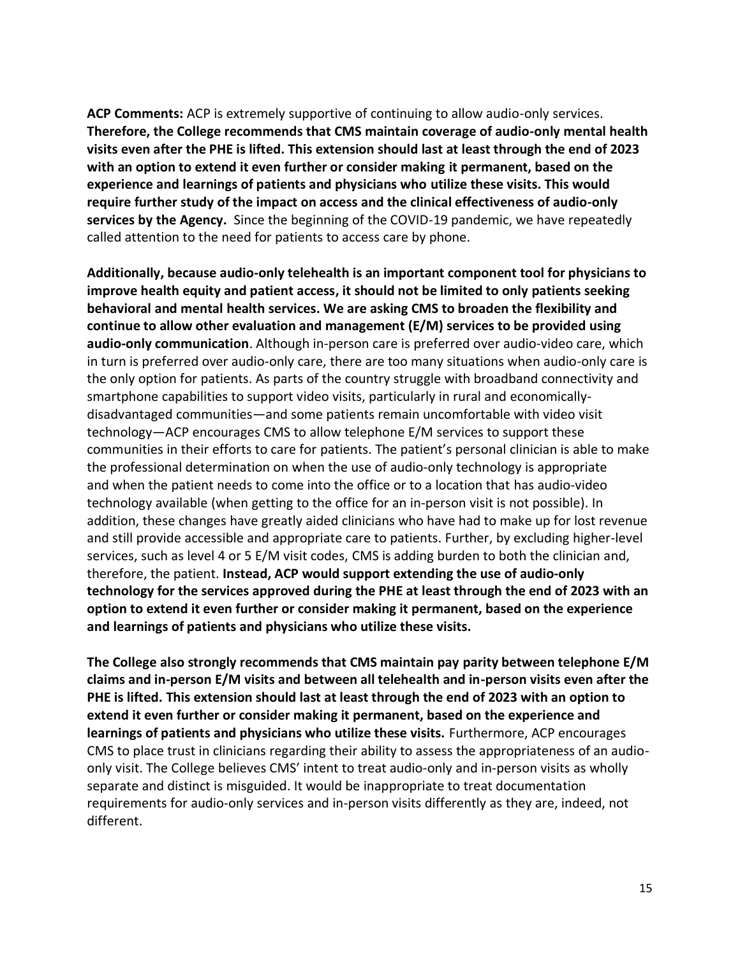**ACP Comments:** ACP is extremely supportive of continuing to allow audio-only services. **Therefore, the College recommends that CMS maintain coverage of audio-only mental health visits even after the PHE is lifted. This extension should last at least through the end of 2023 with an option to extend it even further or consider making it permanent, based on the experience and learnings of patients and physicians who utilize these visits. This would require further study of the impact on access and the clinical effectiveness of audio-only services by the Agency.** Since the beginning of the COVID-19 pandemic, we have repeatedly called attention to the need for patients to access care by phone.

**Additionally, because audio-only telehealth is an important component tool for physicians to improve health equity and patient access, it should not be limited to only patients seeking behavioral and mental health services. We are asking CMS to broaden the flexibility and continue to allow other evaluation and management (E/M) services to be provided using audio-only communication**. Although in-person care is preferred over audio-video care, which in turn is preferred over audio-only care, there are too many situations when audio-only care is the only option for patients. As parts of the country struggle with broadband connectivity and smartphone capabilities to support video visits, particularly in rural and economicallydisadvantaged communities—and some patients remain uncomfortable with video visit technology—ACP encourages CMS to allow telephone E/M services to support these communities in their efforts to care for patients. The patient's personal clinician is able to make the professional determination on when the use of audio-only technology is appropriate and when the patient needs to come into the office or to a location that has audio-video technology available (when getting to the office for an in-person visit is not possible). In addition, these changes have greatly aided clinicians who have had to make up for lost revenue and still provide accessible and appropriate care to patients. Further, by excluding higher-level services, such as level 4 or 5 E/M visit codes, CMS is adding burden to both the clinician and, therefore, the patient. **Instead, ACP would support extending the use of audio-only technology for the services approved during the PHE at least through the end of 2023 with an option to extend it even further or consider making it permanent, based on the experience and learnings of patients and physicians who utilize these visits.**

**The College also strongly recommends that CMS maintain pay parity between telephone E/M claims and in-person E/M visits and between all telehealth and in-person visits even after the PHE is lifted. This extension should last at least through the end of 2023 with an option to extend it even further or consider making it permanent, based on the experience and learnings of patients and physicians who utilize these visits.** Furthermore, ACP encourages CMS to place trust in clinicians regarding their ability to assess the appropriateness of an audioonly visit. The College believes CMS' intent to treat audio-only and in-person visits as wholly separate and distinct is misguided. It would be inappropriate to treat documentation requirements for audio-only services and in-person visits differently as they are, indeed, not different.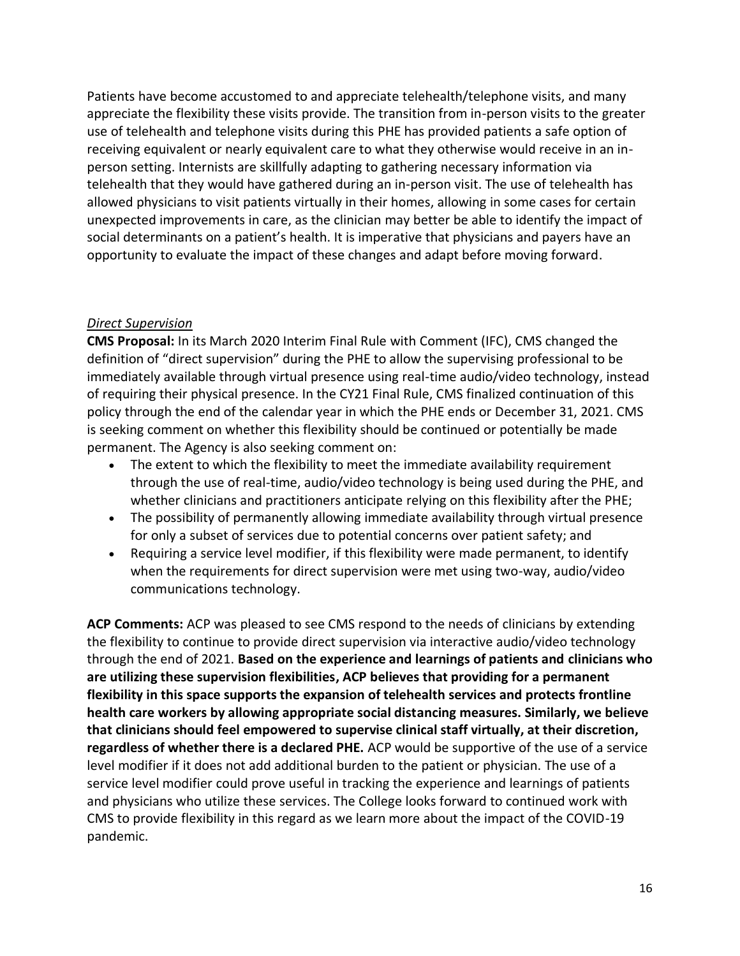Patients have become accustomed to and appreciate telehealth/telephone visits, and many appreciate the flexibility these visits provide. The transition from in-person visits to the greater use of telehealth and telephone visits during this PHE has provided patients a safe option of receiving equivalent or nearly equivalent care to what they otherwise would receive in an inperson setting. Internists are skillfully adapting to gathering necessary information via telehealth that they would have gathered during an in-person visit. The use of telehealth has allowed physicians to visit patients virtually in their homes, allowing in some cases for certain unexpected improvements in care, as the clinician may better be able to identify the impact of social determinants on a patient's health. It is imperative that physicians and payers have an opportunity to evaluate the impact of these changes and adapt before moving forward.

### *Direct Supervision*

**CMS Proposal:** In its March 2020 Interim Final Rule with Comment (IFC), CMS changed the definition of "direct supervision" during the PHE to allow the supervising professional to be immediately available through virtual presence using real-time audio/video technology, instead of requiring their physical presence. In the CY21 Final Rule, CMS finalized continuation of this policy through the end of the calendar year in which the PHE ends or December 31, 2021. CMS is seeking comment on whether this flexibility should be continued or potentially be made permanent. The Agency is also seeking comment on:

- The extent to which the flexibility to meet the immediate availability requirement through the use of real-time, audio/video technology is being used during the PHE, and whether clinicians and practitioners anticipate relying on this flexibility after the PHE;
- The possibility of permanently allowing immediate availability through virtual presence for only a subset of services due to potential concerns over patient safety; and
- Requiring a service level modifier, if this flexibility were made permanent, to identify when the requirements for direct supervision were met using two-way, audio/video communications technology.

**ACP Comments:** ACP was pleased to see CMS respond to the needs of clinicians by extending the flexibility to continue to provide direct supervision via interactive audio/video technology through the end of 2021. **Based on the experience and learnings of patients and clinicians who are utilizing these supervision flexibilities, ACP believes that providing for a permanent flexibility in this space supports the expansion of telehealth services and protects frontline health care workers by allowing appropriate social distancing measures. Similarly, we believe that clinicians should feel empowered to supervise clinical staff virtually, at their discretion, regardless of whether there is a declared PHE.** ACP would be supportive of the use of a service level modifier if it does not add additional burden to the patient or physician. The use of a service level modifier could prove useful in tracking the experience and learnings of patients and physicians who utilize these services. The College looks forward to continued work with CMS to provide flexibility in this regard as we learn more about the impact of the COVID-19 pandemic.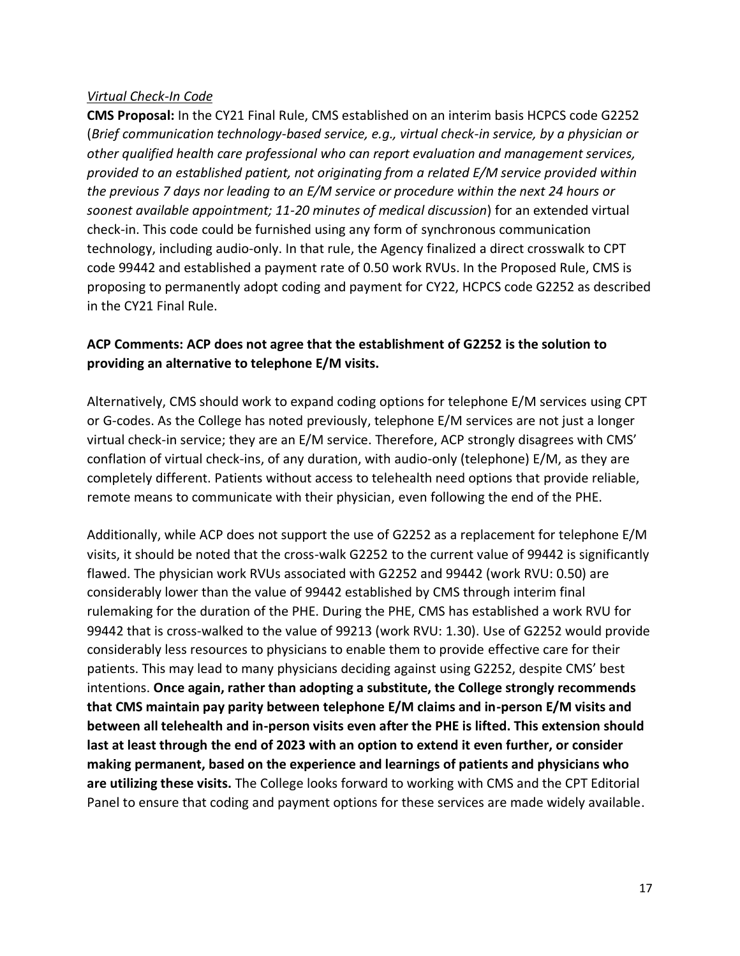#### *Virtual Check-In Code*

**CMS Proposal:** In the CY21 Final Rule, CMS established on an interim basis HCPCS code G2252 (*Brief communication technology-based service, e.g., virtual check-in service, by a physician or other qualified health care professional who can report evaluation and management services, provided to an established patient, not originating from a related E/M service provided within the previous 7 days nor leading to an E/M service or procedure within the next 24 hours or soonest available appointment; 11-20 minutes of medical discussion*) for an extended virtual check-in. This code could be furnished using any form of synchronous communication technology, including audio-only. In that rule, the Agency finalized a direct crosswalk to CPT code 99442 and established a payment rate of 0.50 work RVUs. In the Proposed Rule, CMS is proposing to permanently adopt coding and payment for CY22, HCPCS code G2252 as described in the CY21 Final Rule.

### **ACP Comments: ACP does not agree that the establishment of G2252 is the solution to providing an alternative to telephone E/M visits.**

Alternatively, CMS should work to expand coding options for telephone E/M services using CPT or G-codes. As the College has noted previously, telephone E/M services are not just a longer virtual check-in service; they are an E/M service. Therefore, ACP strongly disagrees with CMS' conflation of virtual check-ins, of any duration, with audio-only (telephone) E/M, as they are completely different. Patients without access to telehealth need options that provide reliable, remote means to communicate with their physician, even following the end of the PHE.

Additionally, while ACP does not support the use of G2252 as a replacement for telephone E/M visits, it should be noted that the cross-walk G2252 to the current value of 99442 is significantly flawed. The physician work RVUs associated with G2252 and 99442 (work RVU: 0.50) are considerably lower than the value of 99442 established by CMS through interim final rulemaking for the duration of the PHE. During the PHE, CMS has established a work RVU for 99442 that is cross-walked to the value of 99213 (work RVU: 1.30). Use of G2252 would provide considerably less resources to physicians to enable them to provide effective care for their patients. This may lead to many physicians deciding against using G2252, despite CMS' best intentions. **Once again, rather than adopting a substitute, the College strongly recommends that CMS maintain pay parity between telephone E/M claims and in-person E/M visits and between all telehealth and in-person visits even after the PHE is lifted. This extension should last at least through the end of 2023 with an option to extend it even further, or consider making permanent, based on the experience and learnings of patients and physicians who are utilizing these visits.** The College looks forward to working with CMS and the CPT Editorial Panel to ensure that coding and payment options for these services are made widely available.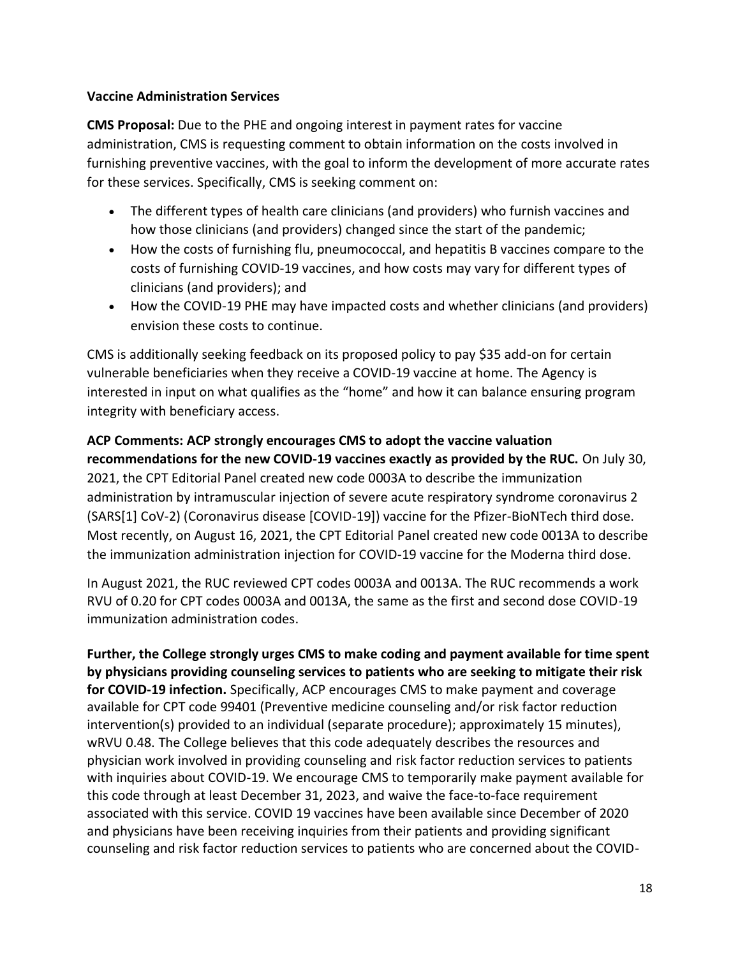#### **Vaccine Administration Services**

**CMS Proposal:** Due to the PHE and ongoing interest in payment rates for vaccine administration, CMS is requesting comment to obtain information on the costs involved in furnishing preventive vaccines, with the goal to inform the development of more accurate rates for these services. Specifically, CMS is seeking comment on:

- The different types of health care clinicians (and providers) who furnish vaccines and how those clinicians (and providers) changed since the start of the pandemic;
- How the costs of furnishing flu, pneumococcal, and hepatitis B vaccines compare to the costs of furnishing COVID-19 vaccines, and how costs may vary for different types of clinicians (and providers); and
- How the COVID-19 PHE may have impacted costs and whether clinicians (and providers) envision these costs to continue.

CMS is additionally seeking feedback on its proposed policy to pay \$35 add-on for certain vulnerable beneficiaries when they receive a COVID-19 vaccine at home. The Agency is interested in input on what qualifies as the "home" and how it can balance ensuring program integrity with beneficiary access.

**ACP Comments: ACP strongly encourages CMS to adopt the vaccine valuation recommendations for the new COVID-19 vaccines exactly as provided by the RUC.** On July 30, 2021, the CPT Editorial Panel created new code 0003A to describe the immunization administration by intramuscular injection of severe acute respiratory syndrome coronavirus 2 (SARS[1] CoV-2) (Coronavirus disease [COVID-19]) vaccine for the Pfizer-BioNTech third dose. Most recently, on August 16, 2021, the CPT Editorial Panel created new code 0013A to describe the immunization administration injection for COVID-19 vaccine for the Moderna third dose.

In August 2021, the RUC reviewed CPT codes 0003A and 0013A. The RUC recommends a work RVU of 0.20 for CPT codes 0003A and 0013A, the same as the first and second dose COVID-19 immunization administration codes.

**Further, the College strongly urges CMS to make coding and payment available for time spent by physicians providing counseling services to patients who are seeking to mitigate their risk for COVID-19 infection.** Specifically, ACP encourages CMS to make payment and coverage available for CPT code 99401 (Preventive medicine counseling and/or risk factor reduction intervention(s) provided to an individual (separate procedure); approximately 15 minutes), wRVU 0.48. The College believes that this code adequately describes the resources and physician work involved in providing counseling and risk factor reduction services to patients with inquiries about COVID-19. We encourage CMS to temporarily make payment available for this code through at least December 31, 2023, and waive the face-to-face requirement associated with this service. COVID 19 vaccines have been available since December of 2020 and physicians have been receiving inquiries from their patients and providing significant counseling and risk factor reduction services to patients who are concerned about the COVID-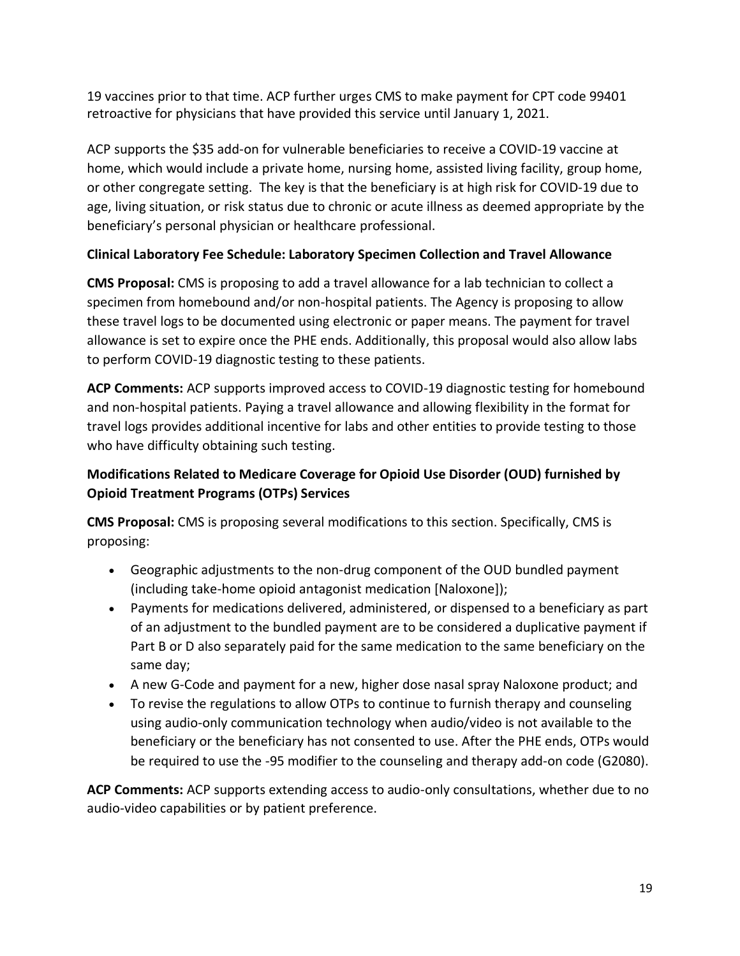19 vaccines prior to that time. ACP further urges CMS to make payment for CPT code 99401 retroactive for physicians that have provided this service until January 1, 2021.

ACP supports the \$35 add-on for vulnerable beneficiaries to receive a COVID-19 vaccine at home, which would include a private home, nursing home, assisted living facility, group home, or other congregate setting. The key is that the beneficiary is at high risk for COVID-19 due to age, living situation, or risk status due to chronic or acute illness as deemed appropriate by the beneficiary's personal physician or healthcare professional.

# **Clinical Laboratory Fee Schedule: Laboratory Specimen Collection and Travel Allowance**

**CMS Proposal:** CMS is proposing to add a travel allowance for a lab technician to collect a specimen from homebound and/or non-hospital patients. The Agency is proposing to allow these travel logs to be documented using electronic or paper means. The payment for travel allowance is set to expire once the PHE ends. Additionally, this proposal would also allow labs to perform COVID-19 diagnostic testing to these patients.

**ACP Comments:** ACP supports improved access to COVID-19 diagnostic testing for homebound and non-hospital patients. Paying a travel allowance and allowing flexibility in the format for travel logs provides additional incentive for labs and other entities to provide testing to those who have difficulty obtaining such testing.

# **Modifications Related to Medicare Coverage for Opioid Use Disorder (OUD) furnished by Opioid Treatment Programs (OTPs) Services**

**CMS Proposal:** CMS is proposing several modifications to this section. Specifically, CMS is proposing:

- Geographic adjustments to the non-drug component of the OUD bundled payment (including take-home opioid antagonist medication [Naloxone]);
- Payments for medications delivered, administered, or dispensed to a beneficiary as part of an adjustment to the bundled payment are to be considered a duplicative payment if Part B or D also separately paid for the same medication to the same beneficiary on the same day;
- A new G-Code and payment for a new, higher dose nasal spray Naloxone product; and
- To revise the regulations to allow OTPs to continue to furnish therapy and counseling using audio-only communication technology when audio/video is not available to the beneficiary or the beneficiary has not consented to use. After the PHE ends, OTPs would be required to use the -95 modifier to the counseling and therapy add-on code (G2080).

**ACP Comments:** ACP supports extending access to audio-only consultations, whether due to no audio-video capabilities or by patient preference.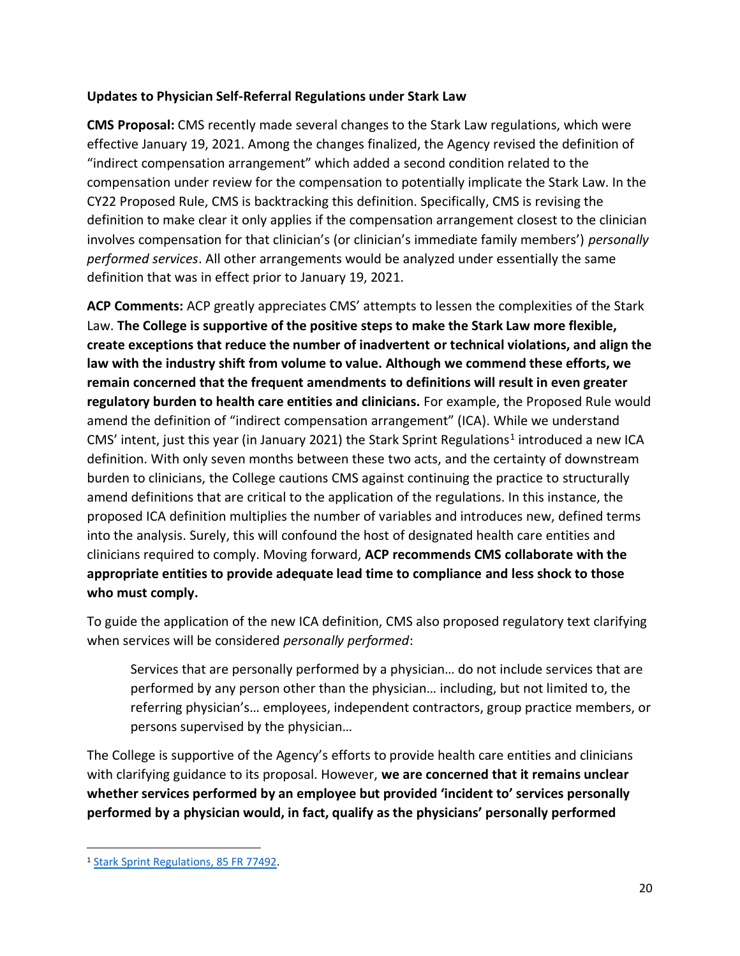### **Updates to Physician Self-Referral Regulations under Stark Law**

**CMS Proposal:** CMS recently made several changes to the Stark Law regulations, which were effective January 19, 2021. Among the changes finalized, the Agency revised the definition of "indirect compensation arrangement" which added a second condition related to the compensation under review for the compensation to potentially implicate the Stark Law. In the CY22 Proposed Rule, CMS is backtracking this definition. Specifically, CMS is revising the definition to make clear it only applies if the compensation arrangement closest to the clinician involves compensation for that clinician's (or clinician's immediate family members') *personally performed services*. All other arrangements would be analyzed under essentially the same definition that was in effect prior to January 19, 2021.

**ACP Comments:** ACP greatly appreciates CMS' attempts to lessen the complexities of the Stark Law. **The College is supportive of the positive steps to make the Stark Law more flexible, create exceptions that reduce the number of inadvertent or technical violations, and align the law with the industry shift from volume to value. Although we commend these efforts, we remain concerned that the frequent amendments to definitions will result in even greater regulatory burden to health care entities and clinicians.** For example, the Proposed Rule would amend the definition of "indirect compensation arrangement" (ICA). While we understand CMS' intent, just this year (in January 2021) the Stark Sprint Regulations<sup>1</sup> introduced a new ICA definition. With only seven months between these two acts, and the certainty of downstream burden to clinicians, the College cautions CMS against continuing the practice to structurally amend definitions that are critical to the application of the regulations. In this instance, the proposed ICA definition multiplies the number of variables and introduces new, defined terms into the analysis. Surely, this will confound the host of designated health care entities and clinicians required to comply. Moving forward, **ACP recommends CMS collaborate with the appropriate entities to provide adequate lead time to compliance and less shock to those who must comply.**

To guide the application of the new ICA definition, CMS also proposed regulatory text clarifying when services will be considered *personally performed*:

Services that are personally performed by a physician… do not include services that are performed by any person other than the physician… including, but not limited to, the referring physician's… employees, independent contractors, group practice members, or persons supervised by the physician…

The College is supportive of the Agency's efforts to provide health care entities and clinicians with clarifying guidance to its proposal. However, **we are concerned that it remains unclear whether services performed by an employee but provided 'incident to' services personally performed by a physician would, in fact, qualify as the physicians' personally performed** 

<sup>1</sup> [Stark Sprint Regulations, 85 FR 77492.](https://www.federalregister.gov/documents/2020/12/02/2020-26140/medicare-program-modernizing-and-clarifying-the-physician-self-referral-regulations)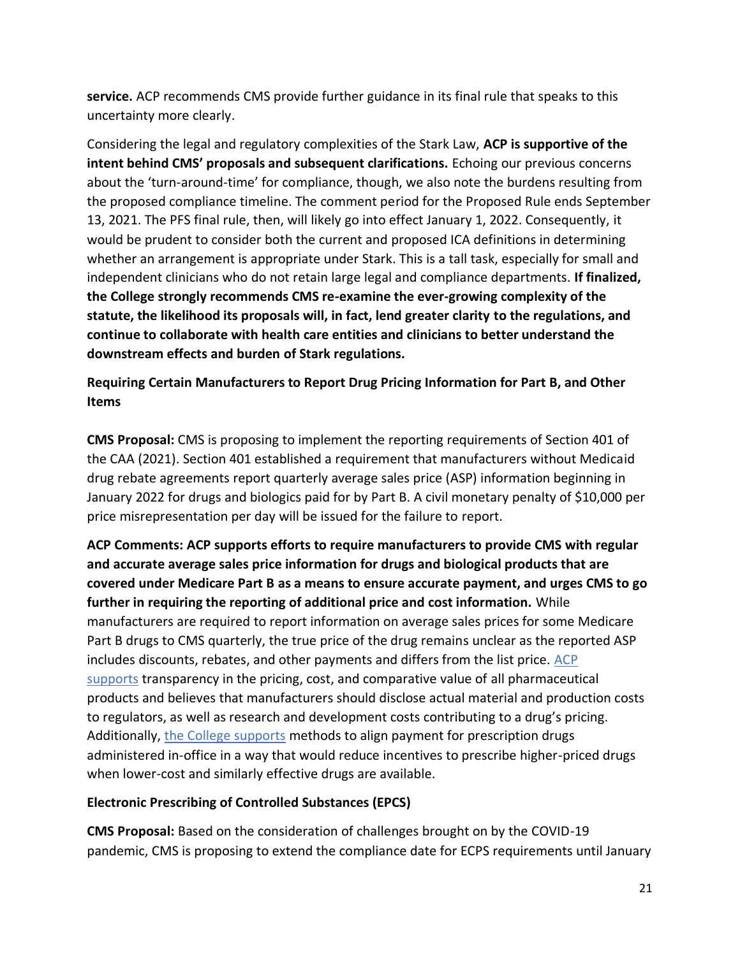**service.** ACP recommends CMS provide further guidance in its final rule that speaks to this uncertainty more clearly.

Considering the legal and regulatory complexities of the Stark Law, **ACP is supportive of the intent behind CMS' proposals and subsequent clarifications.** Echoing our previous concerns about the 'turn-around-time' for compliance, though, we also note the burdens resulting from the proposed compliance timeline. The comment period for the Proposed Rule ends September 13, 2021. The PFS final rule, then, will likely go into effect January 1, 2022. Consequently, it would be prudent to consider both the current and proposed ICA definitions in determining whether an arrangement is appropriate under Stark. This is a tall task, especially for small and independent clinicians who do not retain large legal and compliance departments. **If finalized, the College strongly recommends CMS re-examine the ever-growing complexity of the statute, the likelihood its proposals will, in fact, lend greater clarity to the regulations, and continue to collaborate with health care entities and clinicians to better understand the downstream effects and burden of Stark regulations.**

**Requiring Certain Manufacturers to Report Drug Pricing Information for Part B, and Other Items**

**CMS Proposal:** CMS is proposing to implement the reporting requirements of Section 401 of the CAA (2021). Section 401 established a requirement that manufacturers without Medicaid drug rebate agreements report quarterly average sales price (ASP) information beginning in January 2022 for drugs and biologics paid for by Part B. A civil monetary penalty of \$10,000 per price misrepresentation per day will be issued for the failure to report.

**ACP Comments: ACP supports efforts to require manufacturers to provide CMS with regular and accurate average sales price information for drugs and biological products that are covered under Medicare Part B as a means to ensure accurate payment, and urges CMS to go further in requiring the reporting of additional price and cost information.** While manufacturers are required to report information on average sales prices for some Medicare Part B drugs to CMS quarterly, the true price of the drug remains unclear as the reported ASP includes discounts, rebates, and other payments and differs from the list price. ACP [supports](https://www.acpjournals.org/doi/10.7326/M15-2768) transparency in the pricing, cost, and comparative value of all pharmaceutical products and believes that manufacturers should disclose actual material and production costs to regulators, as well as research and development costs contributing to a drug's pricing. Additionally, [the College supports](https://www.acpjournals.org/doi/10.7326/M19-0013) methods to align payment for prescription drugs administered in-office in a way that would reduce incentives to prescribe higher-priced drugs when lower-cost and similarly effective drugs are available.

#### **Electronic Prescribing of Controlled Substances (EPCS)**

**CMS Proposal:** Based on the consideration of challenges brought on by the COVID-19 pandemic, CMS is proposing to extend the compliance date for ECPS requirements until January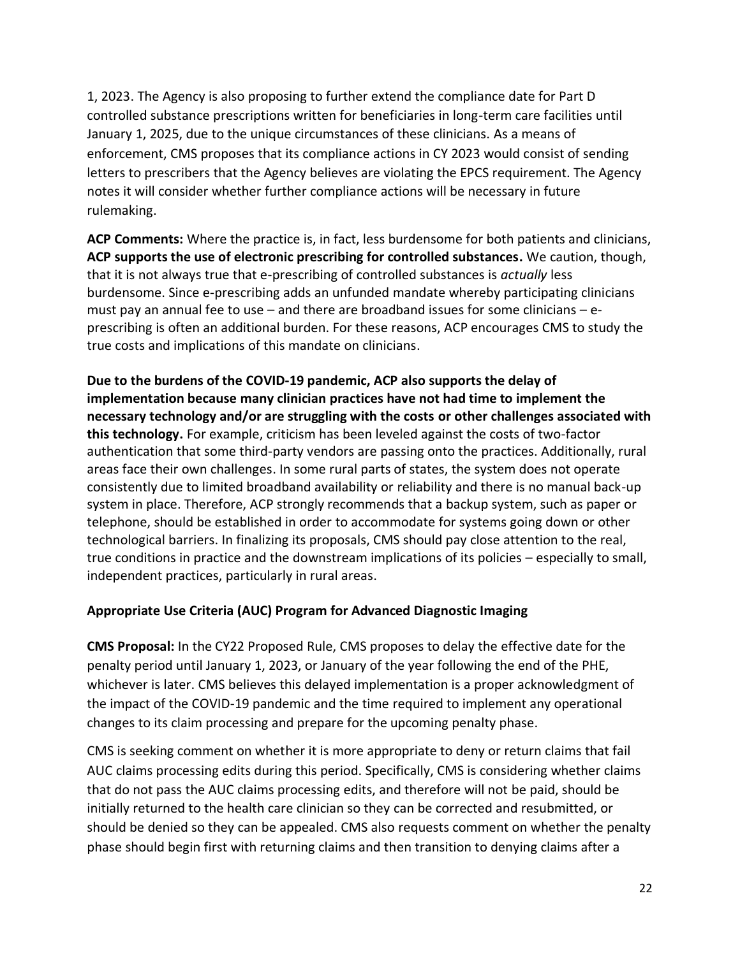1, 2023. The Agency is also proposing to further extend the compliance date for Part D controlled substance prescriptions written for beneficiaries in long-term care facilities until January 1, 2025, due to the unique circumstances of these clinicians. As a means of enforcement, CMS proposes that its compliance actions in CY 2023 would consist of sending letters to prescribers that the Agency believes are violating the EPCS requirement. The Agency notes it will consider whether further compliance actions will be necessary in future rulemaking.

**ACP Comments:** Where the practice is, in fact, less burdensome for both patients and clinicians, **ACP supports the use of electronic prescribing for controlled substances.** We caution, though, that it is not always true that e-prescribing of controlled substances is *actually* less burdensome. Since e-prescribing adds an unfunded mandate whereby participating clinicians must pay an annual fee to use  $-$  and there are broadband issues for some clinicians  $-$  eprescribing is often an additional burden. For these reasons, ACP encourages CMS to study the true costs and implications of this mandate on clinicians.

**Due to the burdens of the COVID-19 pandemic, ACP also supports the delay of implementation because many clinician practices have not had time to implement the necessary technology and/or are struggling with the costs or other challenges associated with this technology.** For example, criticism has been leveled against the costs of two-factor authentication that some third-party vendors are passing onto the practices. Additionally, rural areas face their own challenges. In some rural parts of states, the system does not operate consistently due to limited broadband availability or reliability and there is no manual back-up system in place. Therefore, ACP strongly recommends that a backup system, such as paper or telephone, should be established in order to accommodate for systems going down or other technological barriers. In finalizing its proposals, CMS should pay close attention to the real, true conditions in practice and the downstream implications of its policies – especially to small, independent practices, particularly in rural areas.

### **Appropriate Use Criteria (AUC) Program for Advanced Diagnostic Imaging**

**CMS Proposal:** In the CY22 Proposed Rule, CMS proposes to delay the effective date for the penalty period until January 1, 2023, or January of the year following the end of the PHE, whichever is later. CMS believes this delayed implementation is a proper acknowledgment of the impact of the COVID-19 pandemic and the time required to implement any operational changes to its claim processing and prepare for the upcoming penalty phase.

CMS is seeking comment on whether it is more appropriate to deny or return claims that fail AUC claims processing edits during this period. Specifically, CMS is considering whether claims that do not pass the AUC claims processing edits, and therefore will not be paid, should be initially returned to the health care clinician so they can be corrected and resubmitted, or should be denied so they can be appealed. CMS also requests comment on whether the penalty phase should begin first with returning claims and then transition to denying claims after a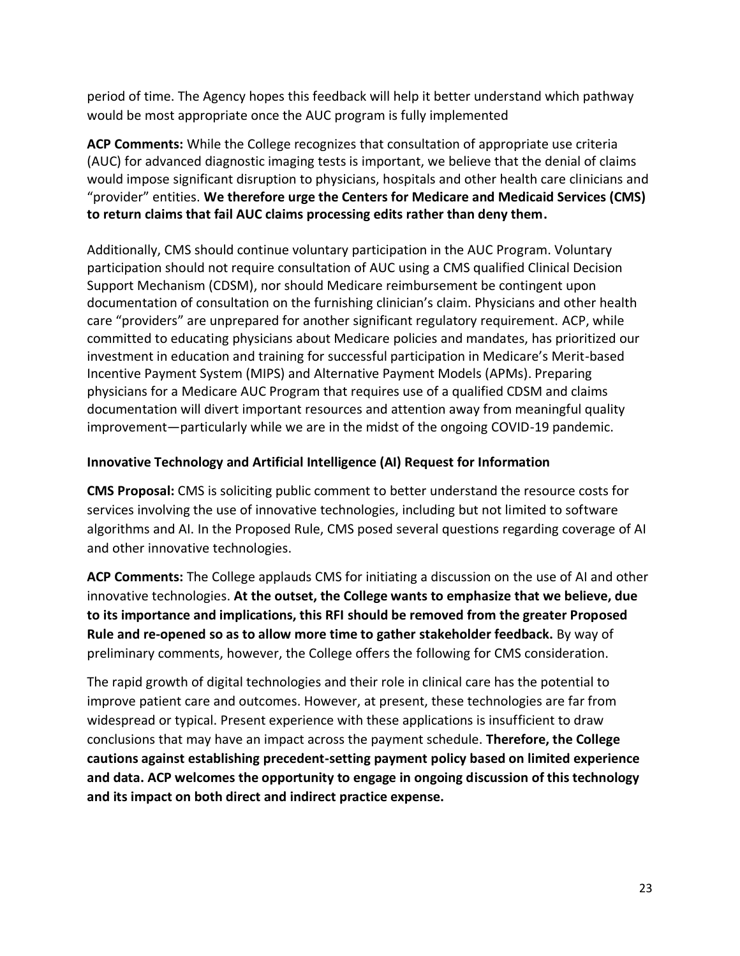period of time. The Agency hopes this feedback will help it better understand which pathway would be most appropriate once the AUC program is fully implemented

**ACP Comments:** While the College recognizes that consultation of appropriate use criteria (AUC) for advanced diagnostic imaging tests is important, we believe that the denial of claims would impose significant disruption to physicians, hospitals and other health care clinicians and "provider" entities. **We therefore urge the Centers for Medicare and Medicaid Services (CMS) to return claims that fail AUC claims processing edits rather than deny them.** 

Additionally, CMS should continue voluntary participation in the AUC Program. Voluntary participation should not require consultation of AUC using a CMS qualified Clinical Decision Support Mechanism (CDSM), nor should Medicare reimbursement be contingent upon documentation of consultation on the furnishing clinician's claim. Physicians and other health care "providers" are unprepared for another significant regulatory requirement. ACP, while committed to educating physicians about Medicare policies and mandates, has prioritized our investment in education and training for successful participation in Medicare's Merit-based Incentive Payment System (MIPS) and Alternative Payment Models (APMs). Preparing physicians for a Medicare AUC Program that requires use of a qualified CDSM and claims documentation will divert important resources and attention away from meaningful quality improvement—particularly while we are in the midst of the ongoing COVID-19 pandemic.

### **Innovative Technology and Artificial Intelligence (AI) Request for Information**

**CMS Proposal:** CMS is soliciting public comment to better understand the resource costs for services involving the use of innovative technologies, including but not limited to software algorithms and AI. In the Proposed Rule, CMS posed several questions regarding coverage of AI and other innovative technologies.

**ACP Comments:** The College applauds CMS for initiating a discussion on the use of AI and other innovative technologies. **At the outset, the College wants to emphasize that we believe, due to its importance and implications, this RFI should be removed from the greater Proposed Rule and re-opened so as to allow more time to gather stakeholder feedback.** By way of preliminary comments, however, the College offers the following for CMS consideration.

The rapid growth of digital technologies and their role in clinical care has the potential to improve patient care and outcomes. However, at present, these technologies are far from widespread or typical. Present experience with these applications is insufficient to draw conclusions that may have an impact across the payment schedule. **Therefore, the College cautions against establishing precedent-setting payment policy based on limited experience and data. ACP welcomes the opportunity to engage in ongoing discussion of this technology and its impact on both direct and indirect practice expense.**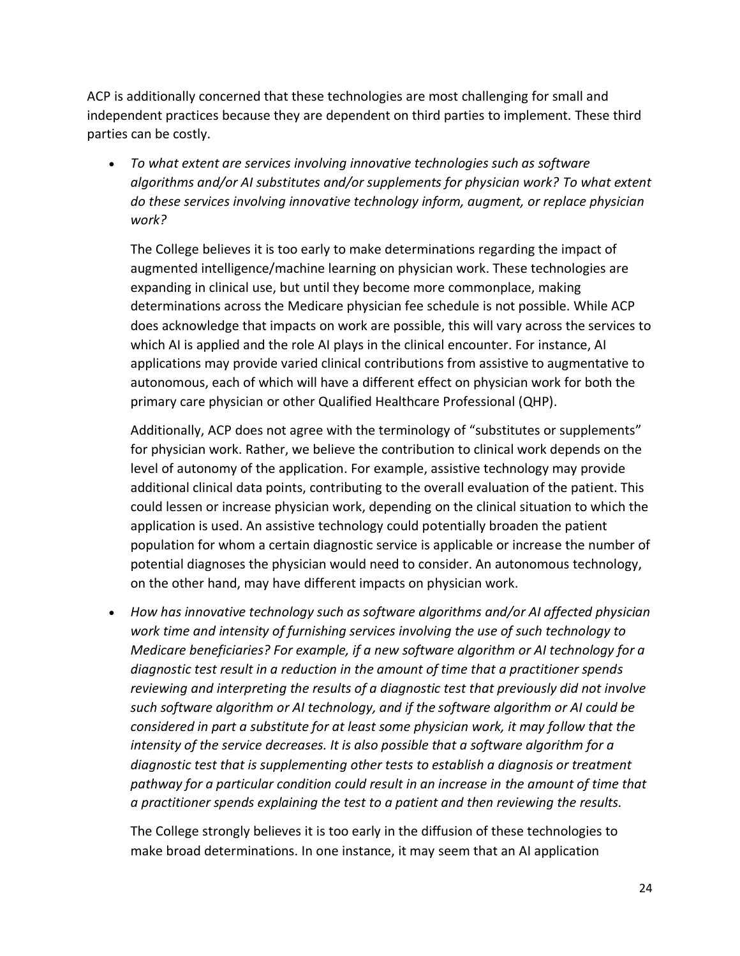ACP is additionally concerned that these technologies are most challenging for small and independent practices because they are dependent on third parties to implement. These third parties can be costly.

• *To what extent are services involving innovative technologies such as software algorithms and/or AI substitutes and/or supplements for physician work? To what extent do these services involving innovative technology inform, augment, or replace physician work?*

The College believes it is too early to make determinations regarding the impact of augmented intelligence/machine learning on physician work. These technologies are expanding in clinical use, but until they become more commonplace, making determinations across the Medicare physician fee schedule is not possible. While ACP does acknowledge that impacts on work are possible, this will vary across the services to which AI is applied and the role AI plays in the clinical encounter. For instance, AI applications may provide varied clinical contributions from assistive to augmentative to autonomous, each of which will have a different effect on physician work for both the primary care physician or other Qualified Healthcare Professional (QHP).

Additionally, ACP does not agree with the terminology of "substitutes or supplements" for physician work. Rather, we believe the contribution to clinical work depends on the level of autonomy of the application. For example, assistive technology may provide additional clinical data points, contributing to the overall evaluation of the patient. This could lessen or increase physician work, depending on the clinical situation to which the application is used. An assistive technology could potentially broaden the patient population for whom a certain diagnostic service is applicable or increase the number of potential diagnoses the physician would need to consider. An autonomous technology, on the other hand, may have different impacts on physician work.

• *How has innovative technology such as software algorithms and/or AI affected physician work time and intensity of furnishing services involving the use of such technology to Medicare beneficiaries? For example, if a new software algorithm or AI technology for a diagnostic test result in a reduction in the amount of time that a practitioner spends reviewing and interpreting the results of a diagnostic test that previously did not involve such software algorithm or AI technology, and if the software algorithm or AI could be considered in part a substitute for at least some physician work, it may follow that the intensity of the service decreases. It is also possible that a software algorithm for a diagnostic test that is supplementing other tests to establish a diagnosis or treatment pathway for a particular condition could result in an increase in the amount of time that a practitioner spends explaining the test to a patient and then reviewing the results.*

The College strongly believes it is too early in the diffusion of these technologies to make broad determinations. In one instance, it may seem that an AI application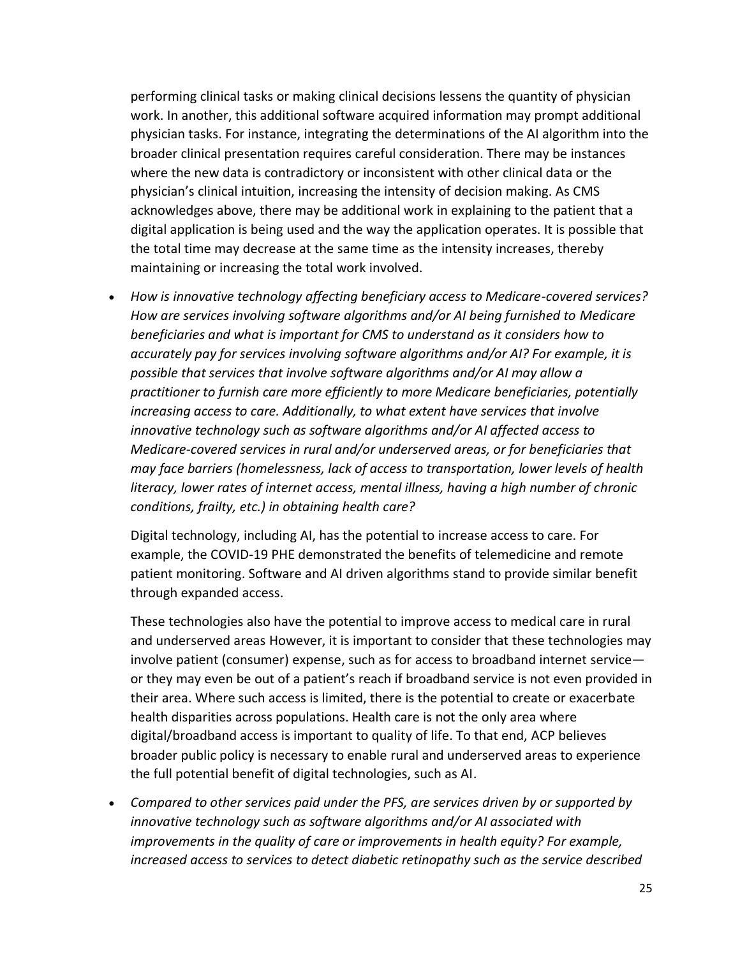performing clinical tasks or making clinical decisions lessens the quantity of physician work. In another, this additional software acquired information may prompt additional physician tasks. For instance, integrating the determinations of the AI algorithm into the broader clinical presentation requires careful consideration. There may be instances where the new data is contradictory or inconsistent with other clinical data or the physician's clinical intuition, increasing the intensity of decision making. As CMS acknowledges above, there may be additional work in explaining to the patient that a digital application is being used and the way the application operates. It is possible that the total time may decrease at the same time as the intensity increases, thereby maintaining or increasing the total work involved.

• *How is innovative technology affecting beneficiary access to Medicare-covered services? How are services involving software algorithms and/or AI being furnished to Medicare beneficiaries and what is important for CMS to understand as it considers how to accurately pay for services involving software algorithms and/or AI? For example, it is possible that services that involve software algorithms and/or AI may allow a practitioner to furnish care more efficiently to more Medicare beneficiaries, potentially increasing access to care. Additionally, to what extent have services that involve innovative technology such as software algorithms and/or AI affected access to Medicare-covered services in rural and/or underserved areas, or for beneficiaries that may face barriers (homelessness, lack of access to transportation, lower levels of health literacy, lower rates of internet access, mental illness, having a high number of chronic conditions, frailty, etc.) in obtaining health care?*

Digital technology, including AI, has the potential to increase access to care. For example, the COVID-19 PHE demonstrated the benefits of telemedicine and remote patient monitoring. Software and AI driven algorithms stand to provide similar benefit through expanded access.

These technologies also have the potential to improve access to medical care in rural and underserved areas However, it is important to consider that these technologies may involve patient (consumer) expense, such as for access to broadband internet service or they may even be out of a patient's reach if broadband service is not even provided in their area. Where such access is limited, there is the potential to create or exacerbate health disparities across populations. Health care is not the only area where digital/broadband access is important to quality of life. To that end, ACP believes broader public policy is necessary to enable rural and underserved areas to experience the full potential benefit of digital technologies, such as AI.

• *Compared to other services paid under the PFS, are services driven by or supported by innovative technology such as software algorithms and/or AI associated with improvements in the quality of care or improvements in health equity? For example, increased access to services to detect diabetic retinopathy such as the service described*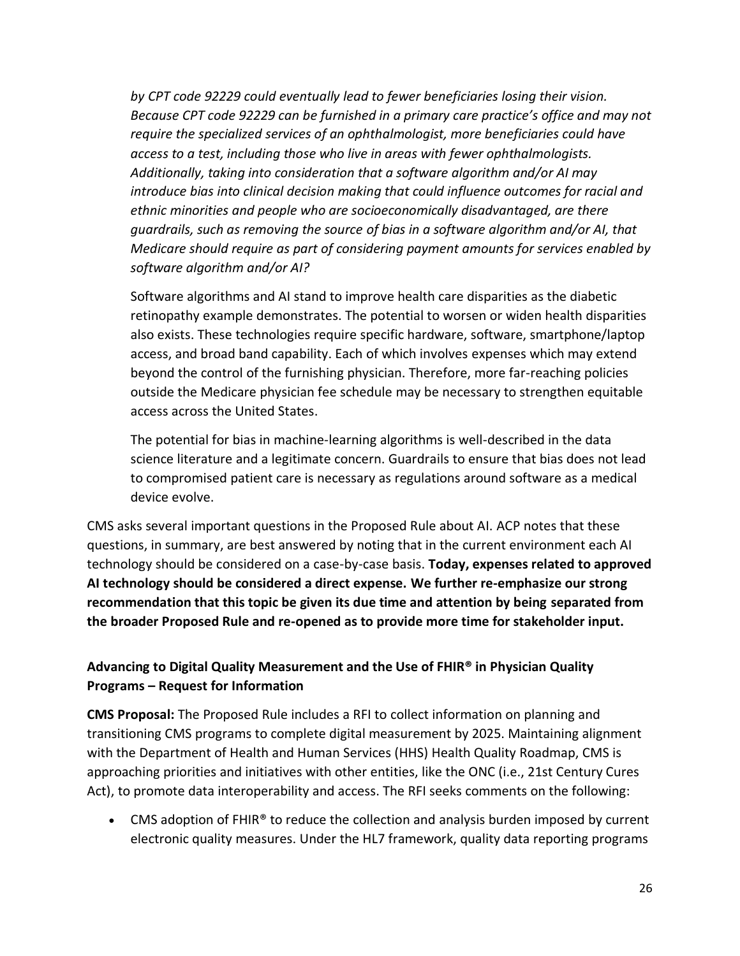*by CPT code 92229 could eventually lead to fewer beneficiaries losing their vision. Because CPT code 92229 can be furnished in a primary care practice's office and may not require the specialized services of an ophthalmologist, more beneficiaries could have access to a test, including those who live in areas with fewer ophthalmologists. Additionally, taking into consideration that a software algorithm and/or AI may introduce bias into clinical decision making that could influence outcomes for racial and ethnic minorities and people who are socioeconomically disadvantaged, are there guardrails, such as removing the source of bias in a software algorithm and/or AI, that Medicare should require as part of considering payment amounts for services enabled by software algorithm and/or AI?*

Software algorithms and AI stand to improve health care disparities as the diabetic retinopathy example demonstrates. The potential to worsen or widen health disparities also exists. These technologies require specific hardware, software, smartphone/laptop access, and broad band capability. Each of which involves expenses which may extend beyond the control of the furnishing physician. Therefore, more far-reaching policies outside the Medicare physician fee schedule may be necessary to strengthen equitable access across the United States.

The potential for bias in machine-learning algorithms is well-described in the data science literature and a legitimate concern. Guardrails to ensure that bias does not lead to compromised patient care is necessary as regulations around software as a medical device evolve.

CMS asks several important questions in the Proposed Rule about AI. ACP notes that these questions, in summary, are best answered by noting that in the current environment each AI technology should be considered on a case-by-case basis. **Today, expenses related to approved AI technology should be considered a direct expense. We further re-emphasize our strong recommendation that this topic be given its due time and attention by being separated from the broader Proposed Rule and re-opened as to provide more time for stakeholder input.**

## **Advancing to Digital Quality Measurement and the Use of FHIR® in Physician Quality Programs – Request for Information**

**CMS Proposal:** The Proposed Rule includes a RFI to collect information on planning and transitioning CMS programs to complete digital measurement by 2025. Maintaining alignment with the Department of Health and Human Services (HHS) Health Quality Roadmap, CMS is approaching priorities and initiatives with other entities, like the ONC (i.e., 21st Century Cures Act), to promote data interoperability and access. The RFI seeks comments on the following:

• CMS adoption of FHIR<sup>®</sup> to reduce the collection and analysis burden imposed by current electronic quality measures. Under the HL7 framework, quality data reporting programs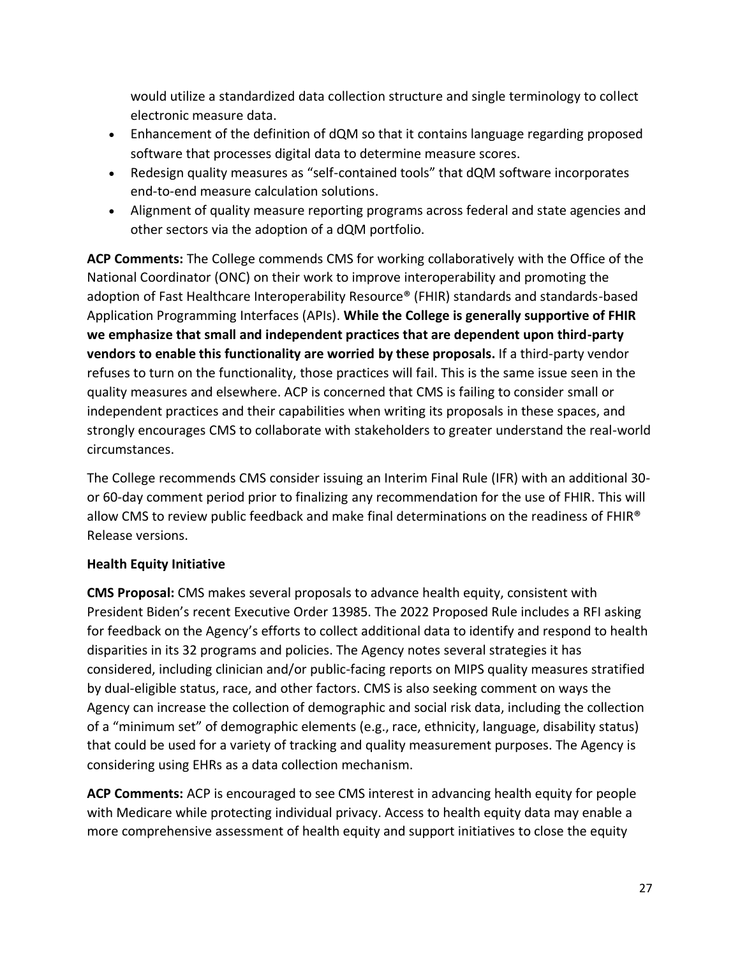would utilize a standardized data collection structure and single terminology to collect electronic measure data.

- Enhancement of the definition of dQM so that it contains language regarding proposed software that processes digital data to determine measure scores.
- Redesign quality measures as "self-contained tools" that dQM software incorporates end-to-end measure calculation solutions.
- Alignment of quality measure reporting programs across federal and state agencies and other sectors via the adoption of a dQM portfolio.

**ACP Comments:** The College commends CMS for working collaboratively with the Office of the National Coordinator (ONC) on their work to improve interoperability and promoting the adoption of Fast Healthcare Interoperability Resource® (FHIR) standards and standards-based Application Programming Interfaces (APIs). **While the College is generally supportive of FHIR we emphasize that small and independent practices that are dependent upon third-party vendors to enable this functionality are worried by these proposals.** If a third-party vendor refuses to turn on the functionality, those practices will fail. This is the same issue seen in the quality measures and elsewhere. ACP is concerned that CMS is failing to consider small or independent practices and their capabilities when writing its proposals in these spaces, and strongly encourages CMS to collaborate with stakeholders to greater understand the real-world circumstances.

The College recommends CMS consider issuing an Interim Final Rule (IFR) with an additional 30 or 60-day comment period prior to finalizing any recommendation for the use of FHIR. This will allow CMS to review public feedback and make final determinations on the readiness of FHIR® Release versions.

## **Health Equity Initiative**

**CMS Proposal:** CMS makes several proposals to advance health equity, consistent with President Biden's recent Executive Order 13985. The 2022 Proposed Rule includes a RFI asking for feedback on the Agency's efforts to collect additional data to identify and respond to health disparities in its 32 programs and policies. The Agency notes several strategies it has considered, including clinician and/or public-facing reports on MIPS quality measures stratified by dual-eligible status, race, and other factors. CMS is also seeking comment on ways the Agency can increase the collection of demographic and social risk data, including the collection of a "minimum set" of demographic elements (e.g., race, ethnicity, language, disability status) that could be used for a variety of tracking and quality measurement purposes. The Agency is considering using EHRs as a data collection mechanism.

**ACP Comments:** ACP is encouraged to see CMS interest in advancing health equity for people with Medicare while protecting individual privacy. Access to health equity data may enable a more comprehensive assessment of health equity and support initiatives to close the equity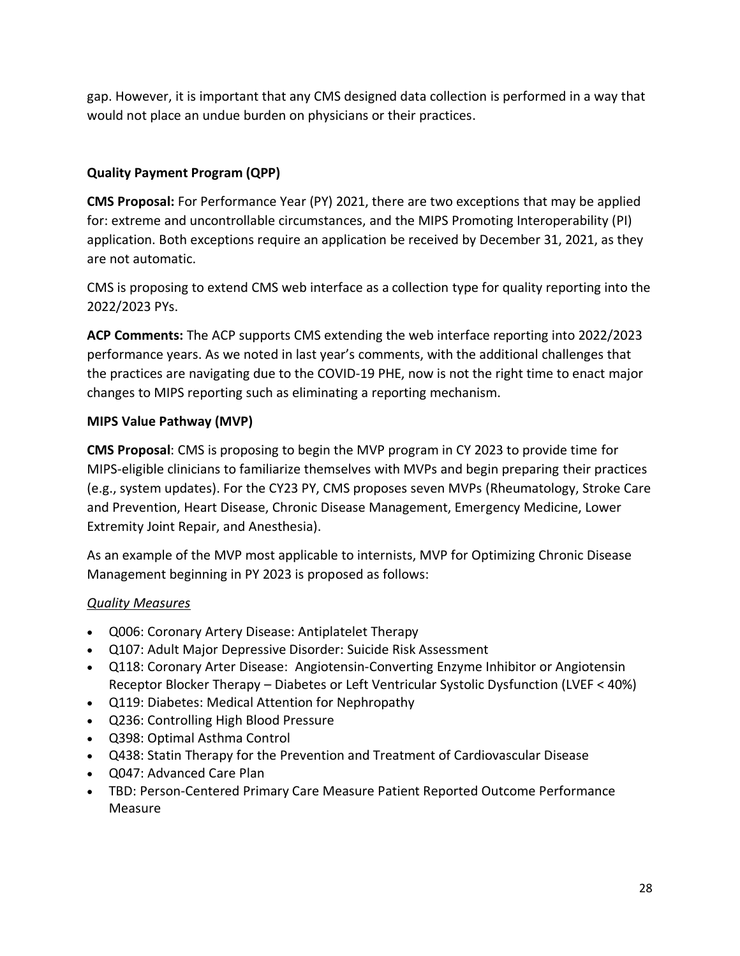gap. However, it is important that any CMS designed data collection is performed in a way that would not place an undue burden on physicians or their practices.

## **Quality Payment Program (QPP)**

**CMS Proposal:** For Performance Year (PY) 2021, there are two exceptions that may be applied for: extreme and uncontrollable circumstances, and the MIPS Promoting Interoperability (PI) application. Both exceptions require an application be received by December 31, 2021, as they are not automatic.

CMS is proposing to extend CMS web interface as a collection type for quality reporting into the 2022/2023 PYs.

**ACP Comments:** The ACP supports CMS extending the web interface reporting into 2022/2023 performance years. As we noted in last year's comments, with the additional challenges that the practices are navigating due to the COVID-19 PHE, now is not the right time to enact major changes to MIPS reporting such as eliminating a reporting mechanism.

# **MIPS Value Pathway (MVP)**

**CMS Proposal**: CMS is proposing to begin the MVP program in CY 2023 to provide time for MIPS-eligible clinicians to familiarize themselves with MVPs and begin preparing their practices (e.g., system updates). For the CY23 PY, CMS proposes seven MVPs (Rheumatology, Stroke Care and Prevention, Heart Disease, Chronic Disease Management, Emergency Medicine, Lower Extremity Joint Repair, and Anesthesia).

As an example of the MVP most applicable to internists, MVP for Optimizing Chronic Disease Management beginning in PY 2023 is proposed as follows:

## *Quality Measures*

- Q006: Coronary Artery Disease: Antiplatelet Therapy
- Q107: Adult Major Depressive Disorder: Suicide Risk Assessment
- Q118: Coronary Arter Disease: Angiotensin-Converting Enzyme Inhibitor or Angiotensin Receptor Blocker Therapy – Diabetes or Left Ventricular Systolic Dysfunction (LVEF < 40%)
- Q119: Diabetes: Medical Attention for Nephropathy
- Q236: Controlling High Blood Pressure
- Q398: Optimal Asthma Control
- Q438: Statin Therapy for the Prevention and Treatment of Cardiovascular Disease
- Q047: Advanced Care Plan
- TBD: Person-Centered Primary Care Measure Patient Reported Outcome Performance Measure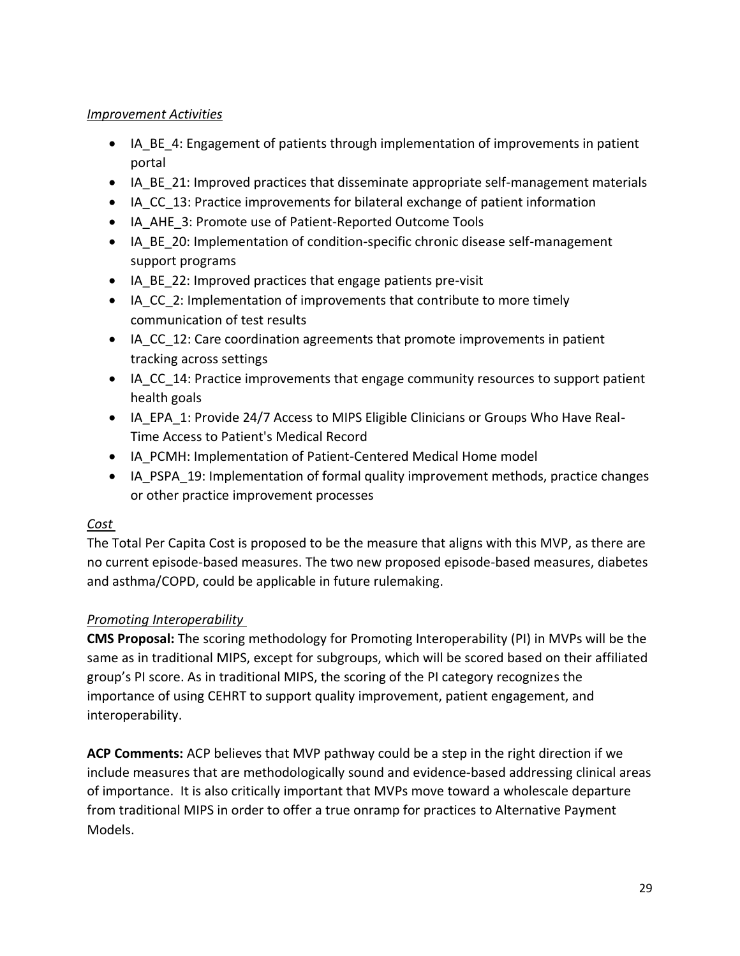### *Improvement Activities*

- IA BE 4: Engagement of patients through implementation of improvements in patient portal
- IA BE 21: Improved practices that disseminate appropriate self-management materials
- IA CC 13: Practice improvements for bilateral exchange of patient information
- IA\_AHE\_3: Promote use of Patient-Reported Outcome Tools
- IA BE 20: Implementation of condition-specific chronic disease self-management support programs
- IA BE 22: Improved practices that engage patients pre-visit
- IA CC 2: Implementation of improvements that contribute to more timely communication of test results
- IA CC 12: Care coordination agreements that promote improvements in patient tracking across settings
- IA CC 14: Practice improvements that engage community resources to support patient health goals
- IA EPA 1: Provide 24/7 Access to MIPS Eligible Clinicians or Groups Who Have Real-Time Access to Patient's Medical Record
- IA PCMH: Implementation of Patient-Centered Medical Home model
- IA PSPA 19: Implementation of formal quality improvement methods, practice changes or other practice improvement processes

### *Cost*

The Total Per Capita Cost is proposed to be the measure that aligns with this MVP, as there are no current episode-based measures. The two new proposed episode-based measures, diabetes and asthma/COPD, could be applicable in future rulemaking.

## *Promoting Interoperability*

**CMS Proposal:** The scoring methodology for Promoting Interoperability (PI) in MVPs will be the same as in traditional MIPS, except for subgroups, which will be scored based on their affiliated group's PI score. As in traditional MIPS, the scoring of the PI category recognizes the importance of using CEHRT to support quality improvement, patient engagement, and interoperability.

**ACP Comments:** ACP believes that MVP pathway could be a step in the right direction if we include measures that are methodologically sound and evidence-based addressing clinical areas of importance. It is also critically important that MVPs move toward a wholescale departure from traditional MIPS in order to offer a true onramp for practices to Alternative Payment Models.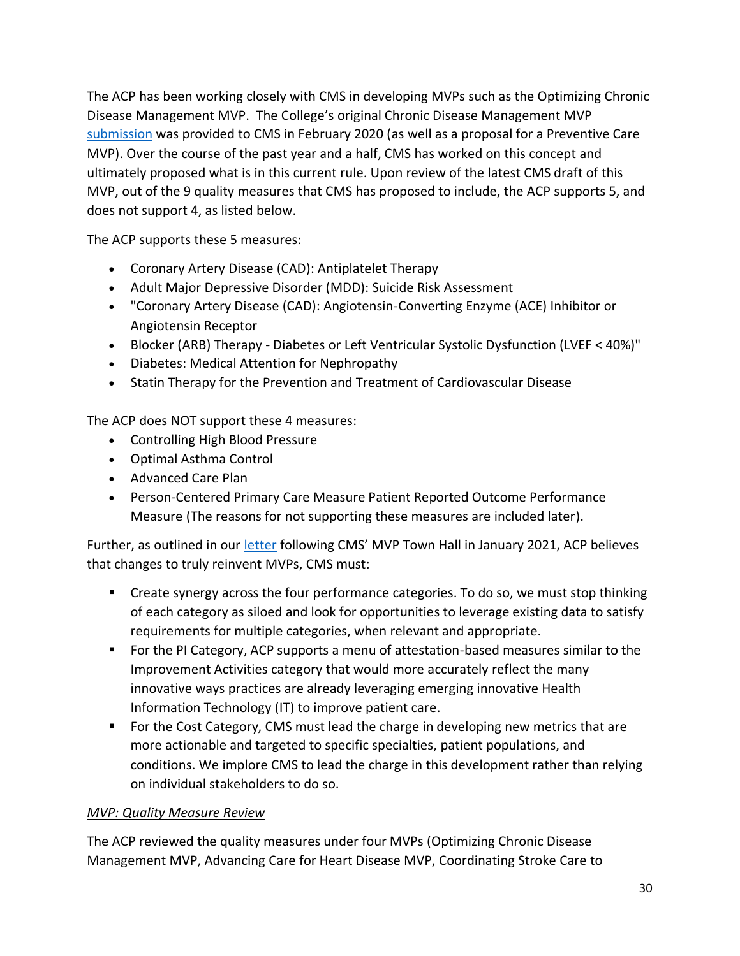The ACP has been working closely with CMS in developing MVPs such as the Optimizing Chronic Disease Management MVP. The College's original Chronic Disease Management MVP [submission](https://www.acponline.org/acp_policy/letters/acp_mips_value_pathway_feedback_2020.pdf) was provided to CMS in February 2020 (as well as a proposal for a Preventive Care MVP). Over the course of the past year and a half, CMS has worked on this concept and ultimately proposed what is in this current rule. Upon review of the latest CMS draft of this MVP, out of the 9 quality measures that CMS has proposed to include, the ACP supports 5, and does not support 4, as listed below.

The ACP supports these 5 measures:

- Coronary Artery Disease (CAD): Antiplatelet Therapy
- Adult Major Depressive Disorder (MDD): Suicide Risk Assessment
- "Coronary Artery Disease (CAD): Angiotensin-Converting Enzyme (ACE) Inhibitor or Angiotensin Receptor
- Blocker (ARB) Therapy Diabetes or Left Ventricular Systolic Dysfunction (LVEF < 40%)"
- Diabetes: Medical Attention for Nephropathy
- Statin Therapy for the Prevention and Treatment of Cardiovascular Disease

The ACP does NOT support these 4 measures:

- Controlling High Blood Pressure
- Optimal Asthma Control
- Advanced Care Plan
- Person-Centered Primary Care Measure Patient Reported Outcome Performance Measure (The reasons for not supporting these measures are included later).

Further, as outlined in our [letter](https://www.acponline.org/acp_policy/letters/acp_written_comments_for_cms_mvp_stakeholder_town_hall_jan_2021.pdf) following CMS' MVP Town Hall in January 2021, ACP believes that changes to truly reinvent MVPs, CMS must:

- Create synergy across the four performance categories. To do so, we must stop thinking of each category as siloed and look for opportunities to leverage existing data to satisfy requirements for multiple categories, when relevant and appropriate.
- For the PI Category, ACP supports a menu of attestation-based measures similar to the Improvement Activities category that would more accurately reflect the many innovative ways practices are already leveraging emerging innovative Health Information Technology (IT) to improve patient care.
- For the Cost Category, CMS must lead the charge in developing new metrics that are more actionable and targeted to specific specialties, patient populations, and conditions. We implore CMS to lead the charge in this development rather than relying on individual stakeholders to do so.

### *MVP: Quality Measure Review*

The ACP reviewed the quality measures under four MVPs (Optimizing Chronic Disease Management MVP, Advancing Care for Heart Disease MVP, Coordinating Stroke Care to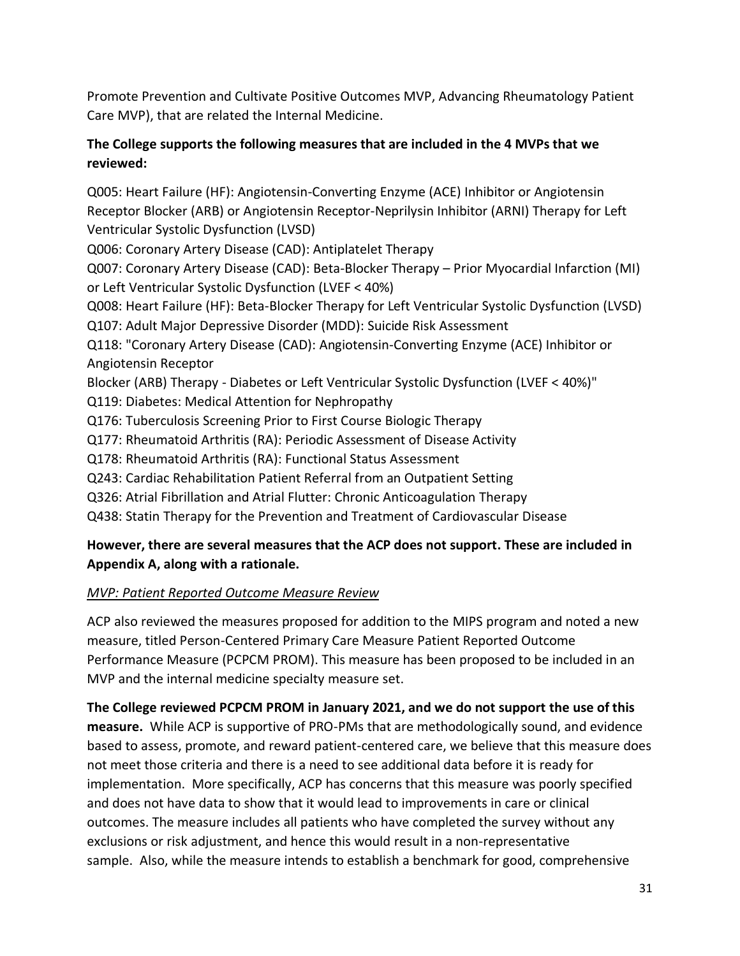Promote Prevention and Cultivate Positive Outcomes MVP, Advancing Rheumatology Patient Care MVP), that are related the Internal Medicine.

## **The College supports the following measures that are included in the 4 MVPs that we reviewed:**

Q005: Heart Failure (HF): Angiotensin-Converting Enzyme (ACE) Inhibitor or Angiotensin Receptor Blocker (ARB) or Angiotensin Receptor-Neprilysin Inhibitor (ARNI) Therapy for Left Ventricular Systolic Dysfunction (LVSD) Q006: Coronary Artery Disease (CAD): Antiplatelet Therapy Q007: Coronary Artery Disease (CAD): Beta-Blocker Therapy – Prior Myocardial Infarction (MI) or Left Ventricular Systolic Dysfunction (LVEF < 40%) Q008: Heart Failure (HF): Beta-Blocker Therapy for Left Ventricular Systolic Dysfunction (LVSD) Q107: Adult Major Depressive Disorder (MDD): Suicide Risk Assessment Q118: "Coronary Artery Disease (CAD): Angiotensin-Converting Enzyme (ACE) Inhibitor or Angiotensin Receptor Blocker (ARB) Therapy - Diabetes or Left Ventricular Systolic Dysfunction (LVEF < 40%)" Q119: Diabetes: Medical Attention for Nephropathy Q176: Tuberculosis Screening Prior to First Course Biologic Therapy Q177: Rheumatoid Arthritis (RA): Periodic Assessment of Disease Activity Q178: Rheumatoid Arthritis (RA): Functional Status Assessment Q243: Cardiac Rehabilitation Patient Referral from an Outpatient Setting Q326: Atrial Fibrillation and Atrial Flutter: Chronic Anticoagulation Therapy Q438: Statin Therapy for the Prevention and Treatment of Cardiovascular Disease

## **However, there are several measures that the ACP does not support. These are included in Appendix A, along with a rationale.**

## *MVP: Patient Reported Outcome Measure Review*

ACP also reviewed the measures proposed for addition to the MIPS program and noted a new measure, titled Person-Centered Primary Care Measure Patient Reported Outcome Performance Measure (PCPCM PROM). This measure has been proposed to be included in an MVP and the internal medicine specialty measure set.

**The College reviewed PCPCM PROM in January 2021, and we do not support the use of this measure.** While ACP is supportive of PRO-PMs that are methodologically sound, and evidence based to assess, promote, and reward patient-centered care, we believe that this measure does not meet those criteria and there is a need to see additional data before it is ready for implementation. More specifically, ACP has concerns that this measure was poorly specified and does not have data to show that it would lead to improvements in care or clinical outcomes. The measure includes all patients who have completed the survey without any exclusions or risk adjustment, and hence this would result in a non-representative sample. Also, while the measure intends to establish a benchmark for good, comprehensive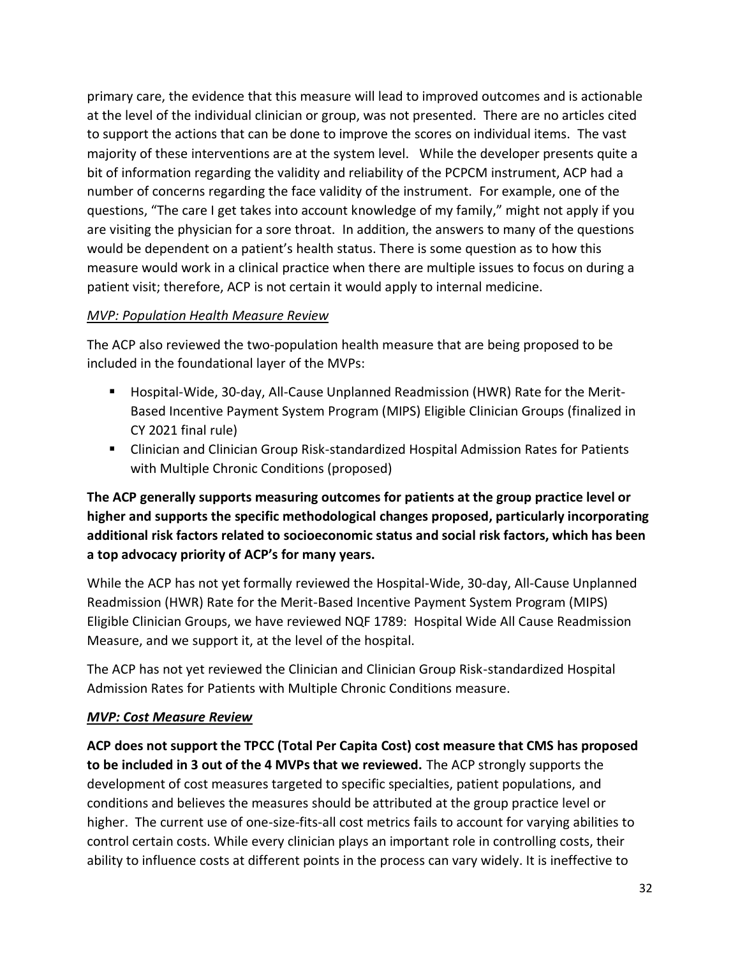primary care, the evidence that this measure will lead to improved outcomes and is actionable at the level of the individual clinician or group, was not presented. There are no articles cited to support the actions that can be done to improve the scores on individual items. The vast majority of these interventions are at the system level. While the developer presents quite a bit of information regarding the validity and reliability of the PCPCM instrument, ACP had a number of concerns regarding the face validity of the instrument. For example, one of the questions, "The care I get takes into account knowledge of my family," might not apply if you are visiting the physician for a sore throat. In addition, the answers to many of the questions would be dependent on a patient's health status. There is some question as to how this measure would work in a clinical practice when there are multiple issues to focus on during a patient visit; therefore, ACP is not certain it would apply to internal medicine.

### *MVP: Population Health Measure Review*

The ACP also reviewed the two-population health measure that are being proposed to be included in the foundational layer of the MVPs:

- Hospital-Wide, 30-day, All-Cause Unplanned Readmission (HWR) Rate for the Merit-Based Incentive Payment System Program (MIPS) Eligible Clinician Groups (finalized in CY 2021 final rule)
- Clinician and Clinician Group Risk-standardized Hospital Admission Rates for Patients with Multiple Chronic Conditions (proposed)

# **The ACP generally supports measuring outcomes for patients at the group practice level or higher and supports the specific methodological changes proposed, particularly incorporating additional risk factors related to socioeconomic status and social risk factors, which has been a top advocacy priority of ACP's for many years.**

While the ACP has not yet formally reviewed the Hospital-Wide, 30-day, All-Cause Unplanned Readmission (HWR) Rate for the Merit-Based Incentive Payment System Program (MIPS) Eligible Clinician Groups, we have reviewed NQF 1789: Hospital Wide All Cause Readmission Measure, and we support it, at the level of the hospital.

The ACP has not yet reviewed the Clinician and Clinician Group Risk-standardized Hospital Admission Rates for Patients with Multiple Chronic Conditions measure.

### *MVP: Cost Measure Review*

**ACP does not support the TPCC (Total Per Capita Cost) cost measure that CMS has proposed to be included in 3 out of the 4 MVPs that we reviewed.** The ACP strongly supports the development of cost measures targeted to specific specialties, patient populations, and conditions and believes the measures should be attributed at the group practice level or higher. The current use of one-size-fits-all cost metrics fails to account for varying abilities to control certain costs. While every clinician plays an important role in controlling costs, their ability to influence costs at different points in the process can vary widely. It is ineffective to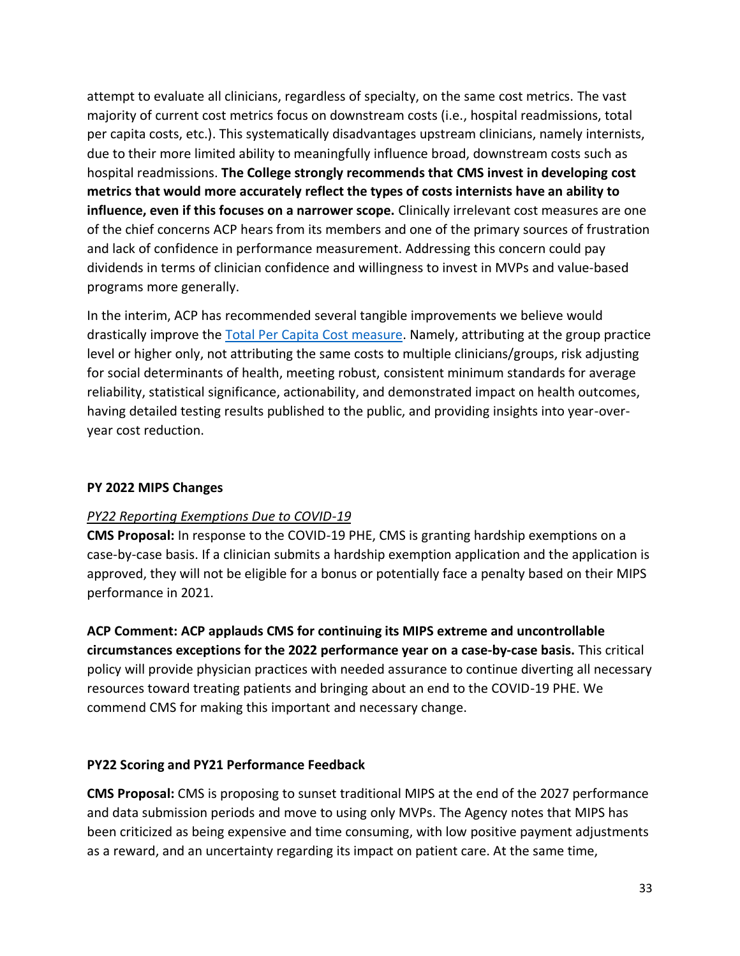attempt to evaluate all clinicians, regardless of specialty, on the same cost metrics. The vast majority of current cost metrics focus on downstream costs (i.e., hospital readmissions, total per capita costs, etc.). This systematically disadvantages upstream clinicians, namely internists, due to their more limited ability to meaningfully influence broad, downstream costs such as hospital readmissions. **The College strongly recommends that CMS invest in developing cost metrics that would more accurately reflect the types of costs internists have an ability to influence, even if this focuses on a narrower scope.** Clinically irrelevant cost measures are one of the chief concerns ACP hears from its members and one of the primary sources of frustration and lack of confidence in performance measurement. Addressing this concern could pay dividends in terms of clinician confidence and willingness to invest in MVPs and value-based programs more generally.

In the interim, ACP has recommended several tangible improvements we believe would drastically improve the [Total Per Capita Cost measure.](https://www.acponline.org/acp_policy/letters/acp_mips_value_pathway_feedback_2020.pdf) Namely, attributing at the group practice level or higher only, not attributing the same costs to multiple clinicians/groups, risk adjusting for social determinants of health, meeting robust, consistent minimum standards for average reliability, statistical significance, actionability, and demonstrated impact on health outcomes, having detailed testing results published to the public, and providing insights into year-overyear cost reduction.

#### **PY 2022 MIPS Changes**

#### *PY22 Reporting Exemptions Due to COVID-19*

**CMS Proposal:** In response to the COVID-19 PHE, CMS is granting hardship exemptions on a case-by-case basis. If a clinician submits a hardship exemption application and the application is approved, they will not be eligible for a bonus or potentially face a penalty based on their MIPS performance in 2021.

**ACP Comment: ACP applauds CMS for continuing its MIPS extreme and uncontrollable circumstances exceptions for the 2022 performance year on a case-by-case basis.** This critical policy will provide physician practices with needed assurance to continue diverting all necessary resources toward treating patients and bringing about an end to the COVID-19 PHE. We commend CMS for making this important and necessary change.

#### **PY22 Scoring and PY21 Performance Feedback**

**CMS Proposal:** CMS is proposing to sunset traditional MIPS at the end of the 2027 performance and data submission periods and move to using only MVPs. The Agency notes that MIPS has been criticized as being expensive and time consuming, with low positive payment adjustments as a reward, and an uncertainty regarding its impact on patient care. At the same time,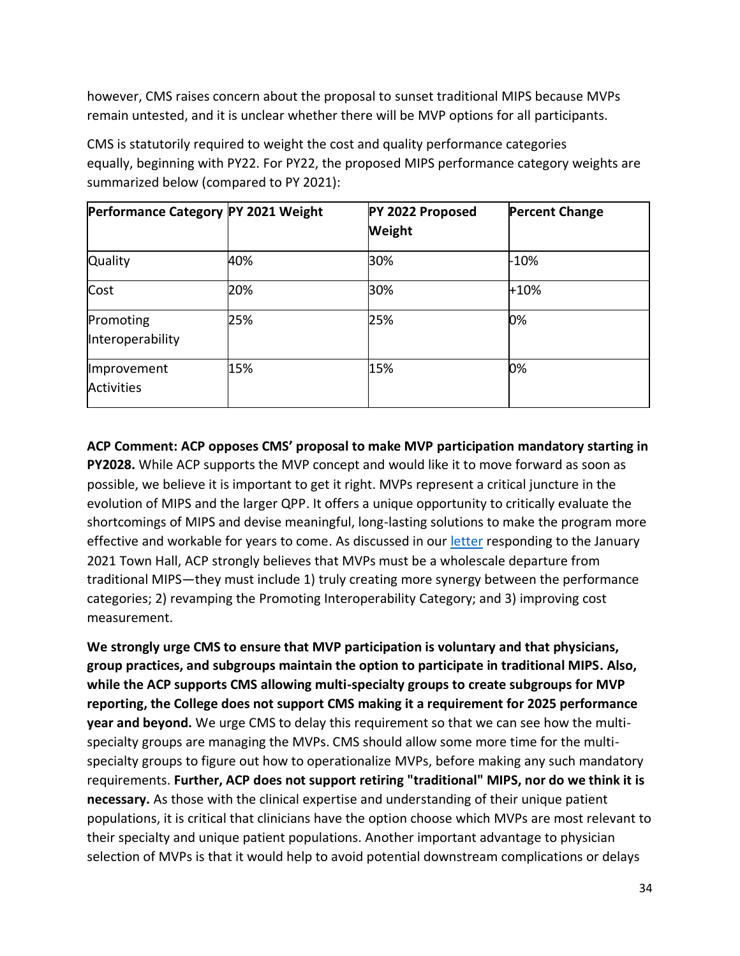however, CMS raises concern about the proposal to sunset traditional MIPS because MVPs remain untested, and it is unclear whether there will be MVP options for all participants.

CMS is statutorily required to weight the cost and quality performance categories equally, beginning with PY22. For PY22, the proposed MIPS performance category weights are summarized below (compared to PY 2021):

| Performance Category PY 2021 Weight |     | PY 2022 Proposed<br>Weight | <b>Percent Change</b> |
|-------------------------------------|-----|----------------------------|-----------------------|
| <b>Quality</b>                      | 40% | 30%                        | $-10%$                |
| Cost                                | 20% | 30%                        | $+10%$                |
| Promoting<br>Interoperability       | 25% | 25%                        | 0%                    |
| Improvement<br><b>Activities</b>    | 15% | 15%                        | 0%                    |

**ACP Comment: ACP opposes CMS' proposal to make MVP participation mandatory starting in PY2028.** While ACP supports the MVP concept and would like it to move forward as soon as possible, we believe it is important to get it right. MVPs represent a critical juncture in the evolution of MIPS and the larger QPP. It offers a unique opportunity to critically evaluate the shortcomings of MIPS and devise meaningful, long-lasting solutions to make the program more effective and workable for years to come. As discussed in our [letter](https://www.acponline.org/acp_policy/letters/acp_written_comments_for_cms_mvp_stakeholder_town_hall_jan_2021.pdf) responding to the January 2021 Town Hall, ACP strongly believes that MVPs must be a wholescale departure from traditional MIPS—they must include 1) truly creating more synergy between the performance categories; 2) revamping the Promoting Interoperability Category; and 3) improving cost measurement.

**We strongly urge CMS to ensure that MVP participation is voluntary and that physicians, group practices, and subgroups maintain the option to participate in traditional MIPS. Also, while the ACP supports CMS allowing multi-specialty groups to create subgroups for MVP reporting, the College does not support CMS making it a requirement for 2025 performance year and beyond.** We urge CMS to delay this requirement so that we can see how the multispecialty groups are managing the MVPs. CMS should allow some more time for the multispecialty groups to figure out how to operationalize MVPs, before making any such mandatory requirements. **Further, ACP does not support retiring "traditional" MIPS, nor do we think it is necessary.** As those with the clinical expertise and understanding of their unique patient populations, it is critical that clinicians have the option choose which MVPs are most relevant to their specialty and unique patient populations. Another important advantage to physician selection of MVPs is that it would help to avoid potential downstream complications or delays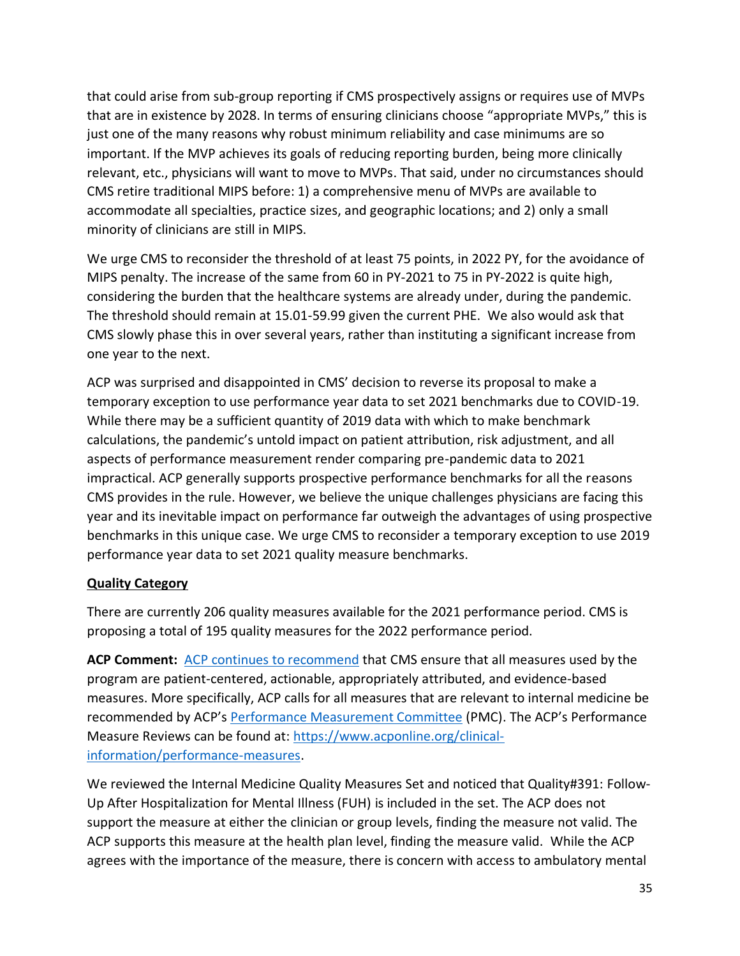that could arise from sub-group reporting if CMS prospectively assigns or requires use of MVPs that are in existence by 2028. In terms of ensuring clinicians choose "appropriate MVPs," this is just one of the many reasons why robust minimum reliability and case minimums are so important. If the MVP achieves its goals of reducing reporting burden, being more clinically relevant, etc., physicians will want to move to MVPs. That said, under no circumstances should CMS retire traditional MIPS before: 1) a comprehensive menu of MVPs are available to accommodate all specialties, practice sizes, and geographic locations; and 2) only a small minority of clinicians are still in MIPS.

We urge CMS to reconsider the threshold of at least 75 points, in 2022 PY, for the avoidance of MIPS penalty. The increase of the same from 60 in PY-2021 to 75 in PY-2022 is quite high, considering the burden that the healthcare systems are already under, during the pandemic. The threshold should remain at 15.01-59.99 given the current PHE. We also would ask that CMS slowly phase this in over several years, rather than instituting a significant increase from one year to the next.

ACP was surprised and disappointed in CMS' decision to reverse its proposal to make a temporary exception to use performance year data to set 2021 benchmarks due to COVID-19. While there may be a sufficient quantity of 2019 data with which to make benchmark calculations, the pandemic's untold impact on patient attribution, risk adjustment, and all aspects of performance measurement render comparing pre-pandemic data to 2021 impractical. ACP generally supports prospective performance benchmarks for all the reasons CMS provides in the rule. However, we believe the unique challenges physicians are facing this year and its inevitable impact on performance far outweigh the advantages of using prospective benchmarks in this unique case. We urge CMS to reconsider a temporary exception to use 2019 performance year data to set 2021 quality measure benchmarks.

### **Quality Category**

There are currently 206 quality measures available for the 2021 performance period. CMS is proposing a total of 195 quality measures for the 2022 performance period.

**ACP Comment:** [ACP continues to recommend](https://www.acpjournals.org/doi/full/10.7326/M19-2407?journalCode=aim) that CMS ensure that all measures used by the program are patient-centered, actionable, appropriately attributed, and evidence-based measures. More specifically, ACP calls for all measures that are relevant to internal medicine be recommended by ACP's [Performance Measurement Committee](https://www.acponline.org/clinical-information/performance-measures) (PMC). The ACP's Performance Measure Reviews can be found at: [https://www.acponline.org/clinical](https://www.acponline.org/clinical-information/performance-measures)[information/performance-measures.](https://www.acponline.org/clinical-information/performance-measures)

We reviewed the Internal Medicine Quality Measures Set and noticed that Quality#391: Follow-Up After Hospitalization for Mental Illness (FUH) is included in the set. The ACP does not support the measure at either the clinician or group levels, finding the measure not valid. The ACP supports this measure at the health plan level, finding the measure valid. While the ACP agrees with the importance of the measure, there is concern with access to ambulatory mental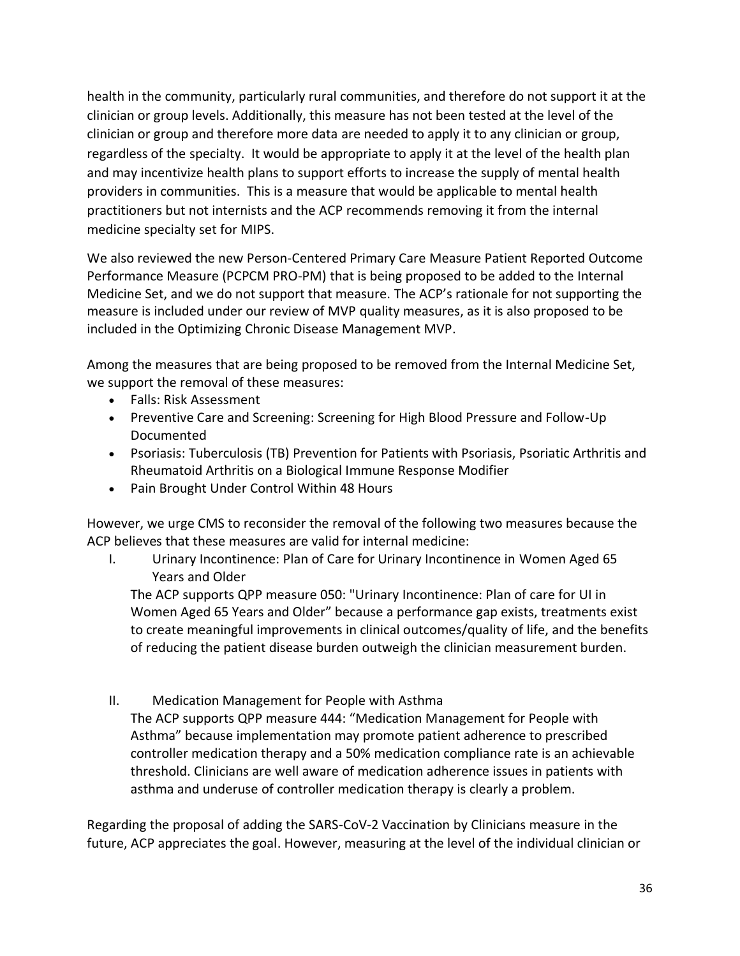health in the community, particularly rural communities, and therefore do not support it at the clinician or group levels. Additionally, this measure has not been tested at the level of the clinician or group and therefore more data are needed to apply it to any clinician or group, regardless of the specialty. It would be appropriate to apply it at the level of the health plan and may incentivize health plans to support efforts to increase the supply of mental health providers in communities. This is a measure that would be applicable to mental health practitioners but not internists and the ACP recommends removing it from the internal medicine specialty set for MIPS.

We also reviewed the new Person-Centered Primary Care Measure Patient Reported Outcome Performance Measure (PCPCM PRO-PM) that is being proposed to be added to the Internal Medicine Set, and we do not support that measure. The ACP's rationale for not supporting the measure is included under our review of MVP quality measures, as it is also proposed to be included in the Optimizing Chronic Disease Management MVP.

Among the measures that are being proposed to be removed from the Internal Medicine Set, we support the removal of these measures:

- Falls: Risk Assessment
- Preventive Care and Screening: Screening for High Blood Pressure and Follow-Up Documented
- Psoriasis: Tuberculosis (TB) Prevention for Patients with Psoriasis, Psoriatic Arthritis and Rheumatoid Arthritis on a Biological Immune Response Modifier
- Pain Brought Under Control Within 48 Hours

However, we urge CMS to reconsider the removal of the following two measures because the ACP believes that these measures are valid for internal medicine:

I. Urinary Incontinence: Plan of Care for Urinary Incontinence in Women Aged 65 Years and Older

The ACP supports QPP measure 050: "Urinary Incontinence: Plan of care for UI in Women Aged 65 Years and Older" because a performance gap exists, treatments exist to create meaningful improvements in clinical outcomes/quality of life, and the benefits of reducing the patient disease burden outweigh the clinician measurement burden.

II. Medication Management for People with Asthma

The ACP supports QPP measure 444: "Medication Management for People with Asthma" because implementation may promote patient adherence to prescribed controller medication therapy and a 50% medication compliance rate is an achievable threshold. Clinicians are well aware of medication adherence issues in patients with asthma and underuse of controller medication therapy is clearly a problem.

Regarding the proposal of adding the SARS-CoV-2 Vaccination by Clinicians measure in the future, ACP appreciates the goal. However, measuring at the level of the individual clinician or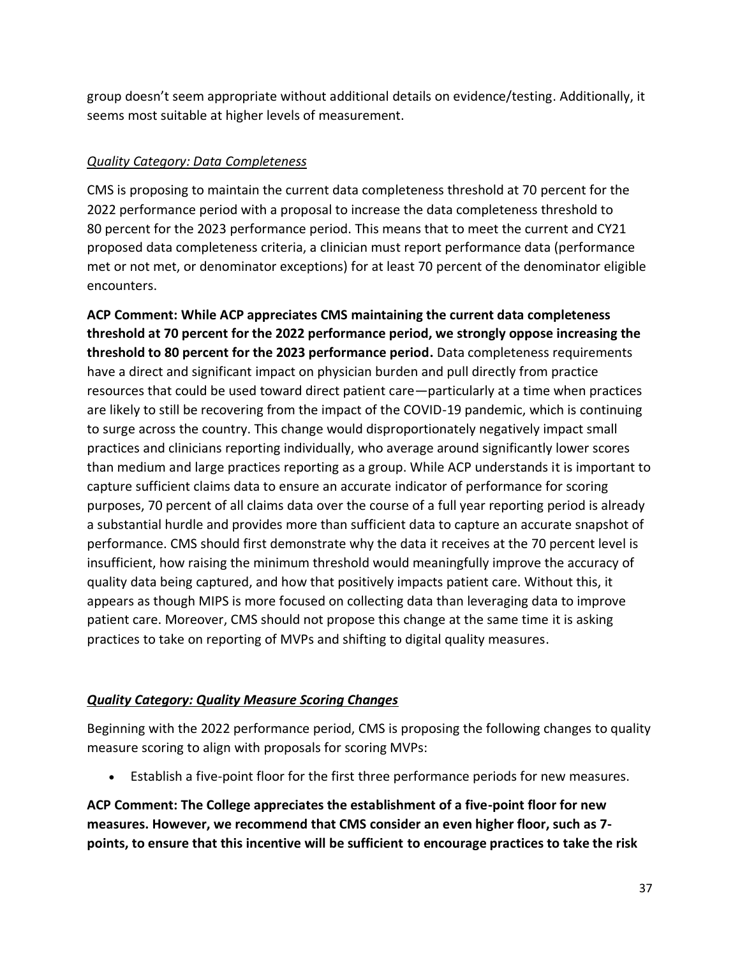group doesn't seem appropriate without additional details on evidence/testing. Additionally, it seems most suitable at higher levels of measurement.

## *Quality Category: Data Completeness*

CMS is proposing to maintain the current data completeness threshold at 70 percent for the 2022 performance period with a proposal to increase the data completeness threshold to 80 percent for the 2023 performance period. This means that to meet the current and CY21 proposed data completeness criteria, a clinician must report performance data (performance met or not met, or denominator exceptions) for at least 70 percent of the denominator eligible encounters.

**ACP Comment: While ACP appreciates CMS maintaining the current data completeness threshold at 70 percent for the 2022 performance period, we strongly oppose increasing the threshold to 80 percent for the 2023 performance period.** Data completeness requirements have a direct and significant impact on physician burden and pull directly from practice resources that could be used toward direct patient care—particularly at a time when practices are likely to still be recovering from the impact of the COVID-19 pandemic, which is continuing to surge across the country. This change would disproportionately negatively impact small practices and clinicians reporting individually, who average around significantly lower scores than medium and large practices reporting as a group. While ACP understands it is important to capture sufficient claims data to ensure an accurate indicator of performance for scoring purposes, 70 percent of all claims data over the course of a full year reporting period is already a substantial hurdle and provides more than sufficient data to capture an accurate snapshot of performance. CMS should first demonstrate why the data it receives at the 70 percent level is insufficient, how raising the minimum threshold would meaningfully improve the accuracy of quality data being captured, and how that positively impacts patient care. Without this, it appears as though MIPS is more focused on collecting data than leveraging data to improve patient care. Moreover, CMS should not propose this change at the same time it is asking practices to take on reporting of MVPs and shifting to digital quality measures.

# *Quality Category: Quality Measure Scoring Changes*

Beginning with the 2022 performance period, CMS is proposing the following changes to quality measure scoring to align with proposals for scoring MVPs:

• Establish a five-point floor for the first three performance periods for new measures.

**ACP Comment: The College appreciates the establishment of a five-point floor for new measures. However, we recommend that CMS consider an even higher floor, such as 7 points, to ensure that this incentive will be sufficient to encourage practices to take the risk**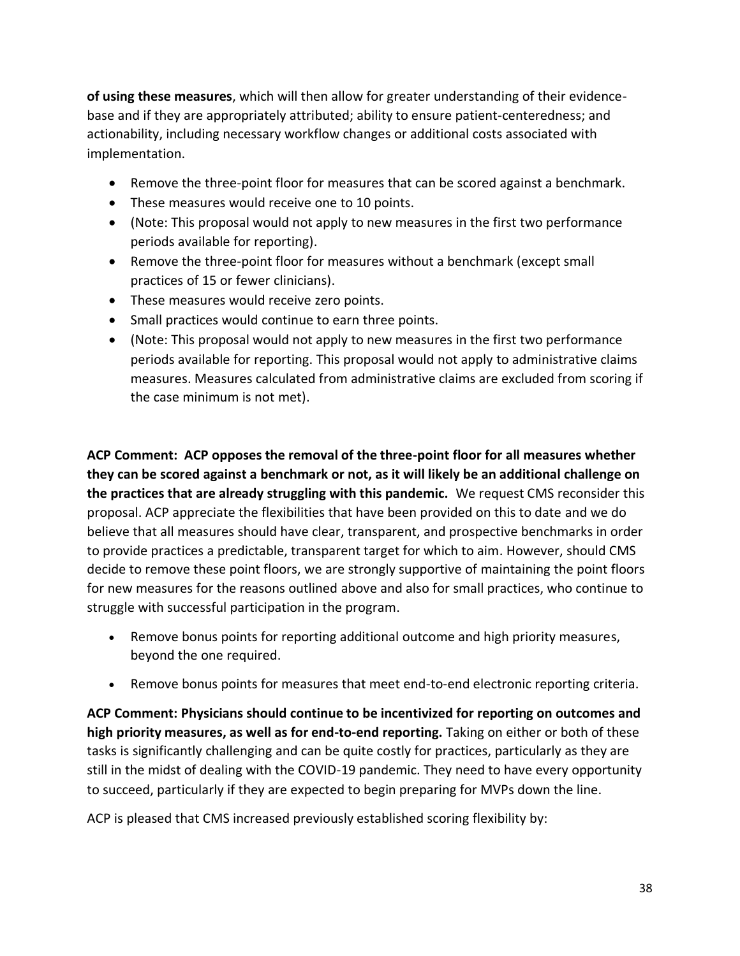**of using these measures**, which will then allow for greater understanding of their evidencebase and if they are appropriately attributed; ability to ensure patient-centeredness; and actionability, including necessary workflow changes or additional costs associated with implementation.

- Remove the three-point floor for measures that can be scored against a benchmark.
- These measures would receive one to 10 points.
- (Note: This proposal would not apply to new measures in the first two performance periods available for reporting).
- Remove the three-point floor for measures without a benchmark (except small practices of 15 or fewer clinicians).
- These measures would receive zero points.
- Small practices would continue to earn three points.
- (Note: This proposal would not apply to new measures in the first two performance periods available for reporting. This proposal would not apply to administrative claims measures. Measures calculated from administrative claims are excluded from scoring if the case minimum is not met).

**ACP Comment: ACP opposes the removal of the three-point floor for all measures whether they can be scored against a benchmark or not, as it will likely be an additional challenge on the practices that are already struggling with this pandemic.** We request CMS reconsider this proposal. ACP appreciate the flexibilities that have been provided on this to date and we do believe that all measures should have clear, transparent, and prospective benchmarks in order to provide practices a predictable, transparent target for which to aim. However, should CMS decide to remove these point floors, we are strongly supportive of maintaining the point floors for new measures for the reasons outlined above and also for small practices, who continue to struggle with successful participation in the program.

- Remove bonus points for reporting additional outcome and high priority measures, beyond the one required.
- Remove bonus points for measures that meet end-to-end electronic reporting criteria.

**ACP Comment: Physicians should continue to be incentivized for reporting on outcomes and high priority measures, as well as for end-to-end reporting.** Taking on either or both of these tasks is significantly challenging and can be quite costly for practices, particularly as they are still in the midst of dealing with the COVID-19 pandemic. They need to have every opportunity to succeed, particularly if they are expected to begin preparing for MVPs down the line.

ACP is pleased that CMS increased previously established scoring flexibility by: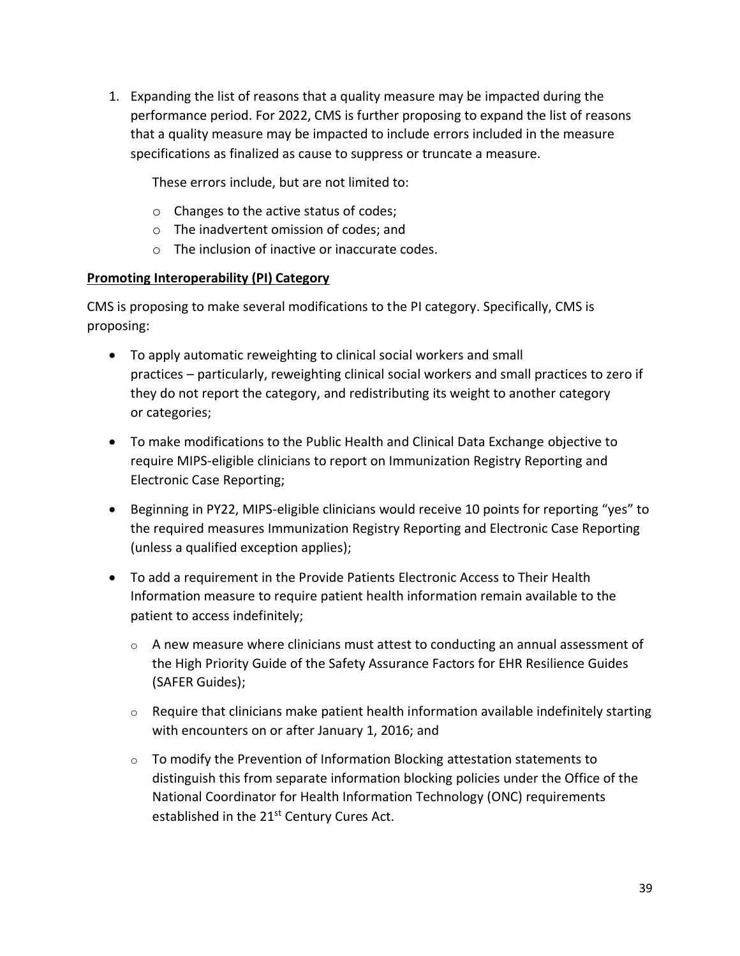1. Expanding the list of reasons that a quality measure may be impacted during the performance period. For 2022, CMS is further proposing to expand the list of reasons that a quality measure may be impacted to include errors included in the measure specifications as finalized as cause to suppress or truncate a measure.

These errors include, but are not limited to:

- o Changes to the active status of codes;
- o The inadvertent omission of codes; and
- o The inclusion of inactive or inaccurate codes.

### **Promoting Interoperability (PI) Category**

CMS is proposing to make several modifications to the PI category. Specifically, CMS is proposing:

- To apply automatic reweighting to clinical social workers and small practices – particularly, reweighting clinical social workers and small practices to zero if they do not report the category, and redistributing its weight to another category or categories;
- To make modifications to the Public Health and Clinical Data Exchange objective to require MIPS-eligible clinicians to report on Immunization Registry Reporting and Electronic Case Reporting;
- Beginning in PY22, MIPS-eligible clinicians would receive 10 points for reporting "yes" to the required measures Immunization Registry Reporting and Electronic Case Reporting (unless a qualified exception applies);
- To add a requirement in the Provide Patients Electronic Access to Their Health Information measure to require patient health information remain available to the patient to access indefinitely;
	- $\circ$  A new measure where clinicians must attest to conducting an annual assessment of the High Priority Guide of the Safety Assurance Factors for EHR Resilience Guides (SAFER Guides);
	- $\circ$  Require that clinicians make patient health information available indefinitely starting with encounters on or after January 1, 2016; and
	- $\circ$  To modify the Prevention of Information Blocking attestation statements to distinguish this from separate information blocking policies under the Office of the National Coordinator for Health Information Technology (ONC) requirements established in the 21<sup>st</sup> Century Cures Act.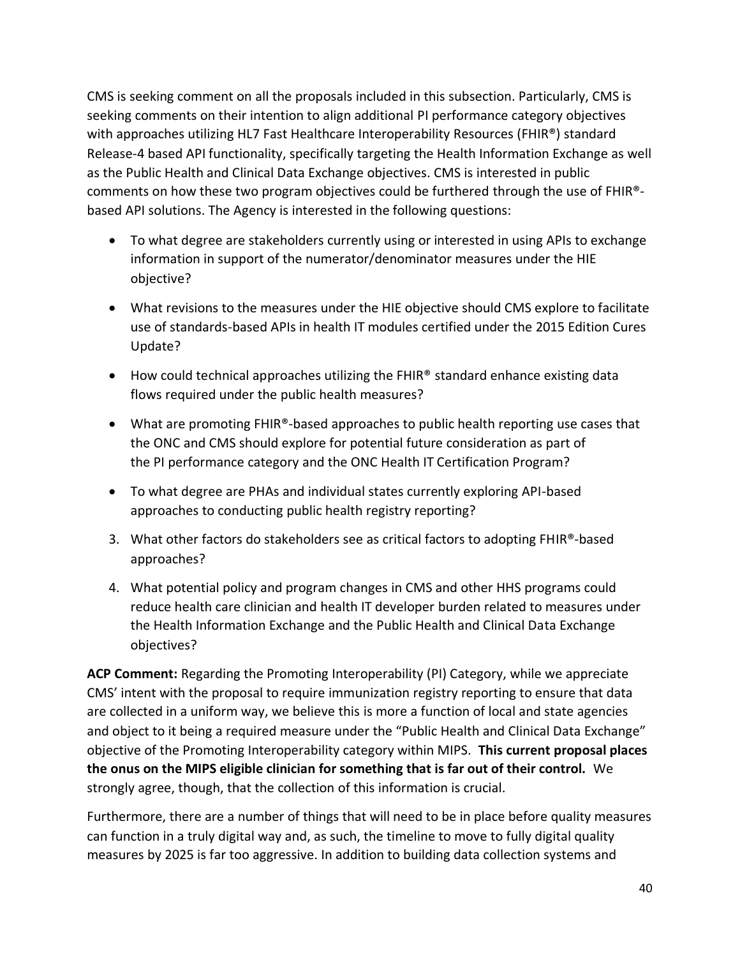CMS is seeking comment on all the proposals included in this subsection. Particularly, CMS is seeking comments on their intention to align additional PI performance category objectives with approaches utilizing HL7 Fast Healthcare Interoperability Resources (FHIR<sup>®</sup>) standard Release-4 based API functionality, specifically targeting the Health Information Exchange as well as the Public Health and Clinical Data Exchange objectives. CMS is interested in public comments on how these two program objectives could be furthered through the use of FHIR® based API solutions. The Agency is interested in the following questions:

- To what degree are stakeholders currently using or interested in using APIs to exchange information in support of the numerator/denominator measures under the HIE objective?
- What revisions to the measures under the HIE objective should CMS explore to facilitate use of standards-based APIs in health IT modules certified under the 2015 Edition Cures Update?
- How could technical approaches utilizing the FHIR® standard enhance existing data flows required under the public health measures?
- What are promoting FHIR®-based approaches to public health reporting use cases that the ONC and CMS should explore for potential future consideration as part of the PI performance category and the ONC Health IT Certification Program?
- To what degree are PHAs and individual states currently exploring API-based approaches to conducting public health registry reporting?
- 3. What other factors do stakeholders see as critical factors to adopting FHIR®-based approaches?
- 4. What potential policy and program changes in CMS and other HHS programs could reduce health care clinician and health IT developer burden related to measures under the Health Information Exchange and the Public Health and Clinical Data Exchange objectives?

**ACP Comment:** Regarding the Promoting Interoperability (PI) Category, while we appreciate CMS' intent with the proposal to require immunization registry reporting to ensure that data are collected in a uniform way, we believe this is more a function of local and state agencies and object to it being a required measure under the "Public Health and Clinical Data Exchange" objective of the Promoting Interoperability category within MIPS. **This current proposal places the onus on the MIPS eligible clinician for something that is far out of their control.** We strongly agree, though, that the collection of this information is crucial.

Furthermore, there are a number of things that will need to be in place before quality measures can function in a truly digital way and, as such, the timeline to move to fully digital quality measures by 2025 is far too aggressive. In addition to building data collection systems and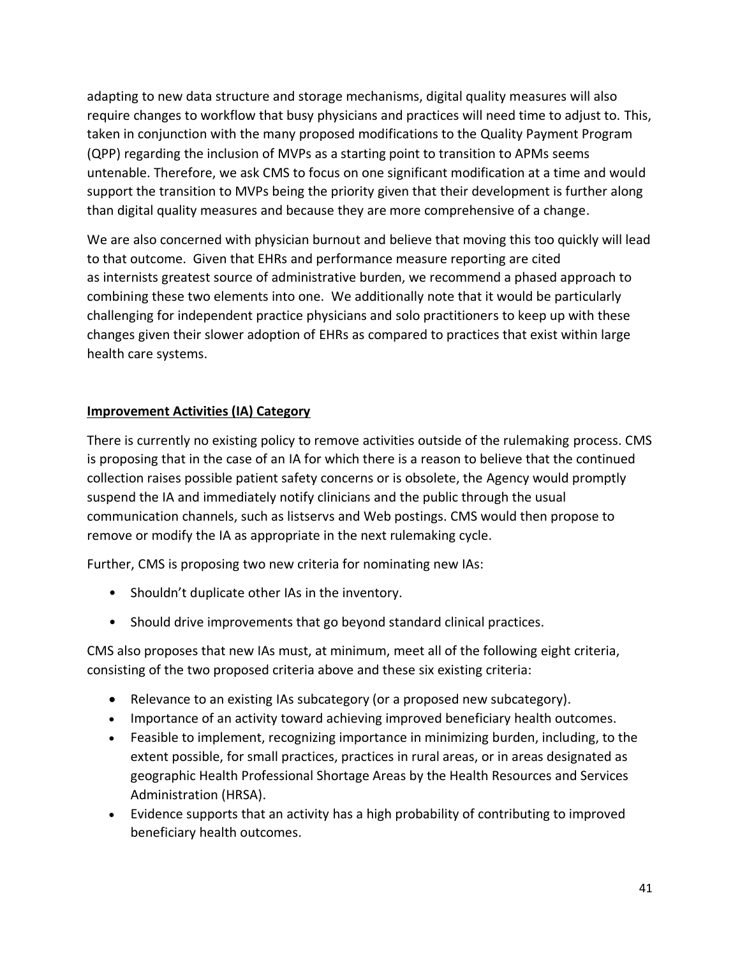adapting to new data structure and storage mechanisms, digital quality measures will also require changes to workflow that busy physicians and practices will need time to adjust to. This, taken in conjunction with the many proposed modifications to the Quality Payment Program (QPP) regarding the inclusion of MVPs as a starting point to transition to APMs seems untenable. Therefore, we ask CMS to focus on one significant modification at a time and would support the transition to MVPs being the priority given that their development is further along than digital quality measures and because they are more comprehensive of a change.

We are also concerned with physician burnout and believe that moving this too quickly will lead to that outcome. Given that EHRs and performance measure reporting are cited as internists greatest source of administrative burden, we recommend a phased approach to combining these two elements into one. We additionally note that it would be particularly challenging for independent practice physicians and solo practitioners to keep up with these changes given their slower adoption of EHRs as compared to practices that exist within large health care systems.

### **Improvement Activities (IA) Category**

There is currently no existing policy to remove activities outside of the rulemaking process. CMS is proposing that in the case of an IA for which there is a reason to believe that the continued collection raises possible patient safety concerns or is obsolete, the Agency would promptly suspend the IA and immediately notify clinicians and the public through the usual communication channels, such as listservs and Web postings. CMS would then propose to remove or modify the IA as appropriate in the next rulemaking cycle.

Further, CMS is proposing two new criteria for nominating new IAs:

- Shouldn't duplicate other IAs in the inventory.
- Should drive improvements that go beyond standard clinical practices.

CMS also proposes that new IAs must, at minimum, meet all of the following eight criteria, consisting of the two proposed criteria above and these six existing criteria:

- Relevance to an existing IAs subcategory (or a proposed new subcategory).
- Importance of an activity toward achieving improved beneficiary health outcomes.
- Feasible to implement, recognizing importance in minimizing burden, including, to the extent possible, for small practices, practices in rural areas, or in areas designated as geographic Health Professional Shortage Areas by the Health Resources and Services Administration (HRSA).
- Evidence supports that an activity has a high probability of contributing to improved beneficiary health outcomes.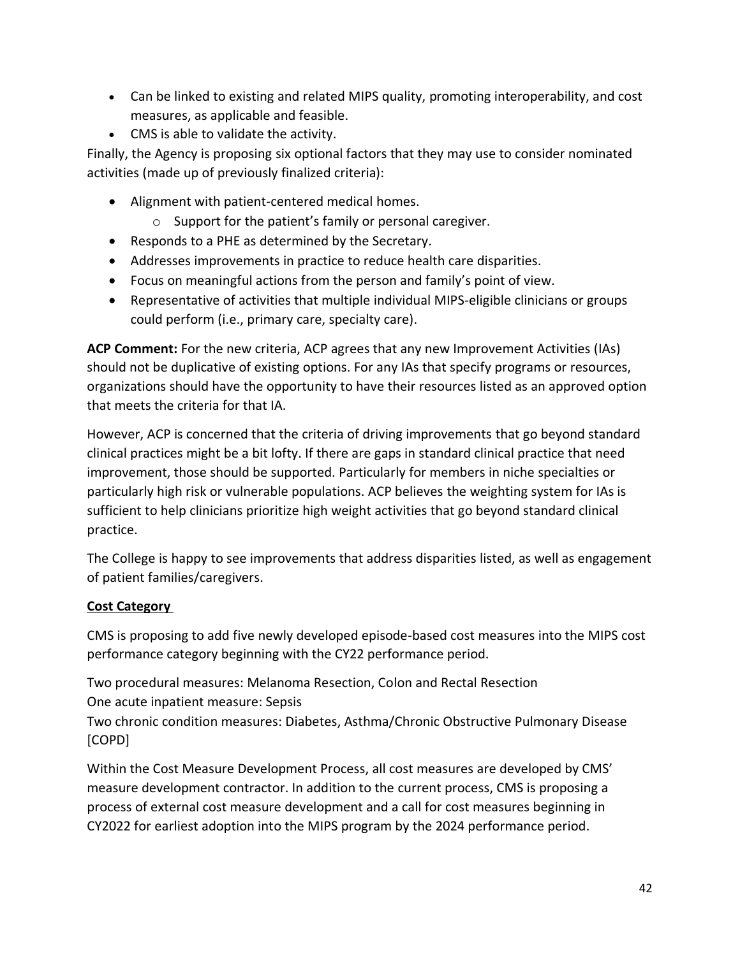- Can be linked to existing and related MIPS quality, promoting interoperability, and cost measures, as applicable and feasible.
- CMS is able to validate the activity.

Finally, the Agency is proposing six optional factors that they may use to consider nominated activities (made up of previously finalized criteria):

- Alignment with patient-centered medical homes.
	- o Support for the patient's family or personal caregiver.
- Responds to a PHE as determined by the Secretary.
- Addresses improvements in practice to reduce health care disparities.
- Focus on meaningful actions from the person and family's point of view.
- Representative of activities that multiple individual MIPS-eligible clinicians or groups could perform (i.e., primary care, specialty care).

**ACP Comment:** For the new criteria, ACP agrees that any new Improvement Activities (IAs) should not be duplicative of existing options. For any IAs that specify programs or resources, organizations should have the opportunity to have their resources listed as an approved option that meets the criteria for that IA.

However, ACP is concerned that the criteria of driving improvements that go beyond standard clinical practices might be a bit lofty. If there are gaps in standard clinical practice that need improvement, those should be supported. Particularly for members in niche specialties or particularly high risk or vulnerable populations. ACP believes the weighting system for IAs is sufficient to help clinicians prioritize high weight activities that go beyond standard clinical practice.

The College is happy to see improvements that address disparities listed, as well as engagement of patient families/caregivers.

### **Cost Category**

CMS is proposing to add five newly developed episode-based cost measures into the MIPS cost performance category beginning with the CY22 performance period.

Two procedural measures: Melanoma Resection, Colon and Rectal Resection One acute inpatient measure: Sepsis

Two chronic condition measures: Diabetes, Asthma/Chronic Obstructive Pulmonary Disease [COPD]

Within the Cost Measure Development Process, all cost measures are developed by CMS' measure development contractor. In addition to the current process, CMS is proposing a process of external cost measure development and a call for cost measures beginning in CY2022 for earliest adoption into the MIPS program by the 2024 performance period.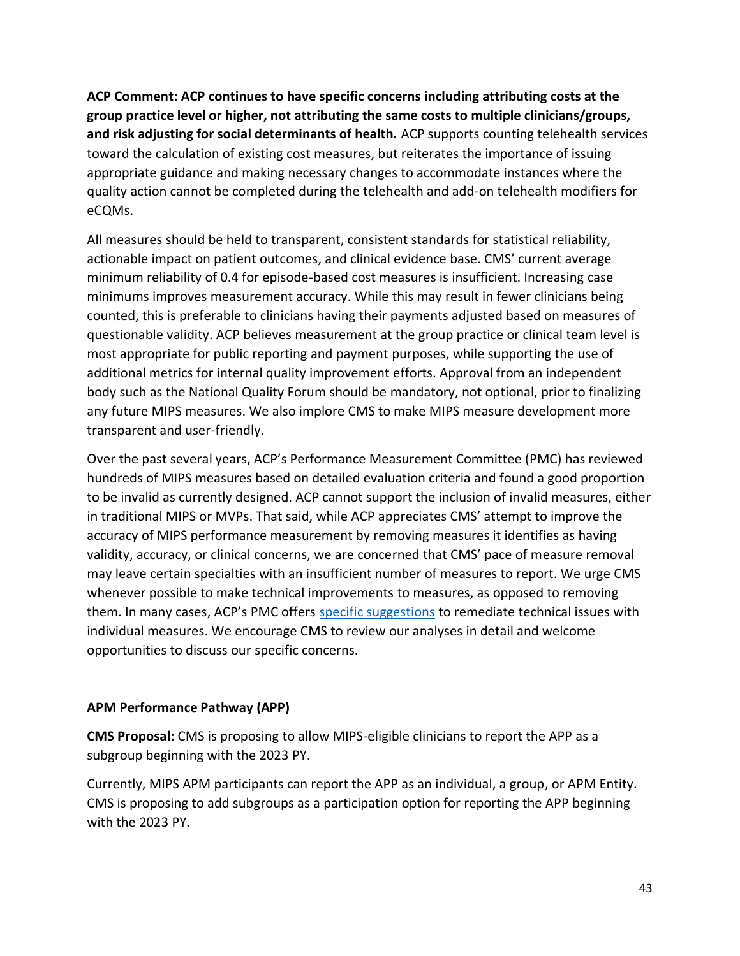**ACP Comment: ACP continues to have specific concerns including attributing costs at the group practice level or higher, not attributing the same costs to multiple clinicians/groups, and risk adjusting for social determinants of health.** ACP supports counting telehealth services toward the calculation of existing cost measures, but reiterates the importance of issuing appropriate guidance and making necessary changes to accommodate instances where the quality action cannot be completed during the telehealth and add-on telehealth modifiers for eCQMs.

All measures should be held to transparent, consistent standards for statistical reliability, actionable impact on patient outcomes, and clinical evidence base. CMS' current average minimum reliability of 0.4 for episode-based cost measures is insufficient. Increasing case minimums improves measurement accuracy. While this may result in fewer clinicians being counted, this is preferable to clinicians having their payments adjusted based on measures of questionable validity. ACP believes measurement at the group practice or clinical team level is most appropriate for public reporting and payment purposes, while supporting the use of additional metrics for internal quality improvement efforts. Approval from an independent body such as the National Quality Forum should be mandatory, not optional, prior to finalizing any future MIPS measures. We also implore CMS to make MIPS measure development more transparent and user-friendly.

Over the past several years, ACP's Performance Measurement Committee (PMC) has reviewed hundreds of MIPS measures based on detailed evaluation criteria and found a good proportion to be invalid as currently designed. ACP cannot support the inclusion of invalid measures, either in traditional MIPS or MVPs. That said, while ACP appreciates CMS' attempt to improve the accuracy of MIPS performance measurement by removing measures it identifies as having validity, accuracy, or clinical concerns, we are concerned that CMS' pace of measure removal may leave certain specialties with an insufficient number of measures to report. We urge CMS whenever possible to make technical improvements to measures, as opposed to removing them. In many cases, ACP's PMC offers [specific suggestions](https://www.acponline.org/clinical-information/performance-measures/measurement-science-resources) to remediate technical issues with individual measures. We encourage CMS to review our analyses in detail and welcome opportunities to discuss our specific concerns.

### **APM Performance Pathway (APP)**

**CMS Proposal:** CMS is proposing to allow MIPS-eligible clinicians to report the APP as a subgroup beginning with the 2023 PY.

Currently, MIPS APM participants can report the APP as an individual, a group, or APM Entity. CMS is proposing to add subgroups as a participation option for reporting the APP beginning with the 2023 PY.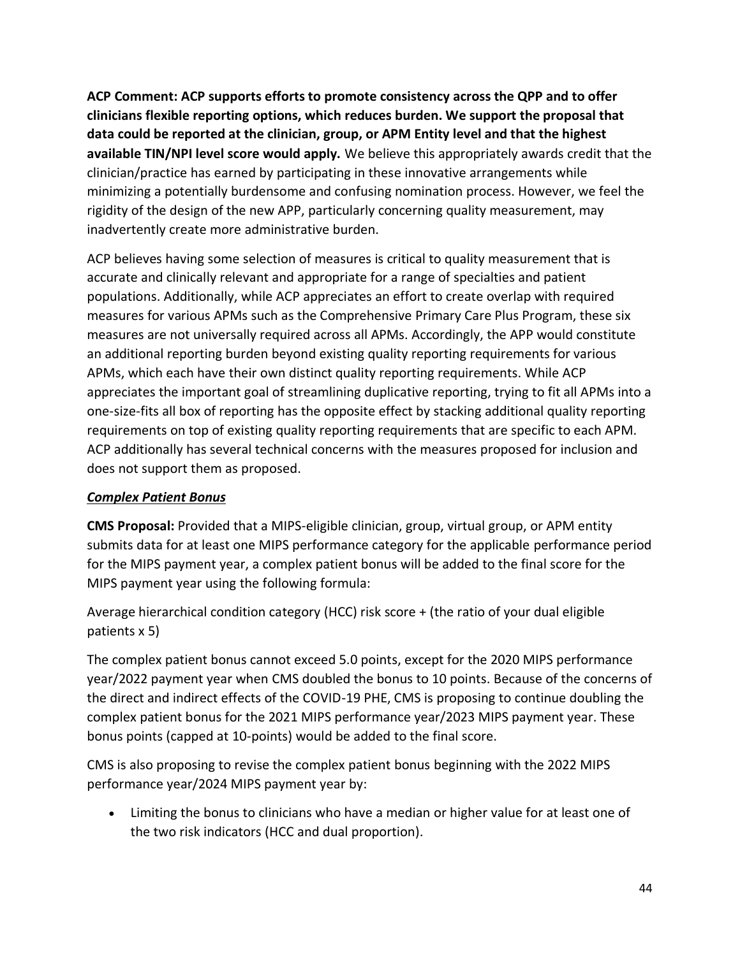**ACP Comment: ACP supports efforts to promote consistency across the QPP and to offer clinicians flexible reporting options, which reduces burden. We support the proposal that data could be reported at the clinician, group, or APM Entity level and that the highest available TIN/NPI level score would apply.** We believe this appropriately awards credit that the clinician/practice has earned by participating in these innovative arrangements while minimizing a potentially burdensome and confusing nomination process. However, we feel the rigidity of the design of the new APP, particularly concerning quality measurement, may inadvertently create more administrative burden.

ACP believes having some selection of measures is critical to quality measurement that is accurate and clinically relevant and appropriate for a range of specialties and patient populations. Additionally, while ACP appreciates an effort to create overlap with required measures for various APMs such as the Comprehensive Primary Care Plus Program, these six measures are not universally required across all APMs. Accordingly, the APP would constitute an additional reporting burden beyond existing quality reporting requirements for various APMs, which each have their own distinct quality reporting requirements. While ACP appreciates the important goal of streamlining duplicative reporting, trying to fit all APMs into a one-size-fits all box of reporting has the opposite effect by stacking additional quality reporting requirements on top of existing quality reporting requirements that are specific to each APM. ACP additionally has several technical concerns with the measures proposed for inclusion and does not support them as proposed.

## *Complex Patient Bonus*

**CMS Proposal:** Provided that a MIPS-eligible clinician, group, virtual group, or APM entity submits data for at least one MIPS performance category for the applicable performance period for the MIPS payment year, a complex patient bonus will be added to the final score for the MIPS payment year using the following formula:

Average hierarchical condition category (HCC) risk score + (the ratio of your dual eligible patients x 5)

The complex patient bonus cannot exceed 5.0 points, except for the 2020 MIPS performance year/2022 payment year when CMS doubled the bonus to 10 points. Because of the concerns of the direct and indirect effects of the COVID-19 PHE, CMS is proposing to continue doubling the complex patient bonus for the 2021 MIPS performance year/2023 MIPS payment year. These bonus points (capped at 10-points) would be added to the final score.

CMS is also proposing to revise the complex patient bonus beginning with the 2022 MIPS performance year/2024 MIPS payment year by:

• Limiting the bonus to clinicians who have a median or higher value for at least one of the two risk indicators (HCC and dual proportion).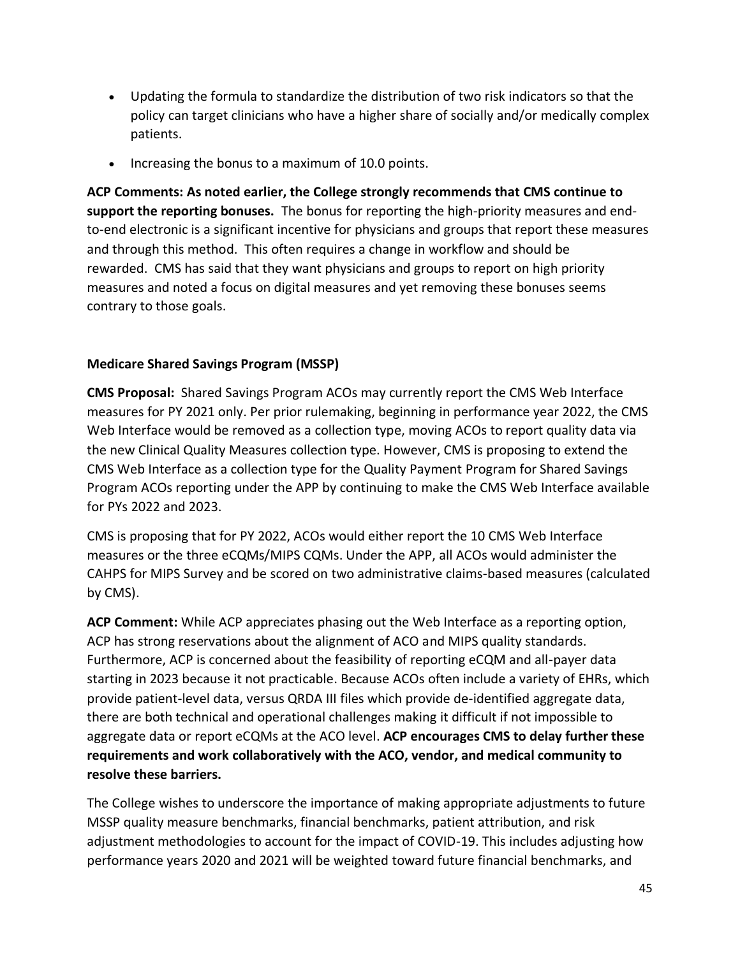- Updating the formula to standardize the distribution of two risk indicators so that the policy can target clinicians who have a higher share of socially and/or medically complex patients.
- Increasing the bonus to a maximum of 10.0 points.

**ACP Comments: As noted earlier, the College strongly recommends that CMS continue to support the reporting bonuses.** The bonus for reporting the high-priority measures and endto-end electronic is a significant incentive for physicians and groups that report these measures and through this method. This often requires a change in workflow and should be rewarded. CMS has said that they want physicians and groups to report on high priority measures and noted a focus on digital measures and yet removing these bonuses seems contrary to those goals.

### **Medicare Shared Savings Program (MSSP)**

**CMS Proposal:** Shared Savings Program ACOs may currently report the CMS Web Interface measures for PY 2021 only. Per prior rulemaking, beginning in performance year 2022, the CMS Web Interface would be removed as a collection type, moving ACOs to report quality data via the new Clinical Quality Measures collection type. However, CMS is proposing to extend the CMS Web Interface as a collection type for the Quality Payment Program for Shared Savings Program ACOs reporting under the APP by continuing to make the CMS Web Interface available for PYs 2022 and 2023.

CMS is proposing that for PY 2022, ACOs would either report the 10 CMS Web Interface measures or the three eCQMs/MIPS CQMs. Under the APP, all ACOs would administer the CAHPS for MIPS Survey and be scored on two administrative claims-based measures (calculated by CMS).

**ACP Comment:** While ACP appreciates phasing out the Web Interface as a reporting option, ACP has strong reservations about the alignment of ACO and MIPS quality standards. Furthermore, ACP is concerned about the feasibility of reporting eCQM and all-payer data starting in 2023 because it not practicable. Because ACOs often include a variety of EHRs, which provide patient-level data, versus QRDA III files which provide de-identified aggregate data, there are both technical and operational challenges making it difficult if not impossible to aggregate data or report eCQMs at the ACO level. **ACP encourages CMS to delay further these requirements and work collaboratively with the ACO, vendor, and medical community to resolve these barriers.**

The College wishes to underscore the importance of making appropriate adjustments to future MSSP quality measure benchmarks, financial benchmarks, patient attribution, and risk adjustment methodologies to account for the impact of COVID-19. This includes adjusting how performance years 2020 and 2021 will be weighted toward future financial benchmarks, and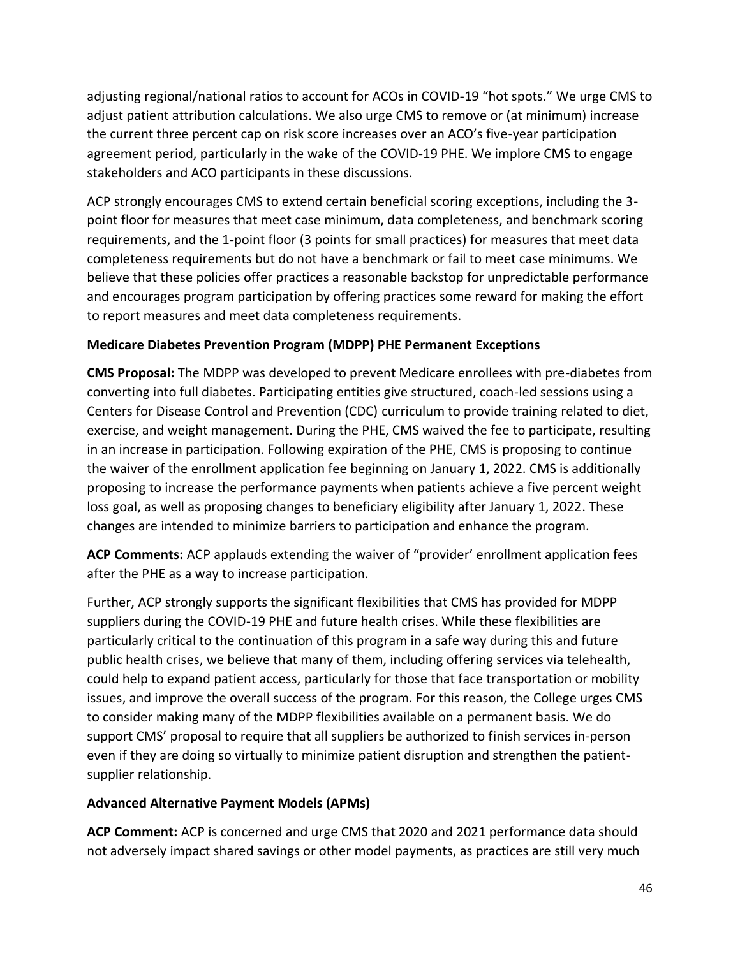adjusting regional/national ratios to account for ACOs in COVID-19 "hot spots." We urge CMS to adjust patient attribution calculations. We also urge CMS to remove or (at minimum) increase the current three percent cap on risk score increases over an ACO's five-year participation agreement period, particularly in the wake of the COVID-19 PHE. We implore CMS to engage stakeholders and ACO participants in these discussions.

ACP strongly encourages CMS to extend certain beneficial scoring exceptions, including the 3 point floor for measures that meet case minimum, data completeness, and benchmark scoring requirements, and the 1-point floor (3 points for small practices) for measures that meet data completeness requirements but do not have a benchmark or fail to meet case minimums. We believe that these policies offer practices a reasonable backstop for unpredictable performance and encourages program participation by offering practices some reward for making the effort to report measures and meet data completeness requirements.

### **Medicare Diabetes Prevention Program (MDPP) PHE Permanent Exceptions**

**CMS Proposal:** The MDPP was developed to prevent Medicare enrollees with pre-diabetes from converting into full diabetes. Participating entities give structured, coach-led sessions using a Centers for Disease Control and Prevention (CDC) curriculum to provide training related to diet, exercise, and weight management. During the PHE, CMS waived the fee to participate, resulting in an increase in participation. Following expiration of the PHE, CMS is proposing to continue the waiver of the enrollment application fee beginning on January 1, 2022. CMS is additionally proposing to increase the performance payments when patients achieve a five percent weight loss goal, as well as proposing changes to beneficiary eligibility after January 1, 2022. These changes are intended to minimize barriers to participation and enhance the program.

**ACP Comments:** ACP applauds extending the waiver of "provider' enrollment application fees after the PHE as a way to increase participation.

Further, ACP strongly supports the significant flexibilities that CMS has provided for MDPP suppliers during the COVID-19 PHE and future health crises. While these flexibilities are particularly critical to the continuation of this program in a safe way during this and future public health crises, we believe that many of them, including offering services via telehealth, could help to expand patient access, particularly for those that face transportation or mobility issues, and improve the overall success of the program. For this reason, the College urges CMS to consider making many of the MDPP flexibilities available on a permanent basis. We do support CMS' proposal to require that all suppliers be authorized to finish services in-person even if they are doing so virtually to minimize patient disruption and strengthen the patientsupplier relationship.

### **Advanced Alternative Payment Models (APMs)**

**ACP Comment:** ACP is concerned and urge CMS that 2020 and 2021 performance data should not adversely impact shared savings or other model payments, as practices are still very much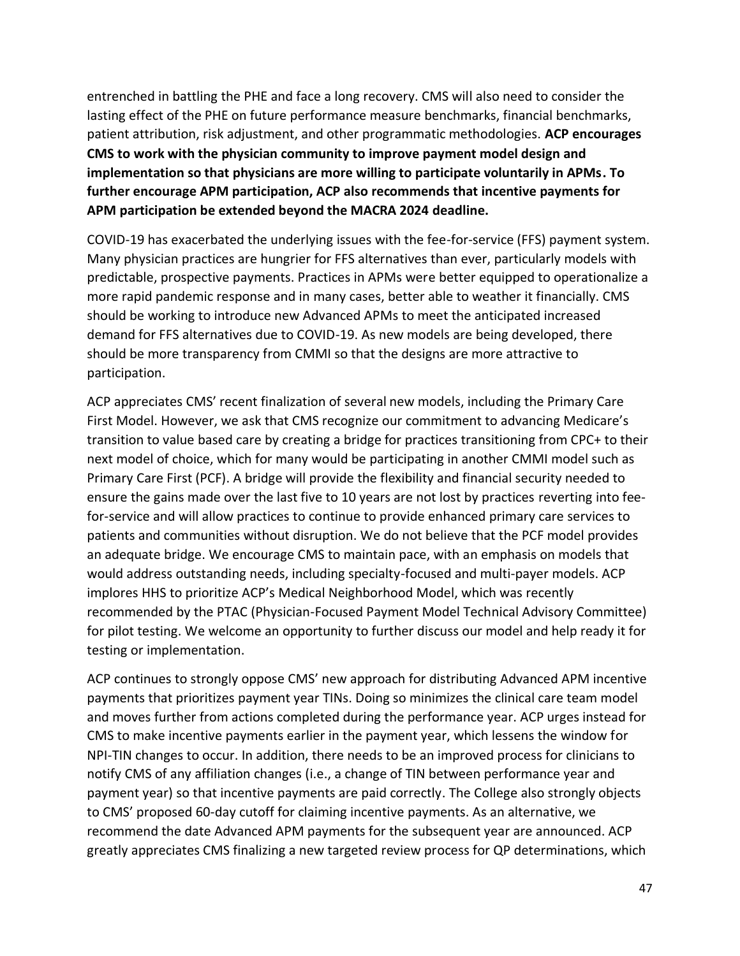entrenched in battling the PHE and face a long recovery. CMS will also need to consider the lasting effect of the PHE on future performance measure benchmarks, financial benchmarks, patient attribution, risk adjustment, and other programmatic methodologies. **ACP encourages CMS to work with the physician community to improve payment model design and implementation so that physicians are more willing to participate voluntarily in APMs. To further encourage APM participation, ACP also recommends that incentive payments for APM participation be extended beyond the MACRA 2024 deadline.**

COVID-19 has exacerbated the underlying issues with the fee-for-service (FFS) payment system. Many physician practices are hungrier for FFS alternatives than ever, particularly models with predictable, prospective payments. Practices in APMs were better equipped to operationalize a more rapid pandemic response and in many cases, better able to weather it financially. CMS should be working to introduce new Advanced APMs to meet the anticipated increased demand for FFS alternatives due to COVID-19. As new models are being developed, there should be more transparency from CMMI so that the designs are more attractive to participation.

ACP appreciates CMS' recent finalization of several new models, including the Primary Care First Model. However, we ask that CMS recognize our commitment to advancing Medicare's transition to value based care by creating a bridge for practices transitioning from CPC+ to their next model of choice, which for many would be participating in another CMMI model such as Primary Care First (PCF). A bridge will provide the flexibility and financial security needed to ensure the gains made over the last five to 10 years are not lost by practices reverting into feefor-service and will allow practices to continue to provide enhanced primary care services to patients and communities without disruption. We do not believe that the PCF model provides an adequate bridge. We encourage CMS to maintain pace, with an emphasis on models that would address outstanding needs, including specialty-focused and multi-payer models. ACP implores HHS to prioritize ACP's Medical Neighborhood Model, which was recently recommended by the PTAC (Physician-Focused Payment Model Technical Advisory Committee) for pilot testing. We welcome an opportunity to further discuss our model and help ready it for testing or implementation.

ACP continues to strongly oppose CMS' new approach for distributing Advanced APM incentive payments that prioritizes payment year TINs. Doing so minimizes the clinical care team model and moves further from actions completed during the performance year. ACP urges instead for CMS to make incentive payments earlier in the payment year, which lessens the window for NPI-TIN changes to occur. In addition, there needs to be an improved process for clinicians to notify CMS of any affiliation changes (i.e., a change of TIN between performance year and payment year) so that incentive payments are paid correctly. The College also strongly objects to CMS' proposed 60-day cutoff for claiming incentive payments. As an alternative, we recommend the date Advanced APM payments for the subsequent year are announced. ACP greatly appreciates CMS finalizing a new targeted review process for QP determinations, which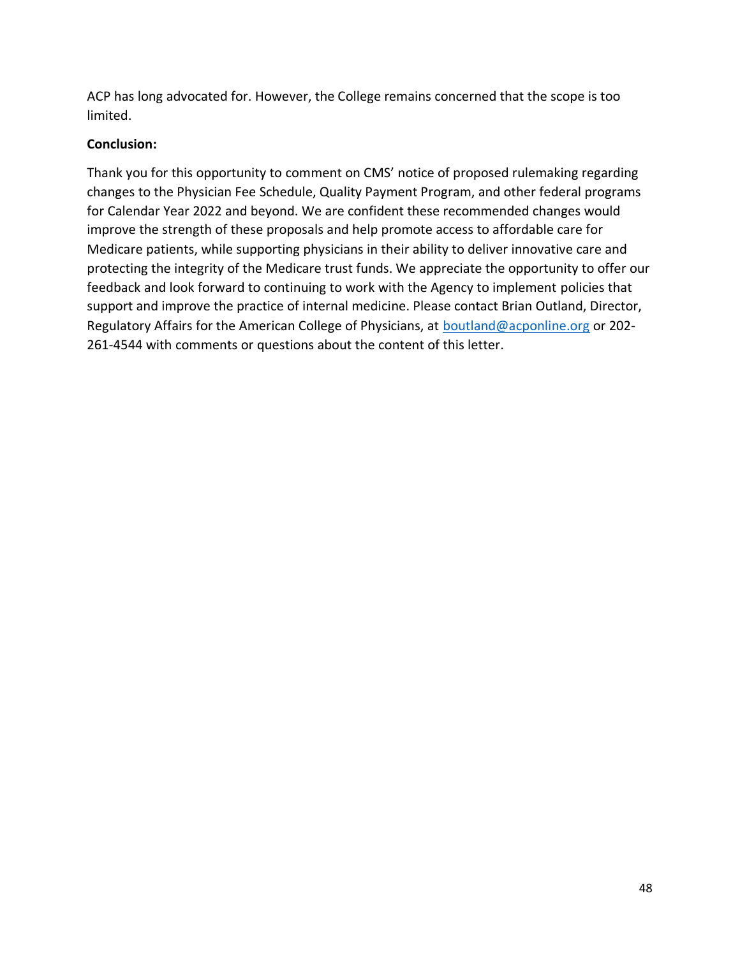ACP has long advocated for. However, the College remains concerned that the scope is too limited.

### **Conclusion:**

Thank you for this opportunity to comment on CMS' notice of proposed rulemaking regarding changes to the Physician Fee Schedule, Quality Payment Program, and other federal programs for Calendar Year 2022 and beyond. We are confident these recommended changes would improve the strength of these proposals and help promote access to affordable care for Medicare patients, while supporting physicians in their ability to deliver innovative care and protecting the integrity of the Medicare trust funds. We appreciate the opportunity to offer our feedback and look forward to continuing to work with the Agency to implement policies that support and improve the practice of internal medicine. Please contact Brian Outland, Director, Regulatory Affairs for the American College of Physicians, at [boutland@acponline.org](mailto:boutland@acponline.org) or 202- 261-4544 with comments or questions about the content of this letter.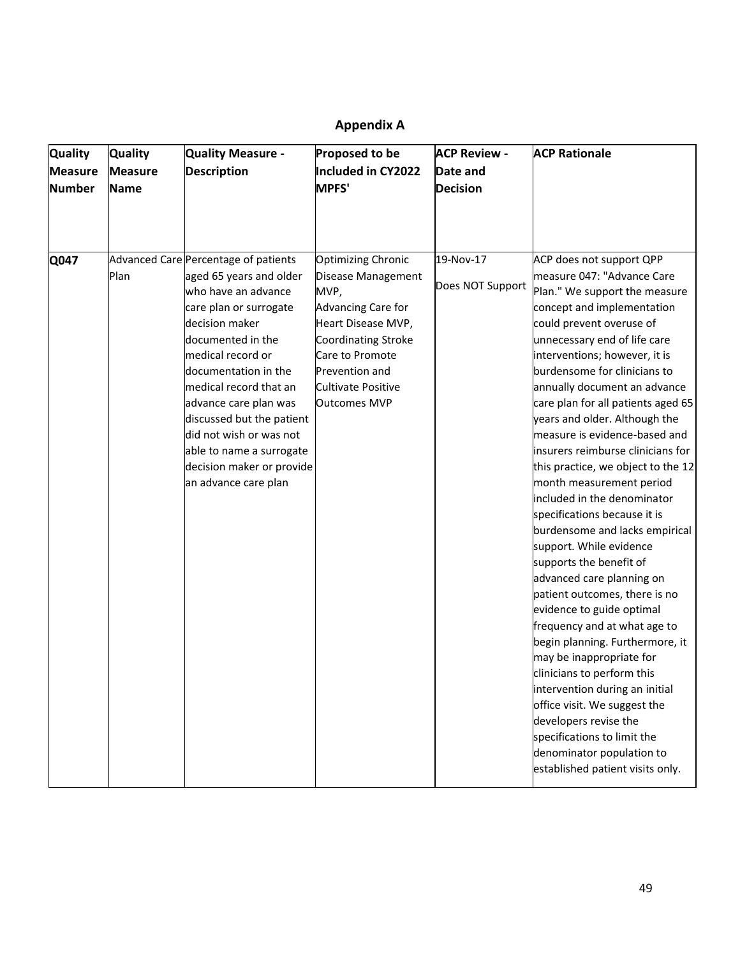# **Appendix A**

| <b>Quality</b><br><b>Measure</b><br><b>Number</b> | <b>Quality</b><br><b>Measure</b><br>Name | Quality Measure -<br><b>Description</b>                                                                                                                                                                                                                                                                                                                                                          | Proposed to be<br>Included in CY2022<br><b>MPFS'</b>                                                                                                                                                         | <b>ACP Review -</b><br>Date and<br><b>Decision</b> | <b>ACP Rationale</b>                                                                                                                                                                                                                                                                                                                                                                                                                                                                                                                                                                                                                                                                                                                                                                                                                                                                                                                                                                                                                                                        |
|---------------------------------------------------|------------------------------------------|--------------------------------------------------------------------------------------------------------------------------------------------------------------------------------------------------------------------------------------------------------------------------------------------------------------------------------------------------------------------------------------------------|--------------------------------------------------------------------------------------------------------------------------------------------------------------------------------------------------------------|----------------------------------------------------|-----------------------------------------------------------------------------------------------------------------------------------------------------------------------------------------------------------------------------------------------------------------------------------------------------------------------------------------------------------------------------------------------------------------------------------------------------------------------------------------------------------------------------------------------------------------------------------------------------------------------------------------------------------------------------------------------------------------------------------------------------------------------------------------------------------------------------------------------------------------------------------------------------------------------------------------------------------------------------------------------------------------------------------------------------------------------------|
| Q047                                              | Plan                                     | Advanced Care Percentage of patients<br>aged 65 years and older<br>who have an advance<br>care plan or surrogate<br>decision maker<br>documented in the<br>medical record or<br>documentation in the<br>medical record that an<br>advance care plan was<br>discussed but the patient<br>did not wish or was not<br>able to name a surrogate<br>decision maker or provide<br>an advance care plan | <b>Optimizing Chronic</b><br>Disease Management<br>MVP,<br>Advancing Care for<br>Heart Disease MVP,<br>Coordinating Stroke<br>Care to Promote<br>Prevention and<br>Cultivate Positive<br><b>Outcomes MVP</b> | 19-Nov-17<br>Does NOT Support                      | ACP does not support QPP<br>measure 047: "Advance Care<br>Plan." We support the measure<br>concept and implementation<br>could prevent overuse of<br>unnecessary end of life care<br>interventions; however, it is<br>burdensome for clinicians to<br>annually document an advance<br>care plan for all patients aged 65<br>years and older. Although the<br>measure is evidence-based and<br>insurers reimburse clinicians for<br>this practice, we object to the 12<br>month measurement period<br>included in the denominator<br>specifications because it is<br>burdensome and lacks empirical<br>support. While evidence<br>supports the benefit of<br>advanced care planning on<br>patient outcomes, there is no<br>evidence to guide optimal<br>frequency and at what age to<br>begin planning. Furthermore, it<br>may be inappropriate for<br>clinicians to perform this<br>intervention during an initial<br>office visit. We suggest the<br>developers revise the<br>specifications to limit the<br>denominator population to<br>established patient visits only. |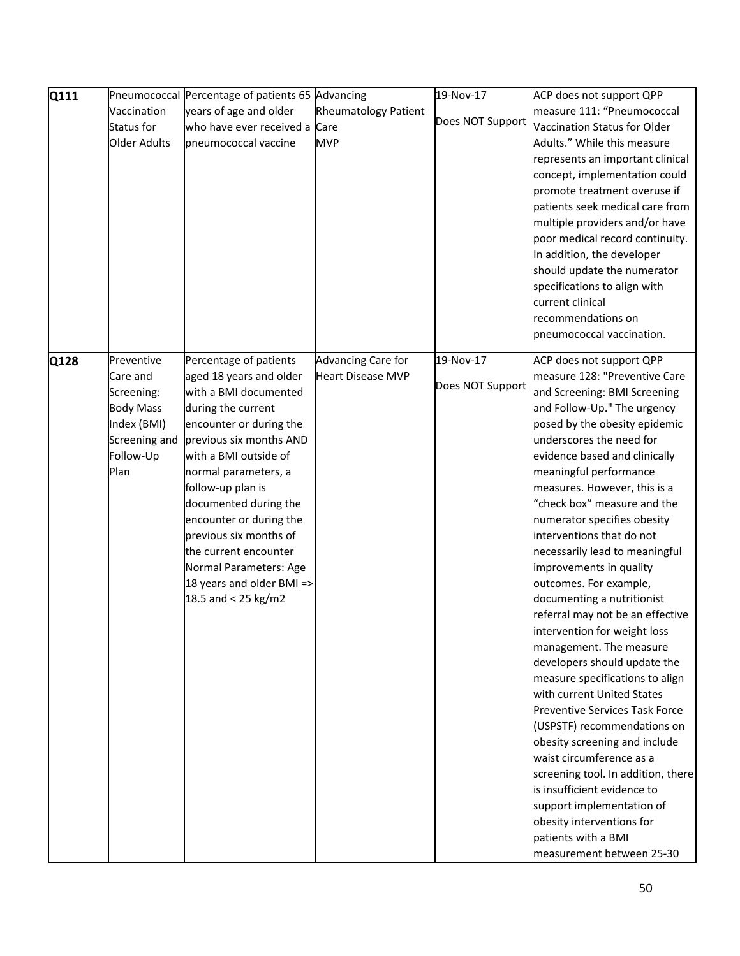| Q111 | Pneumococcal        | Percentage of patients 65 Advancing |                             | 19-Nov-17        | ACP does not support QPP              |
|------|---------------------|-------------------------------------|-----------------------------|------------------|---------------------------------------|
|      | Vaccination         | years of age and older              | <b>Rheumatology Patient</b> |                  | measure 111: "Pneumococcal            |
|      | Status for          | who have ever received a Care       |                             | Does NOT Support | Vaccination Status for Older          |
|      | <b>Older Adults</b> | pneumococcal vaccine                | <b>MVP</b>                  |                  | Adults." While this measure           |
|      |                     |                                     |                             |                  | represents an important clinical      |
|      |                     |                                     |                             |                  | concept, implementation could         |
|      |                     |                                     |                             |                  | promote treatment overuse if          |
|      |                     |                                     |                             |                  | patients seek medical care from       |
|      |                     |                                     |                             |                  | multiple providers and/or have        |
|      |                     |                                     |                             |                  | poor medical record continuity.       |
|      |                     |                                     |                             |                  | In addition, the developer            |
|      |                     |                                     |                             |                  | should update the numerator           |
|      |                     |                                     |                             |                  | specifications to align with          |
|      |                     |                                     |                             |                  | current clinical                      |
|      |                     |                                     |                             |                  | recommendations on                    |
|      |                     |                                     |                             |                  | pneumococcal vaccination.             |
|      |                     |                                     |                             |                  |                                       |
| Q128 | Preventive          | Percentage of patients              | Advancing Care for          | 19-Nov-17        | ACP does not support QPP              |
|      | Care and            | aged 18 years and older             | <b>Heart Disease MVP</b>    |                  | measure 128: "Preventive Care         |
|      | Screening:          | with a BMI documented               |                             | Does NOT Support | and Screening: BMI Screening          |
|      | <b>Body Mass</b>    | during the current                  |                             |                  | and Follow-Up." The urgency           |
|      | Index (BMI)         | encounter or during the             |                             |                  | posed by the obesity epidemic         |
|      | Screening and       | previous six months AND             |                             |                  | underscores the need for              |
|      | Follow-Up           | with a BMI outside of               |                             |                  | evidence based and clinically         |
|      | Plan                | normal parameters, a                |                             |                  | meaningful performance                |
|      |                     | follow-up plan is                   |                             |                  | measures. However, this is a          |
|      |                     | documented during the               |                             |                  | "check box" measure and the           |
|      |                     | encounter or during the             |                             |                  | numerator specifies obesity           |
|      |                     | previous six months of              |                             |                  | interventions that do not             |
|      |                     | the current encounter               |                             |                  | necessarily lead to meaningful        |
|      |                     | Normal Parameters: Age              |                             |                  | improvements in quality               |
|      |                     | 18 years and older BMI =>           |                             |                  | outcomes. For example,                |
|      |                     | 18.5 and < 25 kg/m2                 |                             |                  | documenting a nutritionist            |
|      |                     |                                     |                             |                  | referral may not be an effective      |
|      |                     |                                     |                             |                  | intervention for weight loss          |
|      |                     |                                     |                             |                  | management. The measure               |
|      |                     |                                     |                             |                  | developers should update the          |
|      |                     |                                     |                             |                  | measure specifications to align       |
|      |                     |                                     |                             |                  | with current United States            |
|      |                     |                                     |                             |                  | <b>Preventive Services Task Force</b> |
|      |                     |                                     |                             |                  | (USPSTF) recommendations on           |
|      |                     |                                     |                             |                  | obesity screening and include         |
|      |                     |                                     |                             |                  | waist circumference as a              |
|      |                     |                                     |                             |                  | screening tool. In addition, there    |
|      |                     |                                     |                             |                  | is insufficient evidence to           |
|      |                     |                                     |                             |                  | support implementation of             |
|      |                     |                                     |                             |                  | obesity interventions for             |
|      |                     |                                     |                             |                  | patients with a BMI                   |
|      |                     |                                     |                             |                  | measurement between 25-30             |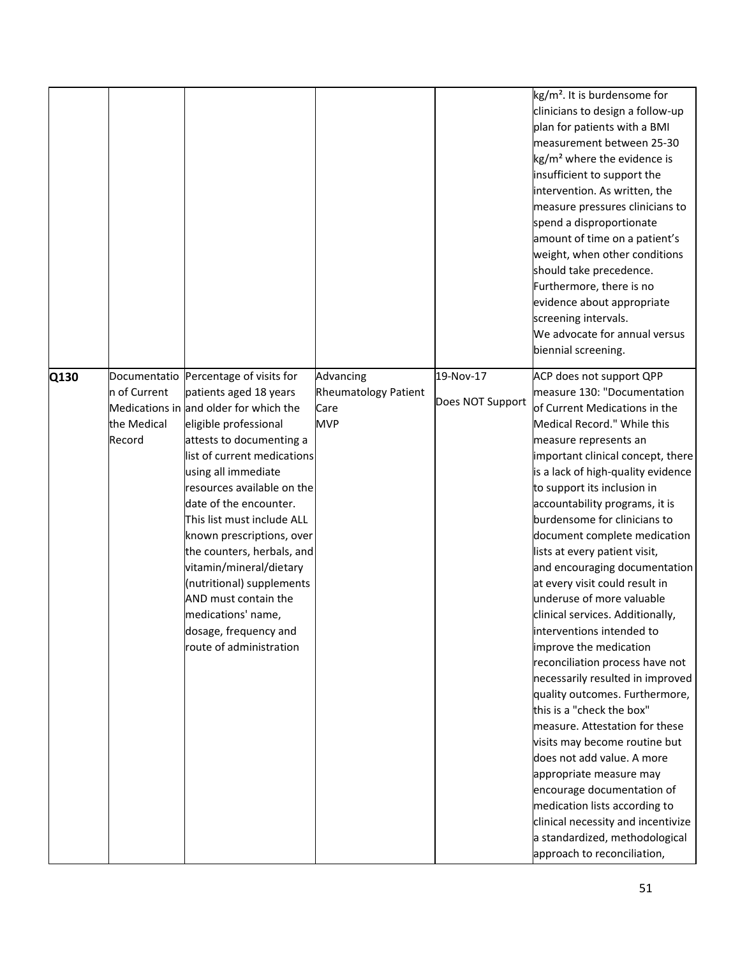|      |              |                                                                  |                                     |                  | kg/m <sup>2</sup> . It is burdensome for<br>clinicians to design a follow-up<br>plan for patients with a BMI<br>measurement between 25-30<br>kg/m <sup>2</sup> where the evidence is<br>insufficient to support the<br>intervention. As written, the<br>measure pressures clinicians to<br>spend a disproportionate<br>amount of time on a patient's<br>weight, when other conditions<br>should take precedence. |
|------|--------------|------------------------------------------------------------------|-------------------------------------|------------------|------------------------------------------------------------------------------------------------------------------------------------------------------------------------------------------------------------------------------------------------------------------------------------------------------------------------------------------------------------------------------------------------------------------|
|      |              |                                                                  |                                     |                  | Furthermore, there is no<br>evidence about appropriate<br>screening intervals.<br>We advocate for annual versus<br>biennial screening.                                                                                                                                                                                                                                                                           |
| Q130 |              | Documentatio Percentage of visits for                            | Advancing                           | 19-Nov-17        | ACP does not support QPP                                                                                                                                                                                                                                                                                                                                                                                         |
|      | n of Current | patients aged 18 years<br>Medications in and older for which the | <b>Rheumatology Patient</b><br>Care | Does NOT Support | measure 130: "Documentation<br>of Current Medications in the                                                                                                                                                                                                                                                                                                                                                     |
|      | the Medical  | eligible professional                                            | <b>MVP</b>                          |                  | Medical Record." While this                                                                                                                                                                                                                                                                                                                                                                                      |
|      | Record       | attests to documenting a                                         |                                     |                  | measure represents an                                                                                                                                                                                                                                                                                                                                                                                            |
|      |              | list of current medications                                      |                                     |                  | important clinical concept, there                                                                                                                                                                                                                                                                                                                                                                                |
|      |              | using all immediate                                              |                                     |                  | is a lack of high-quality evidence                                                                                                                                                                                                                                                                                                                                                                               |
|      |              | resources available on the                                       |                                     |                  | to support its inclusion in                                                                                                                                                                                                                                                                                                                                                                                      |
|      |              | date of the encounter.                                           |                                     |                  | accountability programs, it is                                                                                                                                                                                                                                                                                                                                                                                   |
|      |              | This list must include ALL                                       |                                     |                  | burdensome for clinicians to                                                                                                                                                                                                                                                                                                                                                                                     |
|      |              | known prescriptions, over                                        |                                     |                  | document complete medication                                                                                                                                                                                                                                                                                                                                                                                     |
|      |              | the counters, herbals, and                                       |                                     |                  | lists at every patient visit,                                                                                                                                                                                                                                                                                                                                                                                    |
|      |              | vitamin/mineral/dietary                                          |                                     |                  | and encouraging documentation                                                                                                                                                                                                                                                                                                                                                                                    |
|      |              | (nutritional) supplements                                        |                                     |                  | at every visit could result in                                                                                                                                                                                                                                                                                                                                                                                   |
|      |              | AND must contain the                                             |                                     |                  | underuse of more valuable                                                                                                                                                                                                                                                                                                                                                                                        |
|      |              | medications' name,                                               |                                     |                  | clinical services. Additionally,                                                                                                                                                                                                                                                                                                                                                                                 |
|      |              | dosage, frequency and                                            |                                     |                  | interventions intended to                                                                                                                                                                                                                                                                                                                                                                                        |
|      |              | route of administration                                          |                                     |                  |                                                                                                                                                                                                                                                                                                                                                                                                                  |
|      |              |                                                                  |                                     |                  | improve the medication                                                                                                                                                                                                                                                                                                                                                                                           |
|      |              |                                                                  |                                     |                  | reconciliation process have not                                                                                                                                                                                                                                                                                                                                                                                  |
|      |              |                                                                  |                                     |                  | necessarily resulted in improved                                                                                                                                                                                                                                                                                                                                                                                 |
|      |              |                                                                  |                                     |                  | quality outcomes. Furthermore,                                                                                                                                                                                                                                                                                                                                                                                   |
|      |              |                                                                  |                                     |                  | this is a "check the box"                                                                                                                                                                                                                                                                                                                                                                                        |
|      |              |                                                                  |                                     |                  | measure. Attestation for these                                                                                                                                                                                                                                                                                                                                                                                   |
|      |              |                                                                  |                                     |                  | visits may become routine but                                                                                                                                                                                                                                                                                                                                                                                    |
|      |              |                                                                  |                                     |                  | does not add value. A more                                                                                                                                                                                                                                                                                                                                                                                       |
|      |              |                                                                  |                                     |                  | appropriate measure may                                                                                                                                                                                                                                                                                                                                                                                          |
|      |              |                                                                  |                                     |                  | encourage documentation of                                                                                                                                                                                                                                                                                                                                                                                       |
|      |              |                                                                  |                                     |                  | medication lists according to                                                                                                                                                                                                                                                                                                                                                                                    |
|      |              |                                                                  |                                     |                  | clinical necessity and incentivize                                                                                                                                                                                                                                                                                                                                                                               |
|      |              |                                                                  |                                     |                  | a standardized, methodological                                                                                                                                                                                                                                                                                                                                                                                   |
|      |              |                                                                  |                                     |                  | approach to reconciliation,                                                                                                                                                                                                                                                                                                                                                                                      |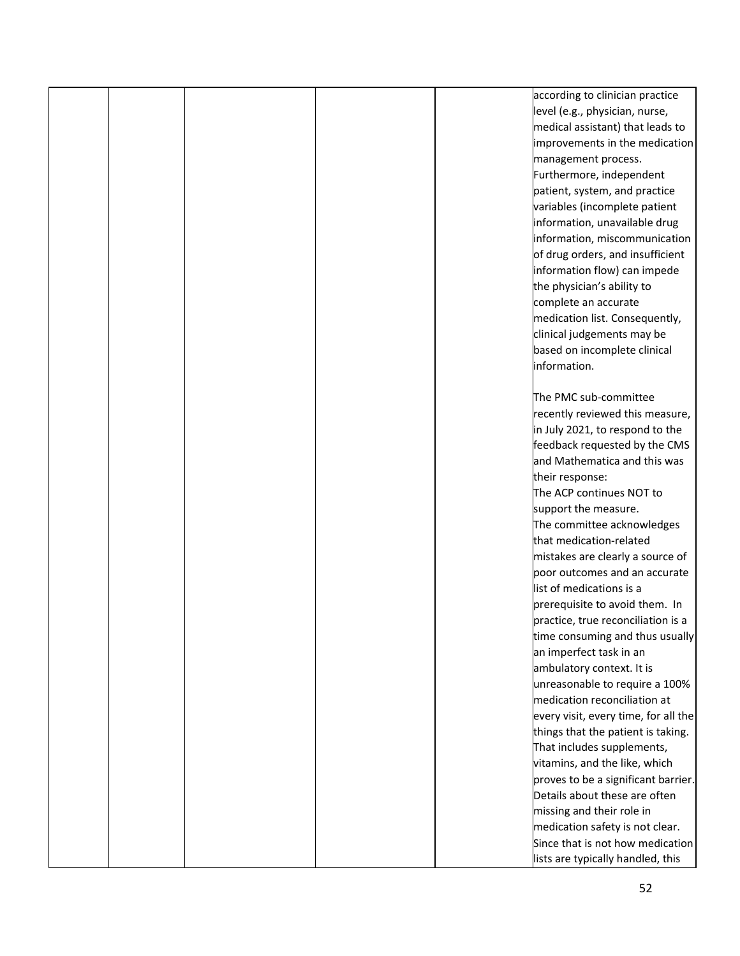|  |  | according to clinician practice      |
|--|--|--------------------------------------|
|  |  | level (e.g., physician, nurse,       |
|  |  | medical assistant) that leads to     |
|  |  | improvements in the medication       |
|  |  | management process.                  |
|  |  | Furthermore, independent             |
|  |  | patient, system, and practice        |
|  |  | variables (incomplete patient        |
|  |  | information, unavailable drug        |
|  |  | information, miscommunication        |
|  |  | of drug orders, and insufficient     |
|  |  | information flow) can impede         |
|  |  | the physician's ability to           |
|  |  | complete an accurate                 |
|  |  | medication list. Consequently,       |
|  |  | clinical judgements may be           |
|  |  | based on incomplete clinical         |
|  |  | information.                         |
|  |  |                                      |
|  |  | The PMC sub-committee                |
|  |  | recently reviewed this measure,      |
|  |  | in July 2021, to respond to the      |
|  |  | feedback requested by the CMS        |
|  |  | and Mathematica and this was         |
|  |  | their response:                      |
|  |  | The ACP continues NOT to             |
|  |  | support the measure.                 |
|  |  | The committee acknowledges           |
|  |  | that medication-related              |
|  |  | mistakes are clearly a source of     |
|  |  | poor outcomes and an accurate        |
|  |  | list of medications is a             |
|  |  | prerequisite to avoid them. In       |
|  |  | practice, true reconciliation is a   |
|  |  | time consuming and thus usually      |
|  |  | an imperfect task in an              |
|  |  | ambulatory context. It is            |
|  |  | unreasonable to require a 100%       |
|  |  | medication reconciliation at         |
|  |  |                                      |
|  |  | every visit, every time, for all the |
|  |  | things that the patient is taking.   |
|  |  | That includes supplements,           |
|  |  | vitamins, and the like, which        |
|  |  | proves to be a significant barrier.  |
|  |  | Details about these are often        |
|  |  | missing and their role in            |
|  |  | medication safety is not clear.      |
|  |  | Since that is not how medication     |
|  |  | lists are typically handled, this    |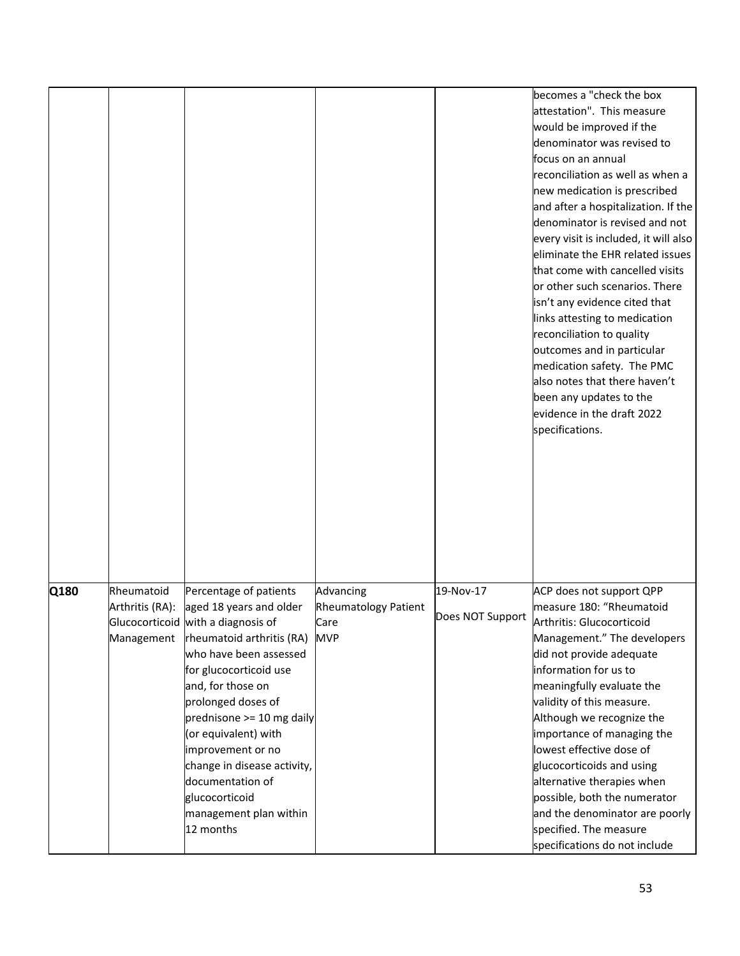|      |                               |                                                                                                                                                                                                                                                                                                                |                                                  |                               | becomes a "check the box<br>attestation". This measure<br>would be improved if the<br>denominator was revised to<br>focus on an annual<br>reconciliation as well as when a<br>new medication is prescribed<br>and after a hospitalization. If the<br>denominator is revised and not<br>every visit is included, it will also<br>eliminate the EHR related issues<br>that come with cancelled visits<br>or other such scenarios. There<br>isn't any evidence cited that<br>links attesting to medication<br>reconciliation to quality<br>outcomes and in particular<br>medication safety. The PMC<br>also notes that there haven't<br>been any updates to the<br>evidence in the draft 2022<br>specifications. |
|------|-------------------------------|----------------------------------------------------------------------------------------------------------------------------------------------------------------------------------------------------------------------------------------------------------------------------------------------------------------|--------------------------------------------------|-------------------------------|---------------------------------------------------------------------------------------------------------------------------------------------------------------------------------------------------------------------------------------------------------------------------------------------------------------------------------------------------------------------------------------------------------------------------------------------------------------------------------------------------------------------------------------------------------------------------------------------------------------------------------------------------------------------------------------------------------------|
| Q180 | Rheumatoid<br>Arthritis (RA): | Percentage of patients<br>aged 18 years and older<br>Glucocorticoid with a diagnosis of                                                                                                                                                                                                                        | Advancing<br><b>Rheumatology Patient</b><br>Care | 19-Nov-17<br>Does NOT Support | ACP does not support QPP<br>measure 180: "Rheumatoid<br>Arthritis: Glucocorticoid                                                                                                                                                                                                                                                                                                                                                                                                                                                                                                                                                                                                                             |
|      | Management                    | rheumatoid arthritis (RA)<br>who have been assessed<br>for glucocorticoid use<br>and, for those on<br>prolonged doses of<br>prednisone >= 10 mg daily<br>(or equivalent) with<br>improvement or no<br>change in disease activity,<br>documentation of<br>glucocorticoid<br>management plan within<br>12 months | <b>MVP</b>                                       |                               | Management." The developers<br>did not provide adequate<br>information for us to<br>meaningfully evaluate the<br>validity of this measure.<br>Although we recognize the<br>importance of managing the<br>lowest effective dose of<br>glucocorticoids and using<br>alternative therapies when<br>possible, both the numerator<br>and the denominator are poorly<br>specified. The measure<br>specifications do not include                                                                                                                                                                                                                                                                                     |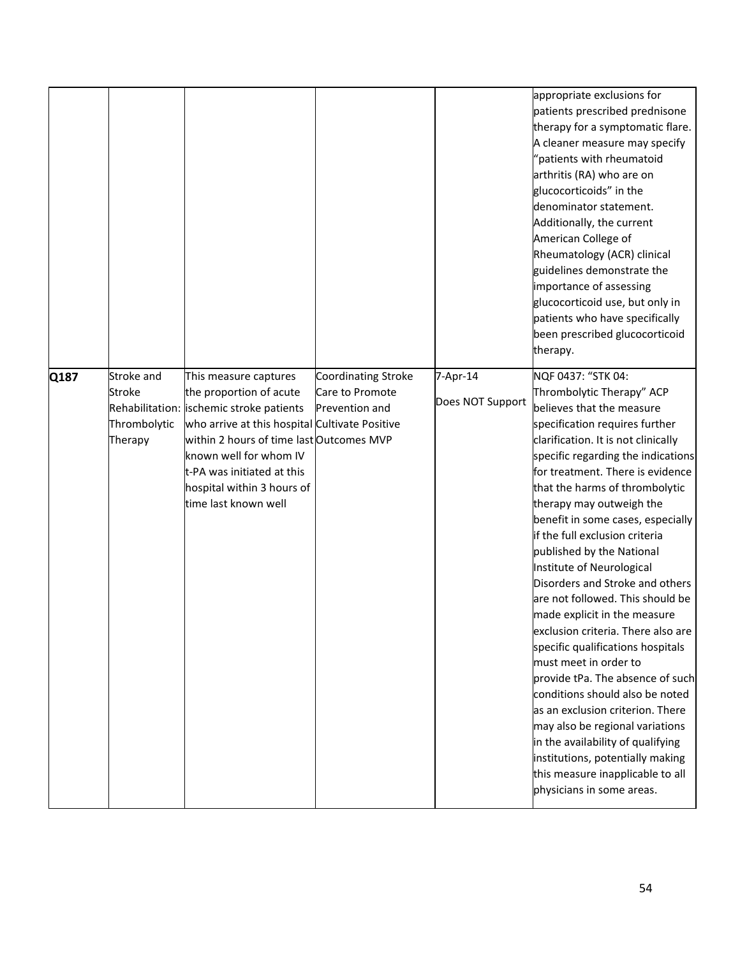|      |                                                 |                                                                                                                                                                                                                                                                                                          |                                                          |                              | appropriate exclusions for<br>patients prescribed prednisone<br>therapy for a symptomatic flare.<br>A cleaner measure may specify<br>"patients with rheumatoid<br>arthritis (RA) who are on<br>glucocorticoids" in the<br>denominator statement.<br>Additionally, the current<br>American College of<br>Rheumatology (ACR) clinical<br>guidelines demonstrate the<br>importance of assessing<br>glucocorticoid use, but only in<br>patients who have specifically<br>been prescribed glucocorticoid<br>therapy.                                                                                                                                                                                                                                                                                                                                                                                                                   |
|------|-------------------------------------------------|----------------------------------------------------------------------------------------------------------------------------------------------------------------------------------------------------------------------------------------------------------------------------------------------------------|----------------------------------------------------------|------------------------------|-----------------------------------------------------------------------------------------------------------------------------------------------------------------------------------------------------------------------------------------------------------------------------------------------------------------------------------------------------------------------------------------------------------------------------------------------------------------------------------------------------------------------------------------------------------------------------------------------------------------------------------------------------------------------------------------------------------------------------------------------------------------------------------------------------------------------------------------------------------------------------------------------------------------------------------|
| Q187 | Stroke and<br>Stroke<br>Thrombolytic<br>Therapy | This measure captures<br>the proportion of acute<br>Rehabilitation: ischemic stroke patients<br>who arrive at this hospital Cultivate Positive<br>within 2 hours of time last Outcomes MVP<br>known well for whom IV<br>t-PA was initiated at this<br>hospital within 3 hours of<br>time last known well | Coordinating Stroke<br>Care to Promote<br>Prevention and | 7-Apr-14<br>Does NOT Support | NQF 0437: "STK 04:<br>Thrombolytic Therapy" ACP<br>believes that the measure<br>specification requires further<br>clarification. It is not clinically<br>specific regarding the indications<br>for treatment. There is evidence<br>that the harms of thrombolytic<br>therapy may outweigh the<br>benefit in some cases, especially<br>if the full exclusion criteria<br>published by the National<br>Institute of Neurological<br>Disorders and Stroke and others<br>are not followed. This should be<br>made explicit in the measure<br>exclusion criteria. There also are<br>specific qualifications hospitals<br>must meet in order to<br>provide tPa. The absence of such<br>conditions should also be noted<br>as an exclusion criterion. There<br>may also be regional variations<br>in the availability of qualifying<br>institutions, potentially making<br>this measure inapplicable to all<br>physicians in some areas. |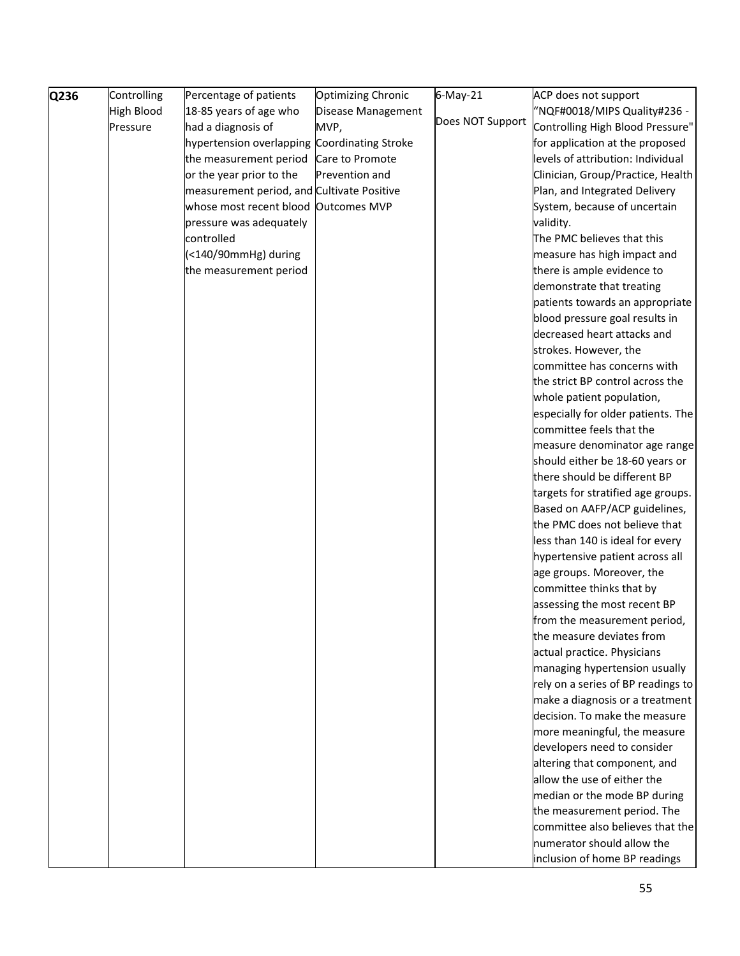| Q236 | Controlling       | Percentage of patients                       | <b>Optimizing Chronic</b> | 6-May-21         | ACP does not support                                     |
|------|-------------------|----------------------------------------------|---------------------------|------------------|----------------------------------------------------------|
|      | <b>High Blood</b> | 18-85 years of age who                       | Disease Management        |                  | "NQF#0018/MIPS Quality#236 -                             |
|      | Pressure          | had a diagnosis of                           | MVP,                      | Does NOT Support | Controlling High Blood Pressure"                         |
|      |                   | hypertension overlapping Coordinating Stroke |                           |                  | for application at the proposed                          |
|      |                   | the measurement period                       | Care to Promote           |                  | levels of attribution: Individual                        |
|      |                   | or the year prior to the                     | Prevention and            |                  | Clinician, Group/Practice, Health                        |
|      |                   | measurement period, and Cultivate Positive   |                           |                  | Plan, and Integrated Delivery                            |
|      |                   | whose most recent blood                      | <b>Outcomes MVP</b>       |                  | System, because of uncertain                             |
|      |                   | pressure was adequately                      |                           |                  | validity.                                                |
|      |                   | controlled                                   |                           |                  | The PMC believes that this                               |
|      |                   | (<140/90mmHg) during                         |                           |                  | measure has high impact and                              |
|      |                   | the measurement period                       |                           |                  | there is ample evidence to                               |
|      |                   |                                              |                           |                  | demonstrate that treating                                |
|      |                   |                                              |                           |                  | patients towards an appropriate                          |
|      |                   |                                              |                           |                  | blood pressure goal results in                           |
|      |                   |                                              |                           |                  | decreased heart attacks and                              |
|      |                   |                                              |                           |                  | strokes. However, the                                    |
|      |                   |                                              |                           |                  | committee has concerns with                              |
|      |                   |                                              |                           |                  | the strict BP control across the                         |
|      |                   |                                              |                           |                  | whole patient population,                                |
|      |                   |                                              |                           |                  | especially for older patients. The                       |
|      |                   |                                              |                           |                  | committee feels that the                                 |
|      |                   |                                              |                           |                  | measure denominator age range                            |
|      |                   |                                              |                           |                  | should either be 18-60 years or                          |
|      |                   |                                              |                           |                  | there should be different BP                             |
|      |                   |                                              |                           |                  | targets for stratified age groups.                       |
|      |                   |                                              |                           |                  | Based on AAFP/ACP guidelines,                            |
|      |                   |                                              |                           |                  | the PMC does not believe that                            |
|      |                   |                                              |                           |                  | less than 140 is ideal for every                         |
|      |                   |                                              |                           |                  | hypertensive patient across all                          |
|      |                   |                                              |                           |                  | age groups. Moreover, the                                |
|      |                   |                                              |                           |                  | committee thinks that by<br>assessing the most recent BP |
|      |                   |                                              |                           |                  | from the measurement period,                             |
|      |                   |                                              |                           |                  | the measure deviates from                                |
|      |                   |                                              |                           |                  | actual practice. Physicians                              |
|      |                   |                                              |                           |                  | managing hypertension usually                            |
|      |                   |                                              |                           |                  | rely on a series of BP readings to                       |
|      |                   |                                              |                           |                  | make a diagnosis or a treatment                          |
|      |                   |                                              |                           |                  | decision. To make the measure                            |
|      |                   |                                              |                           |                  | more meaningful, the measure                             |
|      |                   |                                              |                           |                  | developers need to consider                              |
|      |                   |                                              |                           |                  | altering that component, and                             |
|      |                   |                                              |                           |                  | allow the use of either the                              |
|      |                   |                                              |                           |                  | median or the mode BP during                             |
|      |                   |                                              |                           |                  | the measurement period. The                              |
|      |                   |                                              |                           |                  | committee also believes that the                         |
|      |                   |                                              |                           |                  | numerator should allow the                               |
|      |                   |                                              |                           |                  | inclusion of home BP readings                            |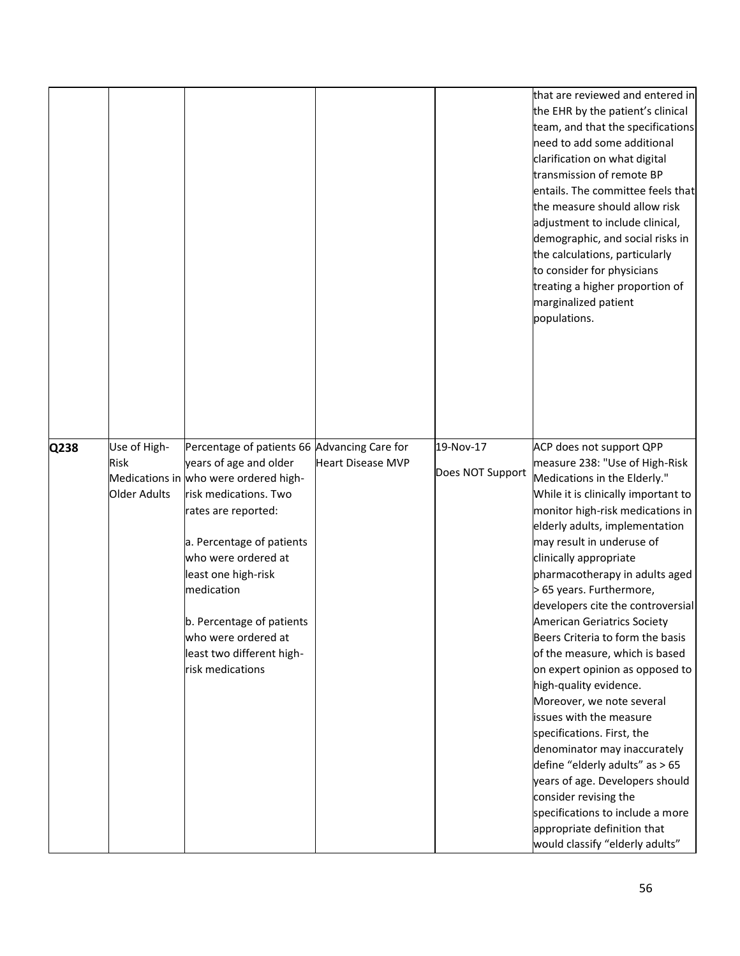|      |                                      |                                                                                                                                                                 |                          |                               | that are reviewed and entered in<br>the EHR by the patient's clinical<br>team, and that the specifications<br>need to add some additional<br>clarification on what digital<br>transmission of remote BP<br>entails. The committee feels that<br>the measure should allow risk<br>adjustment to include clinical,<br>demographic, and social risks in<br>the calculations, particularly<br>to consider for physicians<br>treating a higher proportion of<br>marginalized patient<br>populations. |
|------|--------------------------------------|-----------------------------------------------------------------------------------------------------------------------------------------------------------------|--------------------------|-------------------------------|-------------------------------------------------------------------------------------------------------------------------------------------------------------------------------------------------------------------------------------------------------------------------------------------------------------------------------------------------------------------------------------------------------------------------------------------------------------------------------------------------|
| Q238 | Use of High-<br>Risk<br>Older Adults | Percentage of patients 66 Advancing Care for<br>years of age and older<br>Medications in who were ordered high-<br>risk medications. Two<br>rates are reported: | <b>Heart Disease MVP</b> | 19-Nov-17<br>Does NOT Support | ACP does not support QPP<br>measure 238: "Use of High-Risk<br>Medications in the Elderly."<br>While it is clinically important to<br>monitor high-risk medications in<br>elderly adults, implementation                                                                                                                                                                                                                                                                                         |
|      |                                      | a. Percentage of patients<br>who were ordered at<br>least one high-risk<br>medication                                                                           |                          |                               | may result in underuse of<br>clinically appropriate<br>pharmacotherapy in adults aged<br>> 65 years. Furthermore,<br>developers cite the controversial                                                                                                                                                                                                                                                                                                                                          |
|      |                                      | b. Percentage of patients<br>who were ordered at<br>least two different high-<br>risk medications                                                               |                          |                               | American Geriatrics Society<br>Beers Criteria to form the basis<br>of the measure, which is based<br>on expert opinion as opposed to<br>high-quality evidence.                                                                                                                                                                                                                                                                                                                                  |
|      |                                      |                                                                                                                                                                 |                          |                               | Moreover, we note several<br>issues with the measure<br>specifications. First, the<br>denominator may inaccurately<br>define "elderly adults" as > 65                                                                                                                                                                                                                                                                                                                                           |
|      |                                      |                                                                                                                                                                 |                          |                               | years of age. Developers should<br>consider revising the<br>specifications to include a more<br>appropriate definition that<br>would classify "elderly adults"                                                                                                                                                                                                                                                                                                                                  |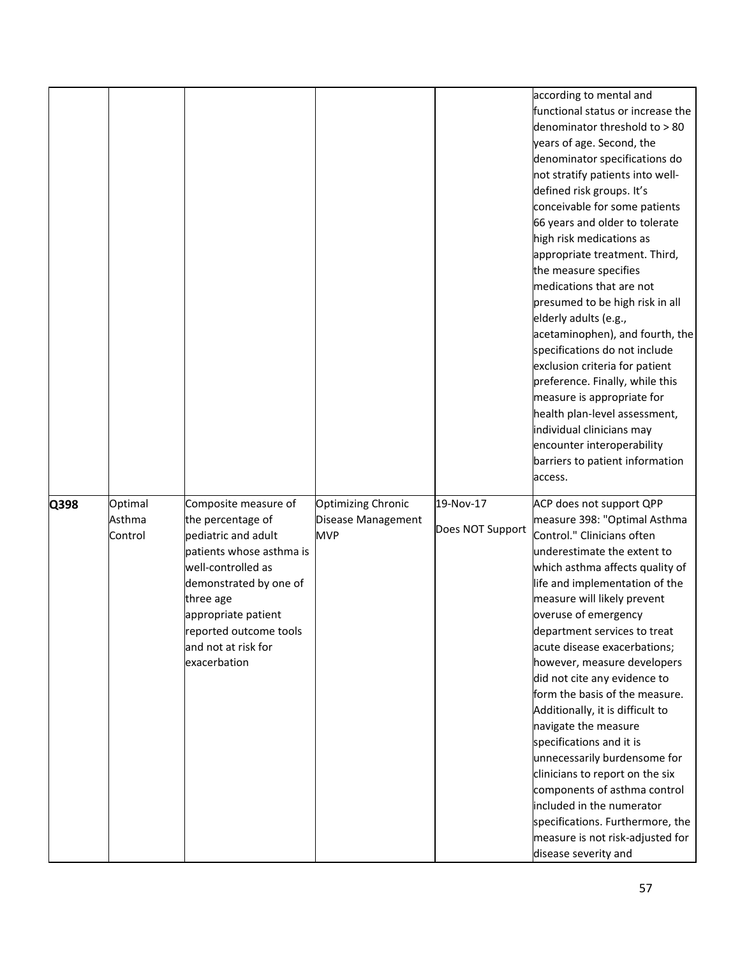|      |                              |                                                                                                                                                                                                                                                   |                                                               |                               | according to mental and<br>functional status or increase the<br>denominator threshold to > 80<br>years of age. Second, the<br>denominator specifications do<br>not stratify patients into well-<br>defined risk groups. It's<br>conceivable for some patients<br>66 years and older to tolerate<br>high risk medications as<br>appropriate treatment. Third,<br>the measure specifies<br>medications that are not<br>presumed to be high risk in all<br>elderly adults (e.g.,<br>acetaminophen), and fourth, the<br>specifications do not include<br>exclusion criteria for patient<br>preference. Finally, while this<br>measure is appropriate for<br>health plan-level assessment,<br>individual clinicians may<br>encounter interoperability<br>barriers to patient information<br>access. |
|------|------------------------------|---------------------------------------------------------------------------------------------------------------------------------------------------------------------------------------------------------------------------------------------------|---------------------------------------------------------------|-------------------------------|------------------------------------------------------------------------------------------------------------------------------------------------------------------------------------------------------------------------------------------------------------------------------------------------------------------------------------------------------------------------------------------------------------------------------------------------------------------------------------------------------------------------------------------------------------------------------------------------------------------------------------------------------------------------------------------------------------------------------------------------------------------------------------------------|
| Q398 | Optimal<br>Asthma<br>Control | Composite measure of<br>the percentage of<br>pediatric and adult<br>patients whose asthma is<br>well-controlled as<br>demonstrated by one of<br>three age<br>appropriate patient<br>reported outcome tools<br>and not at risk for<br>exacerbation | <b>Optimizing Chronic</b><br>Disease Management<br><b>MVP</b> | 19-Nov-17<br>Does NOT Support | ACP does not support QPP<br>measure 398: "Optimal Asthma<br>Control." Clinicians often<br>underestimate the extent to<br>which asthma affects quality of<br>life and implementation of the<br>measure will likely prevent<br>overuse of emergency<br>department services to treat<br>acute disease exacerbations;<br>however, measure developers<br>did not cite any evidence to<br>form the basis of the measure.<br>Additionally, it is difficult to<br>navigate the measure<br>specifications and it is<br>unnecessarily burdensome for<br>clinicians to report on the six<br>components of asthma control<br>included in the numerator<br>specifications. Furthermore, the<br>measure is not risk-adjusted for<br>disease severity and                                                     |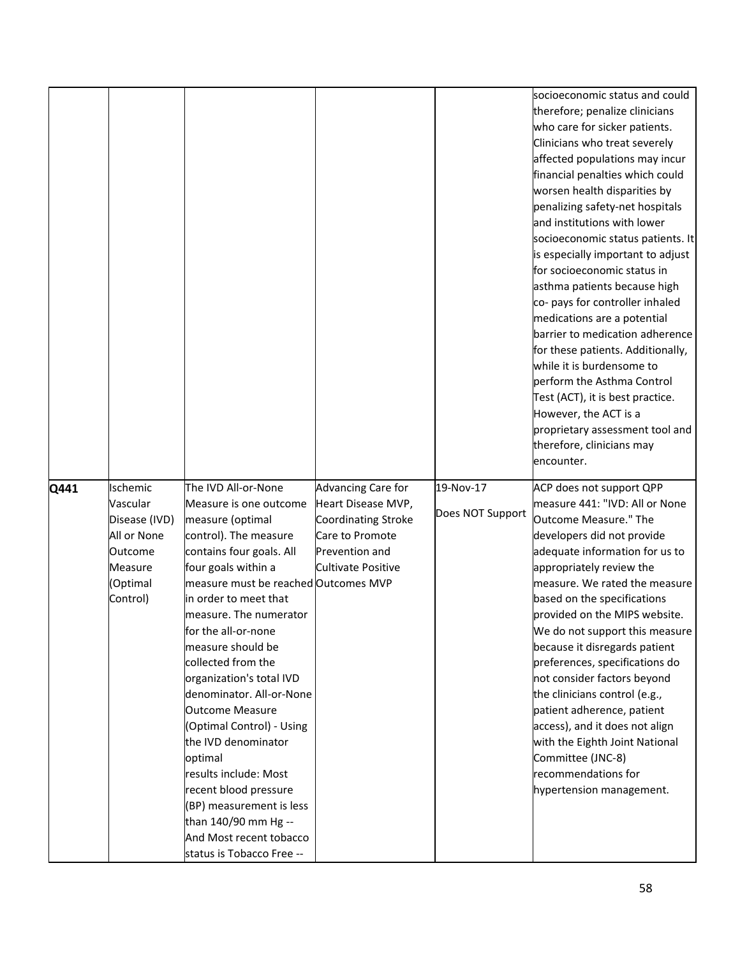|      |               |                                                      |                           |                  | socioeconomic status and could    |
|------|---------------|------------------------------------------------------|---------------------------|------------------|-----------------------------------|
|      |               |                                                      |                           |                  | therefore; penalize clinicians    |
|      |               |                                                      |                           |                  | who care for sicker patients.     |
|      |               |                                                      |                           |                  | Clinicians who treat severely     |
|      |               |                                                      |                           |                  | affected populations may incur    |
|      |               |                                                      |                           |                  | financial penalties which could   |
|      |               |                                                      |                           |                  | worsen health disparities by      |
|      |               |                                                      |                           |                  | penalizing safety-net hospitals   |
|      |               |                                                      |                           |                  | and institutions with lower       |
|      |               |                                                      |                           |                  | socioeconomic status patients. It |
|      |               |                                                      |                           |                  | is especially important to adjust |
|      |               |                                                      |                           |                  | for socioeconomic status in       |
|      |               |                                                      |                           |                  | asthma patients because high      |
|      |               |                                                      |                           |                  | co- pays for controller inhaled   |
|      |               |                                                      |                           |                  | medications are a potential       |
|      |               |                                                      |                           |                  | barrier to medication adherence   |
|      |               |                                                      |                           |                  | for these patients. Additionally, |
|      |               |                                                      |                           |                  | while it is burdensome to         |
|      |               |                                                      |                           |                  | perform the Asthma Control        |
|      |               |                                                      |                           |                  | Test (ACT), it is best practice.  |
|      |               |                                                      |                           |                  | However, the ACT is a             |
|      |               |                                                      |                           |                  | proprietary assessment tool and   |
|      |               |                                                      |                           |                  | therefore, clinicians may         |
|      |               |                                                      |                           |                  | encounter.                        |
|      |               |                                                      |                           |                  |                                   |
|      |               |                                                      |                           |                  |                                   |
| Q441 | Ischemic      | The IVD All-or-None                                  | Advancing Care for        | 19-Nov-17        | ACP does not support QPP          |
|      | Vascular      | Measure is one outcome                               | Heart Disease MVP,        |                  | measure 441: "IVD: All or None    |
|      | Disease (IVD) | measure (optimal                                     | Coordinating Stroke       | Does NOT Support | Outcome Measure." The             |
|      | All or None   | control). The measure                                | Care to Promote           |                  | developers did not provide        |
|      | Outcome       | contains four goals. All                             | Prevention and            |                  | adequate information for us to    |
|      | Measure       | four goals within a                                  | <b>Cultivate Positive</b> |                  | appropriately review the          |
|      | (Optimal      | measure must be reached Outcomes MVP                 |                           |                  | measure. We rated the measure     |
|      | Control)      | in order to meet that                                |                           |                  | based on the specifications       |
|      |               | measure. The numerator                               |                           |                  | provided on the MIPS website.     |
|      |               | for the all-or-none                                  |                           |                  | We do not support this measure    |
|      |               | measure should be                                    |                           |                  | because it disregards patient     |
|      |               | collected from the                                   |                           |                  | preferences, specifications do    |
|      |               | organization's total IVD                             |                           |                  | not consider factors beyond       |
|      |               | denominator. All-or-None                             |                           |                  | the clinicians control (e.g.,     |
|      |               | <b>Outcome Measure</b>                               |                           |                  | patient adherence, patient        |
|      |               | (Optimal Control) - Using                            |                           |                  | access), and it does not align    |
|      |               | the IVD denominator                                  |                           |                  | with the Eighth Joint National    |
|      |               | optimal                                              |                           |                  | Committee (JNC-8)                 |
|      |               | results include: Most                                |                           |                  | recommendations for               |
|      |               | recent blood pressure                                |                           |                  | hypertension management.          |
|      |               | (BP) measurement is less                             |                           |                  |                                   |
|      |               | than 140/90 mm Hg --                                 |                           |                  |                                   |
|      |               | And Most recent tobacco<br>status is Tobacco Free -- |                           |                  |                                   |